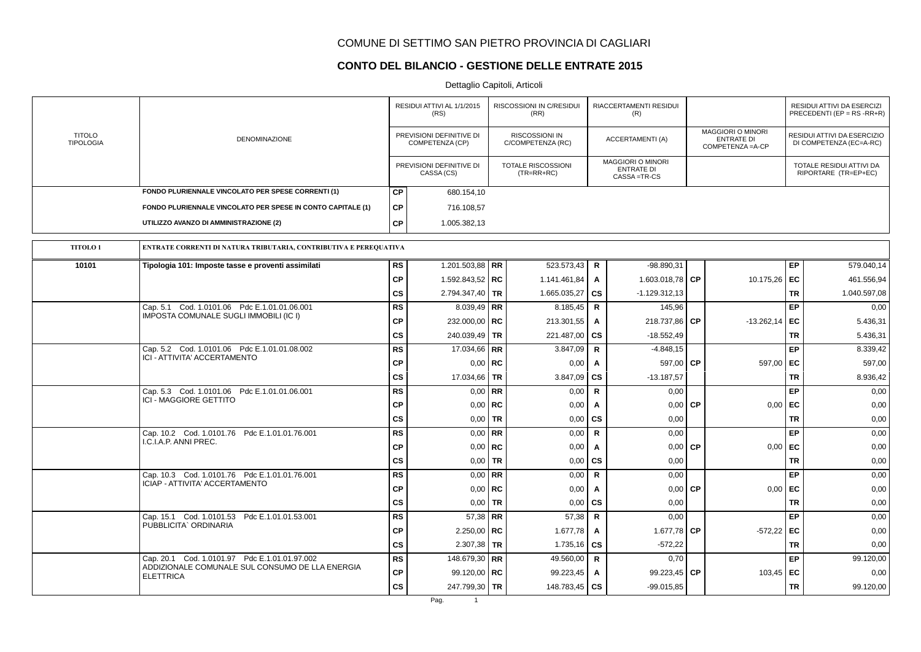## **CONTO DEL BILANCIO - GESTIONE DELLE ENTRATE 2015**

|                                   |                                                                                        |                 | RESIDUI ATTIVI AL 1/1/2015<br>(RS)          |           | <b>RISCOSSIONI IN C/RESIDUI</b><br>(RR) |              | RIACCERTAMENTI RESIDUI<br>(R)                                |           |                                                                    |           | RESIDUI ATTIVI DA ESERCIZI<br>PRECEDENTI (EP = $RS$ -RR+R) |
|-----------------------------------|----------------------------------------------------------------------------------------|-----------------|---------------------------------------------|-----------|-----------------------------------------|--------------|--------------------------------------------------------------|-----------|--------------------------------------------------------------------|-----------|------------------------------------------------------------|
| <b>TITOLO</b><br><b>TIPOLOGIA</b> | <b>DENOMINAZIONE</b>                                                                   |                 | PREVISIONI DEFINITIVE DI<br>COMPETENZA (CP) |           | RISCOSSIONI IN<br>C/COMPETENZA (RC)     |              | <b>ACCERTAMENTI (A)</b>                                      |           | <b>MAGGIORI O MINORI</b><br><b>ENTRATE DI</b><br>COMPETENZA = A-CP |           | RESIDUI ATTIVI DA ESERCIZIO<br>DI COMPETENZA (EC=A-RC)     |
|                                   |                                                                                        |                 | PREVISIONI DEFINITIVE DI<br>CASSA (CS)      |           | TOTALE RISCOSSIONI<br>$(TR=RR+RC)$      |              | <b>MAGGIORI O MINORI</b><br><b>ENTRATE DI</b><br>CASSA=TR-CS |           |                                                                    |           | TOTALE RESIDUI ATTIVI DA<br>RIPORTARE (TR=EP+EC)           |
|                                   | FONDO PLURIENNALE VINCOLATO PER SPESE CORRENTI (1)                                     | <b>CP</b>       | 680.154,10                                  |           |                                         |              |                                                              |           |                                                                    |           |                                                            |
|                                   | FONDO PLURIENNALE VINCOLATO PER SPESE IN CONTO CAPITALE (1)                            | <b>CP</b>       | 716.108.57                                  |           |                                         |              |                                                              |           |                                                                    |           |                                                            |
|                                   | UTILIZZO AVANZO DI AMMINISTRAZIONE (2)                                                 | СP              | 1.005.382,13                                |           |                                         |              |                                                              |           |                                                                    |           |                                                            |
| <b>TITOLO1</b>                    | ENTRATE CORRENTI DI NATURA TRIBUTARIA, CONTRIBUTIVA E PEREQUATIVA                      |                 |                                             |           |                                         |              |                                                              |           |                                                                    |           |                                                            |
| 10101                             | Tipologia 101: Imposte tasse e proventi assimilati                                     | <b>RS</b>       | 1.201.503,88 RR                             |           | 523.573,43 R                            |              | $-98.890,31$                                                 |           |                                                                    | EP        | 579.040,14                                                 |
|                                   |                                                                                        | <b>CP</b>       | 1.592.843,52   RC                           |           | 1.141.461,84                            | $\mathbf{A}$ | 1.603.018,78 $\overline{\text{CP}}$                          |           | 10.175,26 EC                                                       |           | 461.556,94                                                 |
|                                   |                                                                                        | CS              | 2.794.347,40   TR                           |           | 1.665.035,27                            | CS           | $-1.129.312.13$                                              |           |                                                                    | TR        | 1.040.597,08                                               |
|                                   | Cap. 5.1 Cod. 1.0101.06 Pdc E.1.01.01.06.001                                           | <b>RS</b>       | 8.039,49   RR                               |           | 8.185,45                                | R            | 145,96                                                       |           |                                                                    | EP        | 0,00                                                       |
|                                   | IMPOSTA COMUNALE SUGLI IMMOBILI (IC I)                                                 | <b>CP</b>       | 232.000,00 RC                               |           | 213.301,55                              | A            | 218.737,86                                                   | <b>CP</b> | $-13.262,14$                                                       | EC        | 5.436,31                                                   |
|                                   |                                                                                        | CS              | 240.039,49 TR                               |           | 221.487,00   CS                         |              | $-18.552,49$                                                 |           |                                                                    | <b>TR</b> | 5.436,31                                                   |
|                                   | Cap. 5.2 Cod. 1.0101.06 Pdc E.1.01.01.08.002<br>ICI - ATTIVITA' ACCERTAMENTO           | <b>RS</b>       | 17.034,66 RR                                |           | 3.847,09                                | $\mathbf R$  | $-4.848.15$                                                  |           |                                                                    | EP        | 8.339,42                                                   |
|                                   |                                                                                        | <b>CP</b>       |                                             | $0,00$ RC | 0,00                                    | A            | 597,00                                                       | СP        | 597,00 EC                                                          |           | 597,00                                                     |
|                                   |                                                                                        | <b>CS</b>       | 17.034,66                                   | l TR      | 3.847,09                                | CS           | $-13.187,57$                                                 |           |                                                                    | TR        | 8.936,42                                                   |
|                                   | Cap. 5.3 Cod. 1.0101.06 Pdc E.1.01.01.06.001<br><b>ICI - MAGGIORE GETTITO</b>          | <b>RS</b>       |                                             | $0.00$ RR | 0,00                                    | R            | 0,00                                                         |           |                                                                    | EP        | 0,00                                                       |
|                                   |                                                                                        | <b>CP</b>       | $0,00$ RC                                   |           | 0,00                                    | A            | 0,00                                                         | <b>CP</b> | 0,00                                                               | EC        | 0,00                                                       |
|                                   |                                                                                        | <b>CS</b>       | 0,00                                        | <b>TR</b> | 0,00                                    | CS           | 0,00                                                         |           |                                                                    | <b>TR</b> | 0,00                                                       |
|                                   | Cap. 10.2 Cod. 1.0101.76 Pdc E.1.01.01.76.001<br>I.C.I.A.P. ANNI PREC.                 | <b>RS</b>       |                                             | $0.00$ RR | 0,00                                    | R            | 0,00                                                         |           |                                                                    | EP        | 0,00                                                       |
|                                   |                                                                                        | <b>CP</b>       |                                             | $0,00$ RC | 0,00                                    | A            | 0,00                                                         | <b>CP</b> | 0,00                                                               | EC        | 0,00                                                       |
|                                   |                                                                                        | <b>CS</b>       | $0.00$ TR                                   |           | 0,00                                    | CS           | 0,00                                                         |           |                                                                    | TR        | 0,00                                                       |
|                                   | Cap. 10.3 Cod. 1.0101.76 Pdc E.1.01.01.76.001<br><b>ICIAP - ATTIVITA' ACCERTAMENTO</b> | <b>RS</b>       |                                             | $0.00$ RR | 0,00                                    | R            | 0,00                                                         |           |                                                                    | EP        | 0,00                                                       |
|                                   |                                                                                        | <b>CP</b><br>CS |                                             | $0,00$ RC | 0,00                                    | A            | 0,00                                                         | <b>CP</b> | $0,00$ EC                                                          | <b>TR</b> | 0,00                                                       |
|                                   | Cap. 15.1 Cod. 1.0101.53 Pdc E.1.01.01.53.001                                          | <b>RS</b>       | $0,00$ TR<br>$57,38$ RR                     |           | $0,00$   CS<br>57.38                    | $\mathbf R$  | 0,00<br>0.00                                                 |           |                                                                    | EP        | 0,00<br>0,00                                               |
|                                   | PUBBLICITA' ORDINARIA                                                                  | <b>CP</b>       | $2.250,00$ RC                               |           | 1.677,78                                | A            | 1.677,78                                                     | СP        | $-572,22$ EC                                                       |           | 0,00                                                       |
|                                   |                                                                                        | cs              | $2.307,38$ TR                               |           | 1.735,16                                | CS           | $-572,22$                                                    |           |                                                                    | <b>TR</b> | 0,00                                                       |
|                                   | Cap. 20.1 Cod. 1.0101.97 Pdc E.1.01.01.97.002                                          | <b>RS</b>       | 148.679,30 RR                               |           | 49.560,00                               | $\mathbf R$  | 0,70                                                         |           |                                                                    | EP        | 99.120,00                                                  |
|                                   | ADDIZIONALE COMUNALE SUL CONSUMO DE LLA ENERGIA                                        | <b>CP</b>       | 99.120,00   RC                              |           | 99.223,45                               | A            | 99.223,45                                                    | <b>CP</b> | 103,45 EC                                                          |           | 0,00                                                       |
|                                   | <b>ELETTRICA</b>                                                                       | CS              | 247.799,30 TR                               |           | 148.783,45   CS                         |              | -99.015,85                                                   |           |                                                                    | <b>TR</b> | 99.120,00                                                  |
|                                   |                                                                                        |                 |                                             |           |                                         |              |                                                              |           |                                                                    |           |                                                            |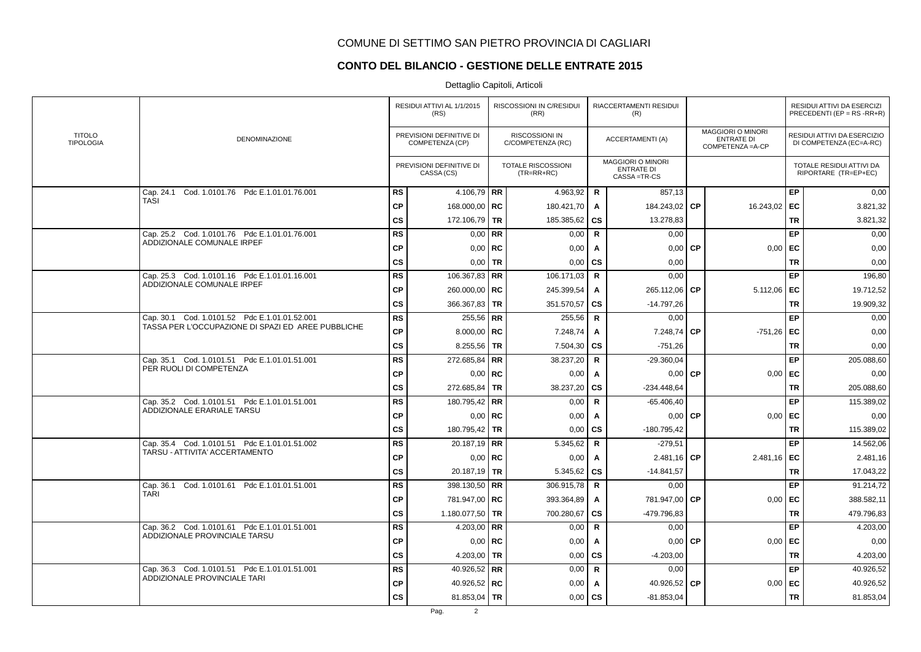# **CONTO DEL BILANCIO - GESTIONE DELLE ENTRATE 2015**

|                                   |                                                    |           | RESIDUI ATTIVI AL 1/1/2015<br>(RS)          |           | RISCOSSIONI IN C/RESIDUI<br>(RR)    |              | RIACCERTAMENTI RESIDUI<br>(R)                                |           |                                                                    |           | RESIDUI ATTIVI DA ESERCIZI<br>PRECEDENTI (EP = $RS$ -RR+R) |
|-----------------------------------|----------------------------------------------------|-----------|---------------------------------------------|-----------|-------------------------------------|--------------|--------------------------------------------------------------|-----------|--------------------------------------------------------------------|-----------|------------------------------------------------------------|
| <b>TITOLO</b><br><b>TIPOLOGIA</b> | DENOMINAZIONE                                      |           | PREVISIONI DEFINITIVE DI<br>COMPETENZA (CP) |           | RISCOSSIONI IN<br>C/COMPETENZA (RC) |              | <b>ACCERTAMENTI (A)</b>                                      |           | <b>MAGGIORI O MINORI</b><br><b>ENTRATE DI</b><br>COMPETENZA = A-CP |           | RESIDUI ATTIVI DA ESERCIZIO<br>DI COMPETENZA (EC=A-RC)     |
|                                   |                                                    |           | PREVISIONI DEFINITIVE DI<br>CASSA (CS)      |           | TOTALE RISCOSSIONI<br>$(TR=RR+RC)$  |              | <b>MAGGIORI O MINORI</b><br><b>ENTRATE DI</b><br>CASSA=TR-CS |           |                                                                    |           | TOTALE RESIDUI ATTIVI DA<br>RIPORTARE (TR=EP+EC)           |
|                                   | Cap. 24.1 Cod. 1.0101.76 Pdc E.1.01.01.76.001      | <b>RS</b> | 4.106,79   RR                               |           | 4.963,92                            | R            | 857,13                                                       |           |                                                                    | EP        | 0,00                                                       |
|                                   | <b>TASI</b>                                        | <b>CP</b> | 168.000,00   RC                             |           | 180.421,70                          | A            | 184.243,02 CP                                                |           | 16.243,02                                                          | EC        | 3.821,32                                                   |
|                                   |                                                    | CS        | 172.106,79 TR                               |           | 185.385,62                          | <b>CS</b>    | 13.278,83                                                    |           |                                                                    | <b>TR</b> | 3.821,32                                                   |
|                                   | Cap. 25.2 Cod. 1.0101.76 Pdc E.1.01.01.76.001      | <b>RS</b> |                                             | $0.00$ RR | 0,00                                | R            | 0,00                                                         |           |                                                                    | EP        | 0,00                                                       |
|                                   | ADDIZIONALE COMUNALE IRPEF                         | <b>CP</b> | $0.00$ RC                                   |           | 0,00                                | A            | 0,00                                                         | <b>CP</b> | 0,00                                                               | EC        | 0,00                                                       |
|                                   |                                                    | <b>CS</b> | $0,00$ TR                                   |           | 0,00                                | <b>CS</b>    | 0,00                                                         |           |                                                                    | <b>TR</b> | 0,00                                                       |
|                                   | Cap. 25.3 Cod. 1.0101.16 Pdc E.1.01.01.16.001      | <b>RS</b> | 106.367,83 RR                               |           | 106.171,03                          | $\mathsf{R}$ | 0,00                                                         |           |                                                                    | EP        | 196,80                                                     |
|                                   | ADDIZIONALE COMUNALE IRPEF                         | <b>CP</b> | 260.000,00   RC                             |           | 245.399,54                          | $\mathsf{A}$ | 265.112,06                                                   | l CP.     | 5.112,06                                                           | EC        | 19.712,52                                                  |
|                                   |                                                    | CS        | 366.367,83   TR                             |           | 351.570,57                          | cs           | $-14.797,26$                                                 |           |                                                                    | <b>TR</b> | 19.909,32                                                  |
|                                   | Cap. 30.1 Cod. 1.0101.52 Pdc E.1.01.01.52.001      | <b>RS</b> | $255,56$ RR                                 |           | 255,56                              | $\mathsf{R}$ | 0,00                                                         |           |                                                                    | EP        | 0,00                                                       |
|                                   | TASSA PER L'OCCUPAZIONE DI SPAZI ED AREE PUBBLICHE | <b>CP</b> | 8.000,00   $RC$                             |           | 7.248,74                            | A            | 7.248,74                                                     | <b>CP</b> | $-751,26$                                                          | EC        | 0,00                                                       |
|                                   |                                                    | <b>CS</b> | 8.255,56 TR                                 |           | 7.504,30                            | <b>CS</b>    | $-751,26$                                                    |           |                                                                    | <b>TR</b> | 0,00                                                       |
|                                   | Cap. 35.1 Cod. 1.0101.51 Pdc E.1.01.01.51.001      | <b>RS</b> | 272.685,84   RR                             |           | 38.237,20                           | R            | $-29.360,04$                                                 |           |                                                                    | EP        | 205.088,60                                                 |
|                                   | PER RUOLI DI COMPETENZA                            | <b>CP</b> | $0,00$ RC                                   |           | 0,00                                | A            | 0,00                                                         | <b>CP</b> | 0,00                                                               | EC        | 0,00                                                       |
|                                   |                                                    | CS        | 272.685,84   TR                             |           | 38.237,20                           | <b>CS</b>    | -234.448,64                                                  |           |                                                                    | <b>TR</b> | 205.088,60                                                 |
|                                   | Cap. 35.2 Cod. 1.0101.51 Pdc E.1.01.01.51.001      | <b>RS</b> | 180.795,42 RR                               |           | 0,00                                | $\mathsf{R}$ | $-65.406,40$                                                 |           |                                                                    | EP        | 115.389,02                                                 |
|                                   | ADDIZIONALE ERARIALE TARSU                         | <b>CP</b> | $0,00$ RC                                   |           | 0,00                                | A            | $0,00$ CP                                                    |           | 0,00                                                               | EC        | 0,00                                                       |
|                                   |                                                    | <b>CS</b> | 180.795,42 TR                               |           | 0,00                                | <b>CS</b>    | $-180.795,42$                                                |           |                                                                    | <b>TR</b> | 115.389,02                                                 |
|                                   | Cap. 35.4 Cod. 1.0101.51 Pdc E.1.01.01.51.002      | <b>RS</b> | 20.187,19 RR                                |           | 5.345,62                            | $\mathsf{R}$ | $-279,51$                                                    |           |                                                                    | EP        | 14.562,06                                                  |
|                                   | TARSU - ATTIVITA' ACCERTAMENTO                     | <b>CP</b> | $0,00$   RC                                 |           | 0,00                                | A            | $2.481,16$ CP                                                |           | 2.481,16                                                           | EC        | 2.481,16                                                   |
|                                   |                                                    | CS        | 20.187,19   TR                              |           | 5.345,62                            | CS           | $-14.841,57$                                                 |           |                                                                    | <b>TR</b> | 17.043,22                                                  |
|                                   | Cap. 36.1 Cod. 1.0101.61 Pdc E.1.01.01.51.001      | <b>RS</b> | 398.130,50 RR                               |           | 306.915,78                          | R            | 0,00                                                         |           |                                                                    | EP        | 91.214,72                                                  |
|                                   | <b>TARI</b>                                        | <b>CP</b> | 781.947,00 RC                               |           | 393.364,89                          | A            | 781.947,00 CP                                                |           | 0,00                                                               | EC        | 388.582,11                                                 |
|                                   |                                                    | CS        | 1.180.077,50 TR                             |           | 700.280,67                          | <b>CS</b>    | -479.796.83                                                  |           |                                                                    | <b>TR</b> | 479.796,83                                                 |
|                                   | Cap. 36.2 Cod. 1.0101.61 Pdc E.1.01.01.51.001      | <b>RS</b> | 4.203,00   RR                               |           | 0,00                                | $\mathsf{R}$ | 0,00                                                         |           |                                                                    | EP        | 4.203,00                                                   |
|                                   | ADDIZIONALE PROVINCIALE TARSU                      | <b>CP</b> | $0.00$ RC                                   |           | 0,00                                | A            | 0,00                                                         | <b>CP</b> | 0,00                                                               | EC        | 0,00                                                       |
|                                   |                                                    | CS        | 4.203,00 TR                                 |           | 0,00                                | CS           | $-4.203,00$                                                  |           |                                                                    | <b>TR</b> | 4.203,00                                                   |
|                                   | Cap. 36.3 Cod. 1.0101.51 Pdc E.1.01.01.51.001      | <b>RS</b> | 40.926,52 RR                                |           | 0,00                                | R            | 0,00                                                         |           |                                                                    | EP        | 40.926,52                                                  |
|                                   | <b>ADDIZIONALE PROVINCIALE TARI</b>                | <b>CP</b> | 40.926,52   RC                              |           | 0,00                                | A            | 40.926,52 CP                                                 |           | 0,00                                                               | EC        | 40.926,52                                                  |
|                                   |                                                    | <b>CS</b> | 81.853,04   TR                              |           | 0,00                                | <b>CS</b>    | $-81.853.04$                                                 |           |                                                                    | <b>TR</b> | 81.853,04                                                  |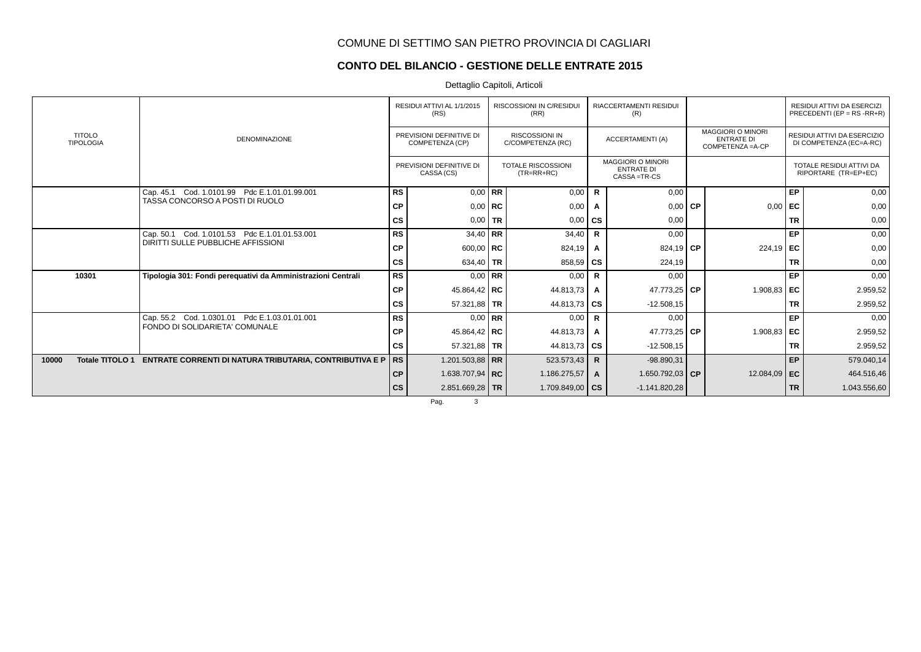### **CONTO DEL BILANCIO - GESTIONE DELLE ENTRATE 2015**

Dettaglio Capitoli, Articoli

|                                   |                                                                |               | RESIDUI ATTIVI AL 1/1/2015<br>(RS)          |           | <b>RISCOSSIONI IN C/RESIDUI</b><br>(RR)    |                        | <b>RIACCERTAMENTI RESIDUI</b><br>(R)                           |           |                                                                    |           | RESIDUI ATTIVI DA ESERCIZI<br>PRECEDENTI (EP = RS -RR+R) |
|-----------------------------------|----------------------------------------------------------------|---------------|---------------------------------------------|-----------|--------------------------------------------|------------------------|----------------------------------------------------------------|-----------|--------------------------------------------------------------------|-----------|----------------------------------------------------------|
| <b>TITOLO</b><br><b>TIPOLOGIA</b> | <b>DENOMINAZIONE</b>                                           |               | PREVISIONI DEFINITIVE DI<br>COMPETENZA (CP) |           | <b>RISCOSSIONI IN</b><br>C/COMPETENZA (RC) |                        | <b>ACCERTAMENTI (A)</b>                                        |           | <b>MAGGIORI O MINORI</b><br><b>ENTRATE DI</b><br>COMPETENZA = A-CP |           | RESIDUI ATTIVI DA ESERCIZIO<br>DI COMPETENZA (EC=A-RC)   |
|                                   |                                                                |               | PREVISIONI DEFINITIVE DI<br>CASSA (CS)      |           | <b>TOTALE RISCOSSIONI</b><br>$(TR=RR+RC)$  |                        | <b>MAGGIORI O MINORI</b><br><b>ENTRATE DI</b><br>CASSA = TR-CS |           |                                                                    |           | TOTALE RESIDUI ATTIVI DA<br>RIPORTARE (TR=EP+EC)         |
|                                   | Cap. 45.1 Cod. 1.0101.99 Pdc E.1.01.01.99.001                  | <b>RS</b>     |                                             | $0.00$ RR | 0,00                                       | R                      | 0,00                                                           |           |                                                                    | EP        | 0,00                                                     |
|                                   | TASSA CONCORSO A POSTI DI RUOLO                                | СP            | $0,00$ RC                                   |           | 0,00                                       | A                      | 0,00                                                           | <b>CP</b> | 0,00                                                               | EC        | 0,00                                                     |
|                                   |                                                                | <b>CS</b>     | $0.00$ TR                                   |           | 0,00                                       | $\mathbf{c}\mathbf{s}$ | 0,00                                                           |           |                                                                    | <b>TR</b> | 0,00                                                     |
|                                   | Cap. 50.1 Cod. 1.0101.53 Pdc E.1.01.01.53.001                  | <b>RS</b>     | 34,40 RR                                    |           | 34,40                                      | $\mathsf{R}$           | 0,00                                                           |           |                                                                    | EP        | 0,00                                                     |
|                                   | DIRITTI SULLE PUBBLICHE AFFISSIONI                             | <b>CP</b>     | $600,00$ RC                                 |           | 824,19                                     |                        | 824,19 $CP$                                                    |           | $224,19$ EC                                                        |           | 0,00                                                     |
|                                   |                                                                | <b>CS</b>     | 634,40 TR                                   |           | 858,59                                     | l cs                   | 224,19                                                         |           |                                                                    | <b>TR</b> | 0,00                                                     |
| 10301                             | Tipologia 301: Fondi perequativi da Amministrazioni Centrali   | <b>RS</b>     | $0.00$ RR                                   |           | 0,00                                       | R                      | 0,00                                                           |           |                                                                    | EP        | 0,00                                                     |
|                                   |                                                                | <b>CP</b>     | 45.864,42   RC                              |           | 44.813,73                                  | Α                      | 47.773,25 CP                                                   |           | 1.908,83                                                           | EC        | 2.959,52                                                 |
|                                   |                                                                | <b>CS</b>     | 57.321,88 TR                                |           | 44.813,73                                  | ∣cs                    | $-12.508,15$                                                   |           |                                                                    | <b>TR</b> | 2.959,52                                                 |
|                                   | Cap. 55.2 Cod. 1.0301.01 Pdc E.1.03.01.01.001                  | <b>RS</b>     |                                             | $0.00$ RR | 0,00                                       | $\mathsf{R}$           | 0,00                                                           |           |                                                                    | EP        | 0,00                                                     |
|                                   | FONDO DI SOLIDARIETA' COMUNALE                                 | СP            | 45.864,42   RC                              |           | 44.813,73                                  | $\mathsf{A}$           | 47.773,25 CP                                                   |           | 1.908,83 EC                                                        |           | 2.959,52                                                 |
|                                   |                                                                | <b>CS</b>     | 57.321,88 TR                                |           | 44.813,73                                  | l cs                   | $-12.508,15$                                                   |           |                                                                    | <b>TR</b> | 2.959,52                                                 |
| <b>Totale TITOLO 1</b><br>10000   | <b>ENTRATE CORRENTI DI NATURA TRIBUTARIA, CONTRIBUTIVA E P</b> | <b>RS</b>     | 1.201.503,88   RR                           |           | 523.573,43                                 | R.                     | $-98.890,31$                                                   |           |                                                                    | EP        | 579.040,14                                               |
|                                   |                                                                | <b>CP</b>     | 1.638.707,94   RC                           |           | 1.186.275,57                               | A                      | 1.650.792,03 CP                                                |           | 12.084,09                                                          | l EC      | 464.516,46                                               |
|                                   |                                                                | $\mathsf{cs}$ | $2.851.669.28$ TR                           |           | 1.709.849,00 $\mid$ CS                     |                        | $-1.141.820.28$                                                |           |                                                                    | <b>TR</b> | 1.043.556,60                                             |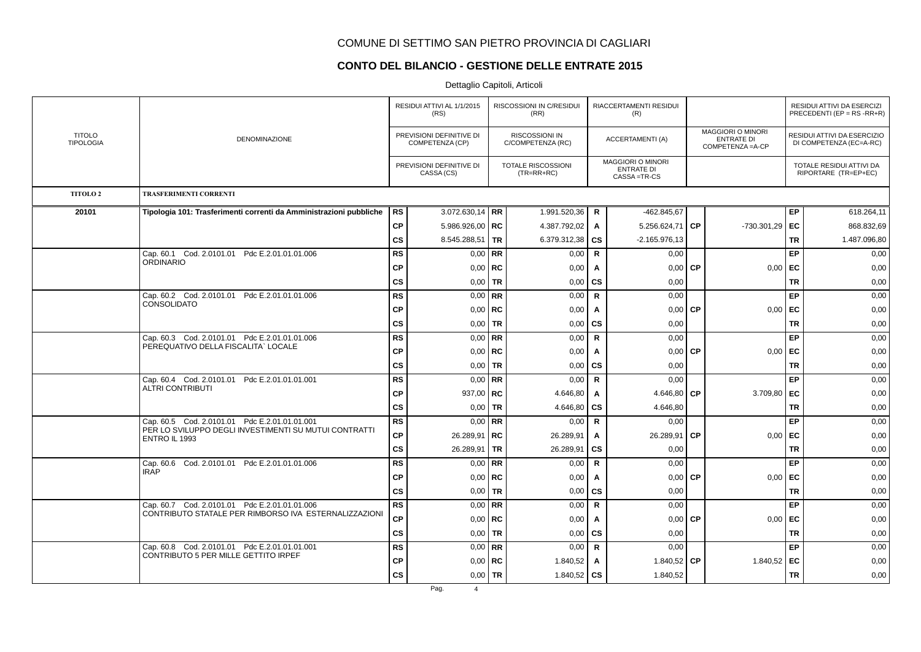### **CONTO DEL BILANCIO - GESTIONE DELLE ENTRATE 2015**

|                                   |                                                                                                        |           | RESIDUI ATTIVI AL 1/1/2015<br>(RS)          |             | RISCOSSIONI IN C/RESIDUI<br>(RR)           |              | RIACCERTAMENTI RESIDUI<br>(R)                                  |           |                                                                    |           | RESIDUI ATTIVI DA ESERCIZI<br>PRECEDENTI (EP = $RS$ -RR+R) |
|-----------------------------------|--------------------------------------------------------------------------------------------------------|-----------|---------------------------------------------|-------------|--------------------------------------------|--------------|----------------------------------------------------------------|-----------|--------------------------------------------------------------------|-----------|------------------------------------------------------------|
| <b>TITOLO</b><br><b>TIPOLOGIA</b> | <b>DENOMINAZIONE</b>                                                                                   |           | PREVISIONI DEFINITIVE DI<br>COMPETENZA (CP) |             | <b>RISCOSSIONI IN</b><br>C/COMPETENZA (RC) |              | <b>ACCERTAMENTI (A)</b>                                        |           | <b>MAGGIORI O MINORI</b><br><b>ENTRATE DI</b><br>COMPETENZA = A-CP |           | RESIDUI ATTIVI DA ESERCIZIO<br>DI COMPETENZA (EC=A-RC)     |
|                                   |                                                                                                        |           | PREVISIONI DEFINITIVE DI<br>CASSA (CS)      |             | TOTALE RISCOSSIONI<br>$(TR=RR+RC)$         |              | <b>MAGGIORI O MINORI</b><br><b>ENTRATE DI</b><br>CASSA = TR-CS |           |                                                                    |           | TOTALE RESIDUI ATTIVI DA<br>RIPORTARE (TR=EP+EC)           |
| <b>TITOLO 2</b>                   | <b>TRASFERIMENTI CORRENTI</b>                                                                          |           |                                             |             |                                            |              |                                                                |           |                                                                    |           |                                                            |
| 20101                             | Tipologia 101: Trasferimenti correnti da Amministrazioni pubbliche                                     | RS        | 3.072.630,14   RR                           |             | 1.991.520,36                               | R            | $-462.845,67$                                                  |           |                                                                    | EP        | 618.264,11                                                 |
|                                   |                                                                                                        | CP        | 5.986.926,00   RC                           |             | 4.387.792,02                               | A            | 5.256.624,71                                                   | <b>CP</b> | -730.301,29                                                        | EC        | 868.832,69                                                 |
|                                   |                                                                                                        | CS        | 8.545.288,51   TR                           |             | 6.379.312,38                               | <b>CS</b>    | $-2.165.976.13$                                                |           |                                                                    | <b>TR</b> | 1.487.096,80                                               |
|                                   | Cap. 60.1 Cod. 2.0101.01 Pdc E.2.01.01.01.006                                                          | <b>RS</b> |                                             | $0.00$ RR   | 0,00                                       | $\mathbf R$  | 0.00                                                           |           |                                                                    | EP        | 0,00                                                       |
|                                   | <b>ORDINARIO</b>                                                                                       | <b>CP</b> |                                             | $0,00$ RC   | 0,00                                       | Α            | 0,00                                                           | <b>CP</b> | 0,00                                                               | EC        | 0,00                                                       |
|                                   |                                                                                                        | <b>CS</b> |                                             | $0,00$ TR   | 0,00                                       | cs           | 0,00                                                           |           |                                                                    | <b>TR</b> | 0,00                                                       |
|                                   | Cap. 60.2 Cod. 2.0101.01 Pdc E.2.01.01.01.006                                                          | <b>RS</b> |                                             | $0.00$ RR   | 0,00                                       | $\mathbf R$  | 0,00                                                           |           |                                                                    | EP        | 0,00                                                       |
|                                   | <b>CONSOLIDATO</b>                                                                                     | <b>CP</b> |                                             | $0,00$   RC | 0,00                                       | A            | 0,00                                                           | <b>CP</b> | 0,00                                                               | EC        | 0,00                                                       |
|                                   |                                                                                                        | CS        |                                             | $0,00$ TR   | 0,00                                       | <b>CS</b>    | 0,00                                                           |           |                                                                    | <b>TR</b> | 0,00                                                       |
|                                   | Cap. 60.3 Cod. 2.0101.01 Pdc E.2.01.01.01.006                                                          | <b>RS</b> |                                             | $0,00$ RR   | 0,00                                       | $\mathbf R$  | 0,00                                                           |           |                                                                    | EP        | 0,00                                                       |
|                                   | PEREQUATIVO DELLA FISCALITA` LOCALE                                                                    | <b>CP</b> |                                             | $0,00$ RC   | 0,00                                       | $\mathsf{A}$ | 0,00                                                           | <b>CP</b> | 0,00                                                               | l EC      | 0,00                                                       |
|                                   |                                                                                                        | CS        |                                             | $0,00$ TR   | 0,00                                       | <b>CS</b>    | 0,00                                                           |           |                                                                    | <b>TR</b> | 0,00                                                       |
|                                   | Cap. 60.4 Cod. 2.0101.01 Pdc E.2.01.01.01.001<br><b>ALTRI CONTRIBUTI</b>                               | <b>RS</b> |                                             | $0.00$ RR   | 0,00                                       | R            | 0,00                                                           |           |                                                                    | EP        | 0,00                                                       |
|                                   |                                                                                                        | <b>CP</b> | 937,00   $RC$                               |             | 4.646,80                                   | $\mathsf{A}$ | 4.646,80                                                       | <b>CP</b> | 3.709,80                                                           | EC        | 0,00                                                       |
|                                   |                                                                                                        | CS        |                                             | $0,00$ TR   | 4.646,80                                   | <b>CS</b>    | 4.646,80                                                       |           |                                                                    | <b>TR</b> | 0,00                                                       |
|                                   | Cap. 60.5 Cod. 2.0101.01 Pdc E.2.01.01.01.001<br>PER LO SVILUPPO DEGLI INVESTIMENTI SU MUTUI CONTRATTI | <b>RS</b> |                                             | $0,00$ RR   | 0,00                                       | <b>R</b>     | 0,00                                                           |           |                                                                    | EP        | 0,00                                                       |
|                                   | <b>ENTRO IL 1993</b>                                                                                   | <b>CP</b> | 26.289,91   RC                              |             | 26.289,91                                  | Α            | 26.289,91                                                      | <b>CP</b> | 0,00                                                               | EC        | 0,00                                                       |
|                                   |                                                                                                        | cs        | 26.289,91   TR                              |             | 26.289,91                                  | cs           | 0,00                                                           |           |                                                                    | <b>TR</b> | 0,00                                                       |
|                                   | Cap. 60.6 Cod. 2.0101.01 Pdc E.2.01.01.01.006<br><b>IRAP</b>                                           | <b>RS</b> |                                             | $0.00$ RR   | 0,00                                       | $\mathbf R$  | 0,00                                                           |           |                                                                    | EP        | 0,00                                                       |
|                                   |                                                                                                        | <b>CP</b> |                                             | $0,00$ RC   | 0,00                                       | A            | 0,00                                                           | <b>CP</b> | 0,00                                                               | EC        | 0,00                                                       |
|                                   |                                                                                                        | cs        |                                             | $0,00$ TR   | 0,00                                       | cs           | 0,00                                                           |           |                                                                    | <b>TR</b> | 0,00                                                       |
|                                   | Cap. 60.7 Cod. 2.0101.01 Pdc E.2.01.01.01.006<br>CONTRIBUTO STATALE PER RIMBORSO IVA ESTERNALIZZAZIONI | RS        |                                             | $0.00$ RR   | 0,00                                       | $\mathbf R$  | 0,00                                                           |           |                                                                    | EP        | 0,00                                                       |
|                                   |                                                                                                        | СP        |                                             | $0.00$ RC   | 0,00                                       | A            | 0,00                                                           | <b>CP</b> | 0,00                                                               | EC        | 0,00                                                       |
|                                   |                                                                                                        | cs        |                                             | $0,00$ TR   | 0,00                                       | CS           | 0,00                                                           |           |                                                                    | TR        | 0,00                                                       |
|                                   | Cap. 60.8 Cod. 2.0101.01 Pdc E.2.01.01.01.001<br>CONTRIBUTO 5 PER MILLE GETTITO IRPEF                  | <b>RS</b> |                                             | $0,00$ RR   | 0,00                                       | R            | 0,00                                                           |           |                                                                    | EP        | 0,00                                                       |
|                                   |                                                                                                        | <b>CP</b> |                                             | $0.00$   RC | 1.840,52                                   | A            | 1.840,52 CP                                                    |           | 1.840,52                                                           | EC        | 0,00                                                       |
|                                   |                                                                                                        | CS        |                                             | $0,00$   TR | 1.840,52 $\overline{c}$ CS                 |              | 1.840,52                                                       |           |                                                                    | <b>TR</b> | 0,00                                                       |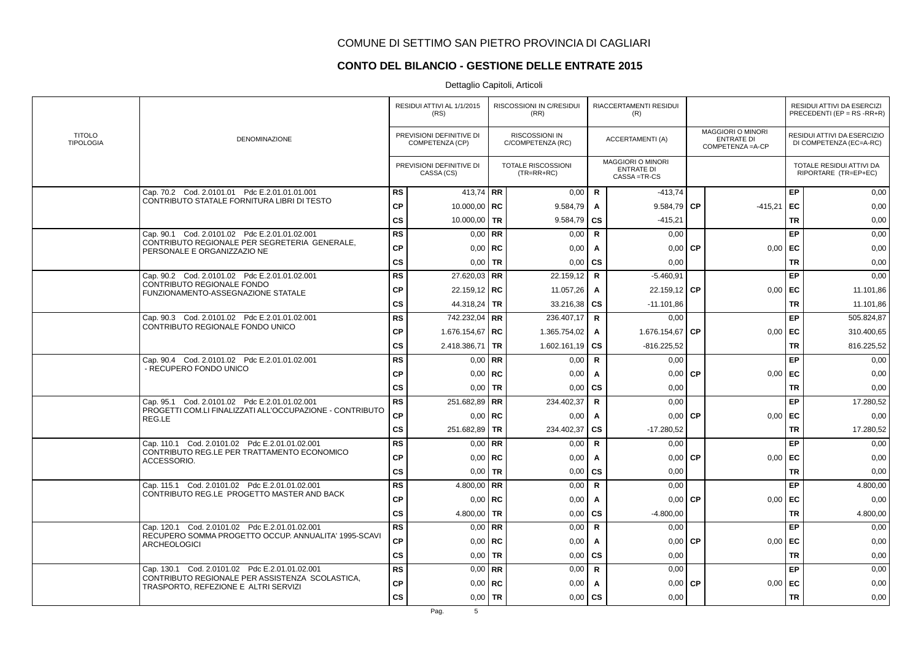## **CONTO DEL BILANCIO - GESTIONE DELLE ENTRATE 2015**

|                                   |                                                                                         |               | RESIDUI ATTIVI AL 1/1/2015<br>(RS)          |           | RISCOSSIONI IN C/RESIDUI<br>(RR)          |              | RIACCERTAMENTI RESIDUI<br>(R)                         |           |                                                                    |           | RESIDUI ATTIVI DA ESERCIZI<br>PRECEDENTI (EP = RS -RR+R) |
|-----------------------------------|-----------------------------------------------------------------------------------------|---------------|---------------------------------------------|-----------|-------------------------------------------|--------------|-------------------------------------------------------|-----------|--------------------------------------------------------------------|-----------|----------------------------------------------------------|
| <b>TITOLO</b><br><b>TIPOLOGIA</b> | <b>DENOMINAZIONE</b>                                                                    |               | PREVISIONI DEFINITIVE DI<br>COMPETENZA (CP) |           | RISCOSSIONI IN<br>C/COMPETENZA (RC)       |              | <b>ACCERTAMENTI (A)</b>                               |           | <b>MAGGIORI O MINORI</b><br><b>ENTRATE DI</b><br>COMPETENZA = A-CP |           | RESIDUI ATTIVI DA ESERCIZIO<br>DI COMPETENZA (EC=A-RC)   |
|                                   |                                                                                         |               | PREVISIONI DEFINITIVE DI<br>CASSA (CS)      |           | <b>TOTALE RISCOSSIONI</b><br>$(TR=RR+RC)$ |              | MAGGIORI O MINORI<br><b>ENTRATE DI</b><br>CASSA=TR-CS |           |                                                                    |           | TOTALE RESIDUI ATTIVI DA<br>RIPORTARE (TR=EP+EC)         |
|                                   | Cap. 70.2 Cod. 2.0101.01 Pdc E.2.01.01.01.001                                           | <b>RS</b>     | 413,74   RR                                 |           | 0,00                                      | R.           | $-413,74$                                             |           |                                                                    | EP        | 0,00                                                     |
|                                   | CONTRIBUTO STATALE FORNITURA LIBRI DI TESTO                                             | <b>CP</b>     | 10.000,00   RC                              |           | 9.584,79                                  | A            | 9.584,79                                              | <b>CP</b> | $-415,21$                                                          | EC        | 0,00                                                     |
|                                   |                                                                                         | <b>CS</b>     | 10.000,00 TR                                |           | 9.584,79                                  | <b>CS</b>    | $-415,21$                                             |           |                                                                    | <b>TR</b> | 0,00                                                     |
|                                   | Cap. 90.1 Cod. 2.0101.02 Pdc E.2.01.01.02.001                                           | <b>RS</b>     |                                             | $0,00$ RR | 0,00                                      | $\mathbf R$  | 0,00                                                  |           |                                                                    | EP        | 0,00                                                     |
|                                   | CONTRIBUTO REGIONALE PER SEGRETERIA GENERALE,<br>PERSONALE E ORGANIZZAZIO NE            | CP            | 0,00                                        | RC        | 0,00                                      | Α            | 0,00                                                  | <b>CP</b> | 0,00                                                               | EC        | 0,00                                                     |
|                                   |                                                                                         | <b>CS</b>     | 0,00                                        | <b>TR</b> | 0,00                                      | CS           | 0,00                                                  |           |                                                                    | <b>TR</b> | 0,00                                                     |
|                                   | Cap. 90.2 Cod. 2.0101.02 Pdc E.2.01.01.02.001                                           | <b>RS</b>     | $27.620.03$ RR                              |           | 22.159,12                                 | $\mathbf R$  | $-5.460,91$                                           |           |                                                                    | EP        | 0,00                                                     |
|                                   | CONTRIBUTO REGIONALE FONDO<br>FUNZIONAMENTO-ASSEGNAZIONE STATALE                        | <b>CP</b>     | 22.159,12   RC                              |           | 11.057,26                                 | A            | 22.159,12 CP                                          |           | 0,00                                                               | EC        | 11.101,86                                                |
|                                   |                                                                                         | $\mathsf{cs}$ | 44.318,24   TR                              |           | 33.216,38                                 | <b>CS</b>    | $-11.101,86$                                          |           |                                                                    | <b>TR</b> | 11.101,86                                                |
|                                   | Cap. 90.3 Cod. 2.0101.02 Pdc E.2.01.01.02.001                                           | RS            | 742.232,04   RR                             |           | 236.407,17                                | R            | 0,00                                                  |           |                                                                    | EP        | 505.824,87                                               |
|                                   | CONTRIBUTO REGIONALE FONDO UNICO                                                        | <b>CP</b>     | 1.676.154,67   RC                           |           | 1.365.754,02                              | Α            | 1.676.154,67                                          | <b>CP</b> | 0,00                                                               | EC        | 310.400,65                                               |
|                                   |                                                                                         | <b>CS</b>     | 2.418.386,71   TR                           |           | 1.602.161,19                              | <b>CS</b>    | $-816.225,52$                                         |           |                                                                    | <b>TR</b> | 816.225,52                                               |
|                                   | Cap. 90.4 Cod. 2.0101.02 Pdc E.2.01.01.02.001                                           | <b>RS</b>     |                                             | $0,00$ RR | 0,00                                      | R.           | 0.00                                                  |           |                                                                    | EP        | 0,00                                                     |
|                                   | - RECUPERO FONDO UNICO                                                                  | <b>CP</b>     |                                             | $0,00$ RC | 0,00                                      | A            | 0,00                                                  | <b>CP</b> | 0,00                                                               | EC        | 0,00                                                     |
|                                   |                                                                                         | <b>CS</b>     |                                             | $0,00$ TR | 0,00                                      | <b>CS</b>    | 0,00                                                  |           |                                                                    | <b>TR</b> | 0,00                                                     |
|                                   | Cap. 95.1 Cod. 2.0101.02 Pdc E.2.01.01.02.001                                           | RS            | 251.682,89 RR                               |           | 234.402,37                                | $\mathbf R$  | 0,00                                                  |           |                                                                    | EP        | 17.280,52                                                |
|                                   | PROGETTI COM.LI FINALIZZATI ALL'OCCUPAZIONE - CONTRIBUTO<br>REG.LE                      | <b>CP</b>     |                                             | $0,00$ RC | 0,00                                      | Α            | 0,00                                                  | <b>CP</b> | 0,00                                                               | EC        | 0,00                                                     |
|                                   |                                                                                         | <b>CS</b>     | 251.682,89 TR                               |           | 234.402,37                                | <b>CS</b>    | $-17.280,52$                                          |           |                                                                    | <b>TR</b> | 17.280,52                                                |
|                                   | Cap. 110.1 Cod. 2.0101.02 Pdc E.2.01.01.02.001                                          | <b>RS</b>     |                                             | $0,00$ RR | 0,00                                      | $\mathbf R$  | 0.00                                                  |           |                                                                    | EP        | 0,00                                                     |
|                                   | CONTRIBUTO REG.LE PER TRATTAMENTO ECONOMICO<br>ACCESSORIO.                              | <b>CP</b>     |                                             | $0,00$ RC | 0,00                                      | A            | 0,00                                                  | <b>CP</b> | 0,00                                                               | EC        | 0,00                                                     |
|                                   |                                                                                         | $\mathsf{cs}$ | 0,00                                        | <b>TR</b> | 0,00                                      | <b>CS</b>    | 0,00                                                  |           |                                                                    | <b>TR</b> | 0,00                                                     |
|                                   | Cap. 115.1 Cod. 2.0101.02 Pdc E.2.01.01.02.001                                          | <b>RS</b>     | 4.800,00   RR                               |           | 0,00                                      | R            | 0.00                                                  |           |                                                                    | EP        | 4.800,00                                                 |
|                                   | CONTRIBUTO REG.LE PROGETTO MASTER AND BACK                                              | <b>CP</b>     |                                             | $0,00$ RC | 0,00                                      | Α            | 0,00                                                  | <b>CP</b> | 0,00                                                               | EC        | 0,00                                                     |
|                                   |                                                                                         | <b>CS</b>     | 4.800,00 TR                                 |           | 0,00                                      | CS           | $-4.800,00$                                           |           |                                                                    | <b>TR</b> | 4.800,00                                                 |
|                                   | Cap. 120.1 Cod. 2.0101.02 Pdc E.2.01.01.02.001                                          | <b>RS</b>     |                                             | $0.00$ RR | 0,00                                      | $\mathsf{R}$ | 0.00                                                  |           |                                                                    | EP        | 0,00                                                     |
|                                   | RECUPERO SOMMA PROGETTO OCCUP. ANNUALITA' 1995-SCAVI<br><b>ARCHEOLOGICI</b>             | <b>CP</b>     |                                             | $0,00$ RC | 0,00                                      | A            | 0,00                                                  | <b>CP</b> | 0,00                                                               | EC        | 0,00                                                     |
|                                   |                                                                                         | <b>CS</b>     | 0,00                                        | <b>TR</b> | 0,00                                      | <b>CS</b>    | 0,00                                                  |           |                                                                    | <b>TR</b> | 0,00                                                     |
|                                   | Cap. 130.1 Cod. 2.0101.02 Pdc E.2.01.01.02.001                                          | RS            |                                             | $0.00$ RR | 0,00                                      | $\mathbf R$  | 0,00                                                  |           |                                                                    | EP        | 0,00                                                     |
|                                   | CONTRIBUTO REGIONALE PER ASSISTENZA SCOLASTICA,<br>TRASPORTO, REFEZIONE E ALTRI SERVIZI | <b>CP</b>     | 0,00                                        | RC        | 0,00                                      | Α            | 0,00                                                  | <b>CP</b> | 0,00                                                               | EC        | 0,00                                                     |
|                                   |                                                                                         | <b>CS</b>     |                                             | $0.00$ TR | 0,00                                      | CS           | 0,00                                                  |           |                                                                    | <b>TR</b> | 0,00                                                     |
|                                   |                                                                                         |               |                                             |           |                                           |              |                                                       |           |                                                                    |           |                                                          |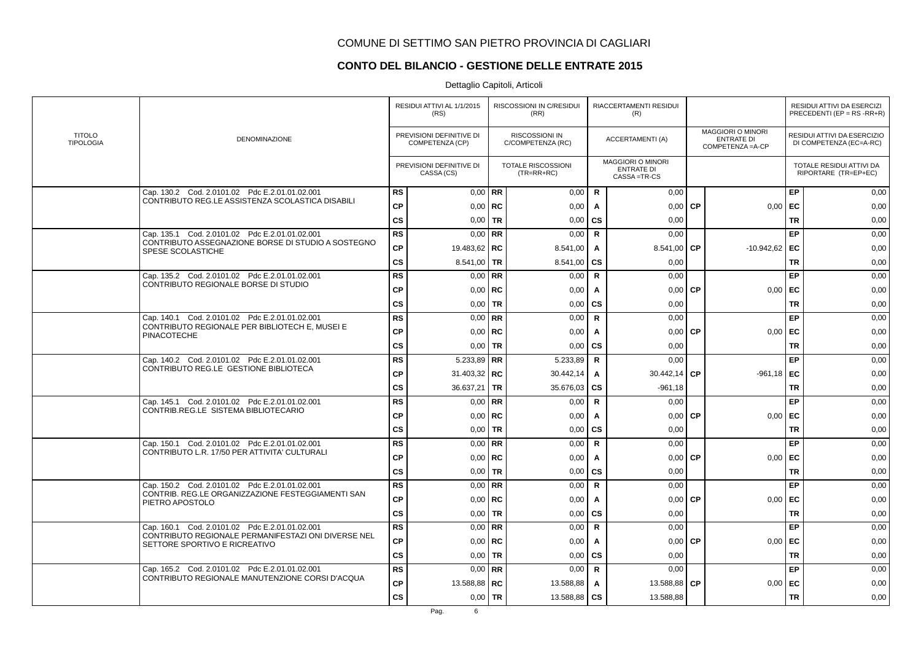# **CONTO DEL BILANCIO - GESTIONE DELLE ENTRATE 2015**

|                                   |                                                                                      |               | RESIDUI ATTIVI AL 1/1/2015<br>(RS)          |             | RISCOSSIONI IN C/RESIDUI<br>(RR)           |              | RIACCERTAMENTI RESIDUI<br>(R)                                |           |                                                                    |           | RESIDUI ATTIVI DA ESERCIZI<br>PRECEDENTI (EP = $RS$ -RR+R) |
|-----------------------------------|--------------------------------------------------------------------------------------|---------------|---------------------------------------------|-------------|--------------------------------------------|--------------|--------------------------------------------------------------|-----------|--------------------------------------------------------------------|-----------|------------------------------------------------------------|
| <b>TITOLO</b><br><b>TIPOLOGIA</b> | DENOMINAZIONE                                                                        |               | PREVISIONI DEFINITIVE DI<br>COMPETENZA (CP) |             | <b>RISCOSSIONI IN</b><br>C/COMPETENZA (RC) |              | <b>ACCERTAMENTI (A)</b>                                      |           | <b>MAGGIORI O MINORI</b><br><b>ENTRATE DI</b><br>COMPETENZA = A-CP |           | RESIDUI ATTIVI DA ESERCIZIO<br>DI COMPETENZA (EC=A-RC)     |
|                                   |                                                                                      |               | PREVISIONI DEFINITIVE DI<br>CASSA (CS)      |             | <b>TOTALE RISCOSSIONI</b><br>$(TR=RR+RC)$  |              | <b>MAGGIORI O MINORI</b><br><b>ENTRATE DI</b><br>CASSA=TR-CS |           |                                                                    |           | TOTALE RESIDUI ATTIVI DA<br>RIPORTARE (TR=EP+EC)           |
|                                   | Cap. 130.2 Cod. 2.0101.02 Pdc E.2.01.01.02.001                                       | <b>RS</b>     |                                             | $0.00$ RR   | 0,00                                       | R            | 0,00                                                         |           |                                                                    | EP        | 0,00                                                       |
|                                   | CONTRIBUTO REG.LE ASSISTENZA SCOLASTICA DISABILI                                     | <b>CP</b>     |                                             | $0.00$ RC   | 0,00                                       | A            | 0,00                                                         | <b>CP</b> | 0,00                                                               | EC        | 0,00                                                       |
|                                   |                                                                                      | <b>CS</b>     |                                             | $0.00$ TR   | 0,00                                       | <b>CS</b>    | 0.00                                                         |           |                                                                    | <b>TR</b> | 0,00                                                       |
|                                   | Cap. 135.1 Cod. 2.0101.02 Pdc E.2.01.01.02.001                                       | RS            |                                             | $0,00$ RR   | 0,00                                       | $\mathbf R$  | 0,00                                                         |           |                                                                    | EP        | 0,00                                                       |
|                                   | CONTRIBUTO ASSEGNAZIONE BORSE DI STUDIO A SOSTEGNO<br>SPESE SCOLASTICHE              | ${\bf CP}$    | 19.483,62   RC                              |             | 8.541,00                                   | A            | 8.541,00                                                     | <b>CP</b> | $-10.942,62$                                                       | EC        | 0,00                                                       |
|                                   |                                                                                      | <b>CS</b>     | $8.541,00$ TR                               |             | 8.541,00                                   | <b>CS</b>    | 0,00                                                         |           |                                                                    | <b>TR</b> | 0,00                                                       |
|                                   | Cap. 135.2 Cod. 2.0101.02 Pdc E.2.01.01.02.001                                       | <b>RS</b>     |                                             | $0.00$ RR   | 0,00                                       | $\mathsf{R}$ | 0,00                                                         |           |                                                                    | EP        | 0,00                                                       |
|                                   | CONTRIBUTO REGIONALE BORSE DI STUDIO                                                 | <b>CP</b>     |                                             | $0.00$ RC   | 0,00                                       | A            | 0.00                                                         | <b>CP</b> | 0.00                                                               | EC        | 0,00                                                       |
|                                   |                                                                                      | $\mathsf{cs}$ |                                             | $0,00$ TR   | 0,00                                       | <b>CS</b>    | 0,00                                                         |           |                                                                    | <b>TR</b> | 0,00                                                       |
|                                   | Cap. 140.1 Cod. 2.0101.02 Pdc E.2.01.01.02.001                                       | RS            |                                             | $0,00$ RR   | 0,00                                       | $\mathbf R$  | 0,00                                                         |           |                                                                    | EP        | 0,00                                                       |
|                                   | CONTRIBUTO REGIONALE PER BIBLIOTECH E, MUSEI E<br><b>PINACOTECHE</b>                 | <b>CP</b>     |                                             | $0,00$   RC | 0,00                                       | A            | 0,00                                                         | <b>CP</b> | 0,00                                                               | EC        | 0,00                                                       |
|                                   |                                                                                      | <b>CS</b>     |                                             | $0.00$ TR   | 0,00                                       | <b>CS</b>    | 0,00                                                         |           |                                                                    | <b>TR</b> | 0,00                                                       |
|                                   | Cap. 140.2 Cod. 2.0101.02 Pdc E.2.01.01.02.001                                       | <b>RS</b>     | 5.233,89 RR                                 |             | 5.233,89                                   | R            | 0,00                                                         |           |                                                                    | EP        | 0,00                                                       |
|                                   | CONTRIBUTO REG.LE GESTIONE BIBLIOTECA                                                | <b>CP</b>     | 31.403,32   RC                              |             | 30.442,14                                  | A            | 30.442,14                                                    | <b>CP</b> | $-961,18$                                                          | EC        | 0,00                                                       |
|                                   |                                                                                      | $\mathsf{cs}$ | 36.637,21   TR                              |             | 35.676,03                                  | <b>CS</b>    | $-961,18$                                                    |           |                                                                    | <b>TR</b> | 0,00                                                       |
|                                   | Cap. 145.1 Cod. 2.0101.02 Pdc E.2.01.01.02.001                                       | <b>RS</b>     |                                             | $0.00$ RR   | 0,00                                       | $\mathbf R$  | 0.00                                                         |           |                                                                    | EP        | 0,00                                                       |
|                                   | CONTRIB.REG.LE SISTEMA BIBLIOTECARIO                                                 | <b>CP</b>     |                                             | $0,00$ RC   | 0,00                                       | A            | 0,00                                                         | <b>CP</b> | 0,00                                                               | EC        | 0,00                                                       |
|                                   |                                                                                      | <b>CS</b>     |                                             | $0,00$   TR | 0,00                                       | <b>CS</b>    | 0.00                                                         |           |                                                                    | <b>TR</b> | 0,00                                                       |
|                                   | Cap. 150.1 Cod. 2.0101.02 Pdc E.2.01.01.02.001                                       | <b>RS</b>     |                                             | $0.00$ RR   | 0,00                                       | $\mathsf{R}$ | 0.00                                                         |           |                                                                    | EP        | 0,00                                                       |
|                                   | CONTRIBUTO L.R. 17/50 PER ATTIVITA' CULTURALI                                        | <b>CP</b>     |                                             | $0,00$ RC   | 0,00                                       | A            | 0,00                                                         | <b>CP</b> | 0,00                                                               | EC        | 0,00                                                       |
|                                   |                                                                                      | cs            | 0,00                                        | <b>TR</b>   | 0,00                                       | <b>CS</b>    | 0,00                                                         |           |                                                                    | <b>TR</b> | 0,00                                                       |
|                                   | Cap. 150.2 Cod. 2.0101.02 Pdc E.2.01.01.02.001                                       | <b>RS</b>     |                                             | $0.00$ RR   | 0,00                                       | R            | 0,00                                                         |           |                                                                    | EP        | 0,00                                                       |
|                                   | CONTRIB. REG.LE ORGANIZZAZIONE FESTEGGIAMENTI SAN<br>PIETRO APOSTOLO                 | <b>CP</b>     |                                             | $0,00$ RC   | 0,00                                       | A            | 0.00                                                         | <b>CP</b> | 0,00                                                               | EC        | 0,00                                                       |
|                                   |                                                                                      | <b>CS</b>     |                                             | $0.00$ TR   | 0,00                                       | <b>CS</b>    | 0.00                                                         |           |                                                                    | <b>TR</b> | 0,00                                                       |
|                                   | Cap. 160.1 Cod. 2.0101.02 Pdc E.2.01.01.02.001                                       | <b>RS</b>     |                                             | $0,00$ RR   | 0,00                                       | $\mathsf{R}$ | 0,00                                                         |           |                                                                    | EP        | 0,00                                                       |
|                                   | CONTRIBUTO REGIONALE PERMANIFESTAZI ONI DIVERSE NEL<br>SETTORE SPORTIVO E RICREATIVO | <b>CP</b>     |                                             | $0.00$ RC   | 0,00                                       | A            | 0,00                                                         | <b>CP</b> | 0,00                                                               | EC        | 0,00                                                       |
|                                   |                                                                                      | <b>CS</b>     | 0,00                                        | <b>TR</b>   | 0,00                                       | <b>CS</b>    | 0.00                                                         |           |                                                                    | <b>TR</b> | 0,00                                                       |
|                                   | Cap. 165.2 Cod. 2.0101.02 Pdc E.2.01.01.02.001                                       | <b>RS</b>     |                                             | $0.00$ RR   | 0,00                                       | R            | 0,00                                                         |           |                                                                    | EP        | 0,00                                                       |
|                                   | CONTRIBUTO REGIONALE MANUTENZIONE CORSI D'ACQUA                                      | <b>CP</b>     | 13.588,88 RC                                |             | 13.588,88                                  | A            | 13.588,88 CP                                                 |           | 0,00                                                               | EC        | 0,00                                                       |
|                                   |                                                                                      | <b>CS</b>     |                                             | $0,00$   TR | 13.588,88                                  | <b>CS</b>    | 13.588,88                                                    |           |                                                                    | <b>TR</b> | 0,00                                                       |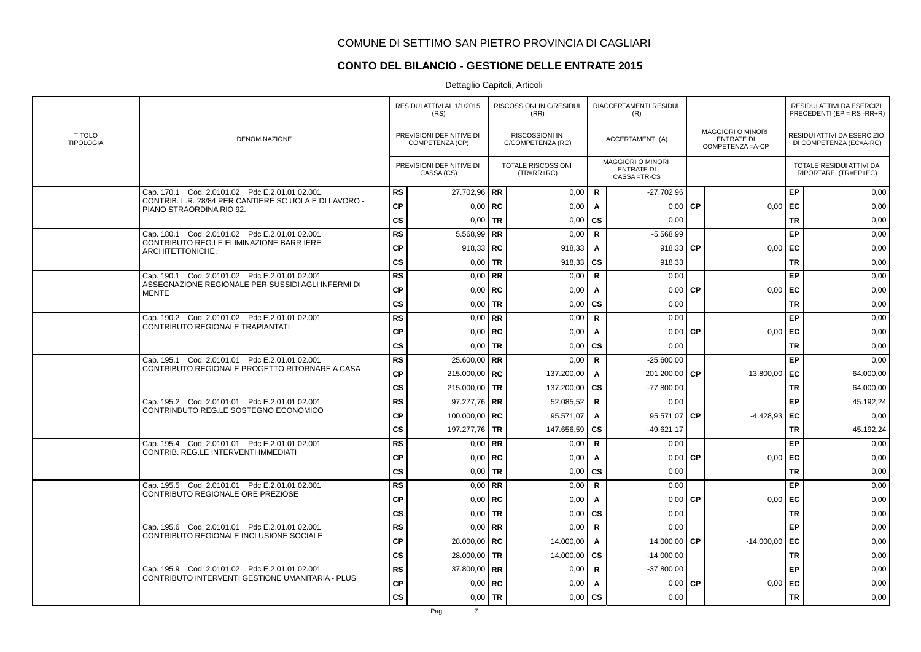# **CONTO DEL BILANCIO - GESTIONE DELLE ENTRATE 2015**

|                                   |                                                                                    |               | RESIDUI ATTIVI AL 1/1/2015<br>(RS)          |             | RISCOSSIONI IN C/RESIDUI<br>(RR)           |              | RIACCERTAMENTI RESIDUI<br>(R)                                |           |                                                                    |           | RESIDUI ATTIVI DA ESERCIZI<br>PRECEDENTI (EP = $RS$ -RR+R) |
|-----------------------------------|------------------------------------------------------------------------------------|---------------|---------------------------------------------|-------------|--------------------------------------------|--------------|--------------------------------------------------------------|-----------|--------------------------------------------------------------------|-----------|------------------------------------------------------------|
| <b>TITOLO</b><br><b>TIPOLOGIA</b> | DENOMINAZIONE                                                                      |               | PREVISIONI DEFINITIVE DI<br>COMPETENZA (CP) |             | <b>RISCOSSIONI IN</b><br>C/COMPETENZA (RC) |              | <b>ACCERTAMENTI (A)</b>                                      |           | <b>MAGGIORI O MINORI</b><br><b>ENTRATE DI</b><br>COMPETENZA = A-CP |           | RESIDUI ATTIVI DA ESERCIZIO<br>DI COMPETENZA (EC=A-RC)     |
|                                   |                                                                                    |               | PREVISIONI DEFINITIVE DI<br>CASSA (CS)      |             | <b>TOTALE RISCOSSIONI</b><br>$(TR=RR+RC)$  |              | <b>MAGGIORI O MINORI</b><br><b>ENTRATE DI</b><br>CASSA=TR-CS |           |                                                                    |           | TOTALE RESIDUI ATTIVI DA<br>RIPORTARE (TR=EP+EC)           |
|                                   | Cap. 170.1 Cod. 2.0101.02 Pdc E.2.01.01.02.001                                     | <b>RS</b>     | 27.702,96   RR                              |             | 0,00                                       | $\mathsf{R}$ | $-27.702,96$                                                 |           |                                                                    | EP        | 0,00                                                       |
|                                   | CONTRIB. L.R. 28/84 PER CANTIERE SC UOLA E DI LAVORO -<br>PIANO STRAORDINA RIO 92. | <b>CP</b>     | $0,00$ RC                                   |             | 0,00                                       | A            | 0,00                                                         | <b>CP</b> | 0,00                                                               | EC        | 0,00                                                       |
|                                   |                                                                                    | <b>CS</b>     |                                             | $0.00$ TR   | 0,00                                       | CS           | 0,00                                                         |           |                                                                    | <b>TR</b> | 0,00                                                       |
|                                   | Cap. 180.1 Cod. 2.0101.02 Pdc E.2.01.01.02.001                                     | <b>RS</b>     | 5.568,99   RR                               |             | 0,00                                       | $\mathbf R$  | $-5.568,99$                                                  |           |                                                                    | EP        | 0,00                                                       |
|                                   | CONTRIBUTO REG.LE ELIMINAZIONE BARR IERE<br>ARCHITETTONICHE.                       | <b>CP</b>     | 918,33   RC                                 |             | 918,33                                     | A            | 918,33                                                       | <b>CP</b> | 0,00                                                               | EC        | 0,00                                                       |
|                                   |                                                                                    | <b>CS</b>     | $0,00$ TR                                   |             | 918,33                                     | CS           | 918,33                                                       |           |                                                                    | <b>TR</b> | 0,00                                                       |
|                                   | Cap. 190.1 Cod. 2.0101.02 Pdc E.2.01.01.02.001                                     | <b>RS</b>     |                                             | $0.00$ RR   | 0,00                                       | $\mathbf R$  | 0,00                                                         |           |                                                                    | EP        | 0,00                                                       |
|                                   | ASSEGNAZIONE REGIONALE PER SUSSIDI AGLI INFERMI DI<br><b>MENTE</b>                 | <b>CP</b>     | $0,00$ RC                                   |             | 0,00                                       | $\mathsf{A}$ | 0,00                                                         | <b>CP</b> | 0,00                                                               | EC        | 0,00                                                       |
|                                   |                                                                                    | <b>CS</b>     | $0,00$ TR                                   |             | 0,00                                       | <b>CS</b>    | 0,00                                                         |           |                                                                    | <b>TR</b> | 0,00                                                       |
|                                   | Cap. 190.2 Cod. 2.0101.02 Pdc E.2.01.01.02.001                                     | <b>RS</b>     | $0.00$ RR                                   |             | 0,00                                       | $\mathbf R$  | 0,00                                                         |           |                                                                    | EP        | 0,00                                                       |
|                                   | <b>CONTRIBUTO REGIONALE TRAPIANTATI</b>                                            | <b>CP</b>     | $0,00$   RC                                 |             | 0,00                                       | Α            | 0,00                                                         | <b>CP</b> | 0,00                                                               | EC        | 0,00                                                       |
|                                   |                                                                                    | <b>CS</b>     | $0,00$ TR                                   |             | 0,00                                       | <b>CS</b>    | 0,00                                                         |           |                                                                    | <b>TR</b> | 0,00                                                       |
|                                   | Cap. 195.1 Cod. 2.0101.01 Pdc E.2.01.01.02.001                                     | <b>RS</b>     | 25.600,00 RR                                |             | 0,00                                       | $\mathbf R$  | $-25.600,00$                                                 |           |                                                                    | EP        | 0,00                                                       |
|                                   | CONTRIBUTO REGIONALE PROGETTO RITORNARE A CASA                                     | CP            | 215.000,00   RC                             |             | 137.200,00                                 | A            | 201.200,00                                                   | <b>CP</b> | $-13.800,00$                                                       | EC        | 64.000,00                                                  |
|                                   |                                                                                    | $\mathsf{cs}$ | 215.000,00 TR                               |             | 137.200,00                                 | <b>CS</b>    | $-77.800,00$                                                 |           |                                                                    | <b>TR</b> | 64.000,00                                                  |
|                                   | Cap. 195.2 Cod. 2.0101.01 Pdc E.2.01.01.02.001                                     | <b>RS</b>     | 97.277,76 RR                                |             | 52.085,52                                  | $\mathbf R$  | 0,00                                                         |           |                                                                    | EP        | 45.192,24                                                  |
|                                   | CONTRINBUTO REG.LE SOSTEGNO ECONOMICO                                              | <b>CP</b>     | 100.000,00   RC                             |             | 95.571,07                                  | A            | 95.571,07 CP                                                 |           | $-4.428.93$ EC                                                     |           | 0,00                                                       |
|                                   |                                                                                    | <b>CS</b>     | 197.277,76 TR                               |             | 147.656,59                                 | <b>CS</b>    | $-49.621,17$                                                 |           |                                                                    | <b>TR</b> | 45.192,24                                                  |
|                                   | Cap. 195.4 Cod. 2.0101.01 Pdc E.2.01.01.02.001                                     | <b>RS</b>     |                                             | $0,00$ RR   | 0,00                                       | $\mathsf{R}$ | 0,00                                                         |           |                                                                    | EP        | 0,00                                                       |
|                                   | CONTRIB. REG.LE INTERVENTI IMMEDIATI                                               | <b>CP</b>     | $0,00$ RC                                   |             | 0,00                                       | Α            | 0,00                                                         | <b>CP</b> | 0,00                                                               | EC        | 0,00                                                       |
|                                   |                                                                                    | <b>CS</b>     | $0,00$ TR                                   |             | 0,00                                       | CS           | 0,00                                                         |           |                                                                    | <b>TR</b> | 0,00                                                       |
|                                   | Cap. 195.5 Cod. 2.0101.01 Pdc E.2.01.01.02.001                                     | <b>RS</b>     |                                             | $0.00$ RR   | 0,00                                       | $\mathbf R$  | 0.00                                                         |           |                                                                    | EP        | 0,00                                                       |
|                                   | CONTRIBUTO REGIONALE ORE PREZIOSE                                                  | <b>CP</b>     |                                             | $0.00$ RC   | 0,00                                       | A            | 0.00                                                         | <b>CP</b> | 0.00                                                               | EC        | 0,00                                                       |
|                                   |                                                                                    | $\mathsf{cs}$ | $0,00$ TR                                   |             | 0,00                                       | CS           | 0,00                                                         |           |                                                                    | <b>TR</b> | 0,00                                                       |
|                                   | Cap. 195.6 Cod. 2.0101.01 Pdc E.2.01.01.02.001                                     | <b>RS</b>     | $0.00$ RR                                   |             | 0,00                                       | $\mathsf{R}$ | 0,00                                                         |           |                                                                    | EP        | 0,00                                                       |
|                                   | CONTRIBUTO REGIONALE INCLUSIONE SOCIALE                                            | <b>CP</b>     | 28.000,00   RC                              |             | 14.000,00                                  | A            | 14.000,00 CP                                                 |           | $-14.000,00$                                                       | EC        | 0,00                                                       |
|                                   |                                                                                    | <b>CS</b>     | 28.000,00 TR                                |             | 14.000,00                                  | CS           | $-14.000,00$                                                 |           |                                                                    | <b>TR</b> | 0,00                                                       |
|                                   | Cap. 195.9 Cod. 2.0101.02 Pdc E.2.01.01.02.001                                     | <b>RS</b>     | 37.800,00 RR                                |             | 0,00                                       | $\mathbf R$  | $-37.800,00$                                                 |           |                                                                    | EP        | 0,00                                                       |
|                                   | CONTRIBUTO INTERVENTI GESTIONE UMANITARIA - PLUS                                   | <b>CP</b>     |                                             | $0,00$   RC | 0,00                                       | A            | 0,00                                                         | <b>CP</b> | 0,00                                                               | EC        | 0,00                                                       |
|                                   |                                                                                    | <b>CS</b>     | $0,00$ TR                                   |             | 0,00                                       | CS           | 0,00                                                         |           |                                                                    | <b>TR</b> | 0,00                                                       |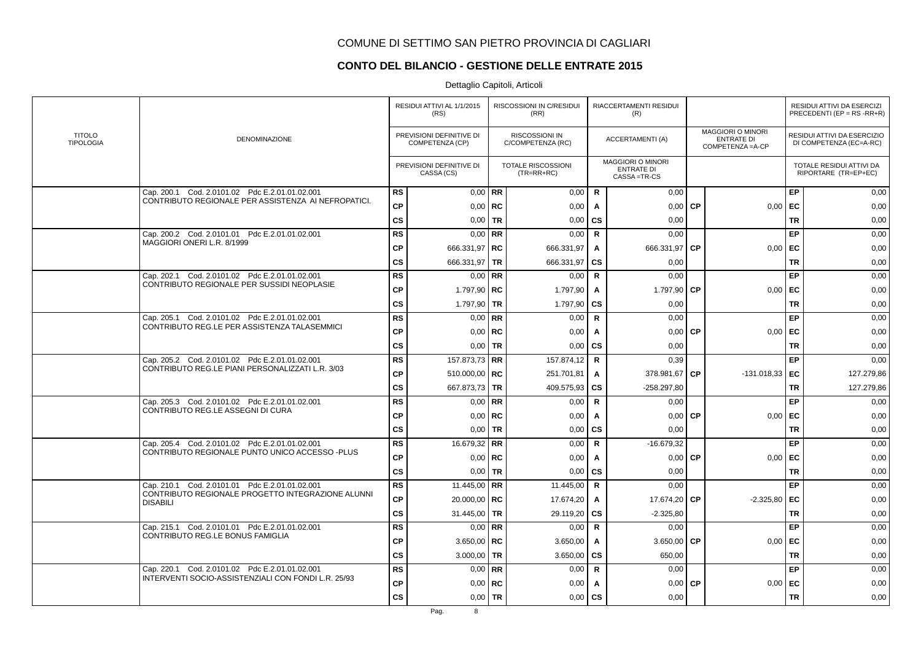# **CONTO DEL BILANCIO - GESTIONE DELLE ENTRATE 2015**

|                                   |                                                                      |               | RESIDUI ATTIVI AL 1/1/2015<br>(RS)          |             | RISCOSSIONI IN C/RESIDUI<br>(RR)          |              | RIACCERTAMENTI RESIDUI<br>(R)                                |           |                                                                    |           | RESIDUI ATTIVI DA ESERCIZI<br>PRECEDENTI (EP = $RS$ -RR+R) |
|-----------------------------------|----------------------------------------------------------------------|---------------|---------------------------------------------|-------------|-------------------------------------------|--------------|--------------------------------------------------------------|-----------|--------------------------------------------------------------------|-----------|------------------------------------------------------------|
| <b>TITOLO</b><br><b>TIPOLOGIA</b> | DENOMINAZIONE                                                        |               | PREVISIONI DEFINITIVE DI<br>COMPETENZA (CP) |             | RISCOSSIONI IN<br>C/COMPETENZA (RC)       |              | <b>ACCERTAMENTI (A)</b>                                      |           | <b>MAGGIORI O MINORI</b><br><b>ENTRATE DI</b><br>COMPETENZA = A-CP |           | RESIDUI ATTIVI DA ESERCIZIO<br>DI COMPETENZA (EC=A-RC)     |
|                                   |                                                                      |               | PREVISIONI DEFINITIVE DI<br>CASSA (CS)      |             | <b>TOTALE RISCOSSIONI</b><br>$(TR=RR+RC)$ |              | <b>MAGGIORI O MINORI</b><br><b>ENTRATE DI</b><br>CASSA=TR-CS |           |                                                                    |           | TOTALE RESIDUI ATTIVI DA<br>RIPORTARE (TR=EP+EC)           |
|                                   | Cap. 200.1 Cod. 2.0101.02 Pdc E.2.01.01.02.001                       | <b>RS</b>     | $0.00$ RR                                   |             | 0,00                                      | $\mathsf{R}$ | 0,00                                                         |           |                                                                    | EP        | 0,00                                                       |
|                                   | CONTRIBUTO REGIONALE PER ASSISTENZA AI NEFROPATICI.                  | <b>CP</b>     | $0,00$ RC                                   |             | 0,00                                      | $\mathbf{A}$ | 0,00                                                         | <b>CP</b> | 0,00                                                               | EC        | 0,00                                                       |
|                                   |                                                                      | <b>CS</b>     |                                             | $0.00$ TR   | 0,00                                      | <b>CS</b>    | 0,00                                                         |           |                                                                    | <b>TR</b> | 0,00                                                       |
|                                   | Cap. 200.2 Cod. 2.0101.01 Pdc E.2.01.01.02.001                       | <b>RS</b>     |                                             | $0,00$ RR   | 0,00                                      | $\mathbf R$  | 0.00                                                         |           |                                                                    | EP        | 0,00                                                       |
|                                   | MAGGIORI ONERI L.R. 8/1999                                           | <b>CP</b>     | 666.331,97   RC                             |             | 666.331,97                                | Α            | 666.331,97                                                   | <b>CP</b> | 0,00                                                               | EC        | 0,00                                                       |
|                                   |                                                                      | <b>CS</b>     | 666.331,97   TR                             |             | 666.331,97                                | <b>CS</b>    | 0,00                                                         |           |                                                                    | <b>TR</b> | 0,00                                                       |
|                                   | Cap. 202.1 Cod. 2.0101.02 Pdc E.2.01.01.02.001                       | <b>RS</b>     | $0,00$ RR                                   |             | 0,00                                      | $\mathbf R$  | 0,00                                                         |           |                                                                    | EP        | 0,00                                                       |
|                                   | CONTRIBUTO REGIONALE PER SUSSIDI NEOPLASIE                           | <b>CP</b>     | 1.797,90   $RC$                             |             | 1.797,90                                  | A            | 1.797,90                                                     | <b>CP</b> | 0,00                                                               | EC        | 0,00                                                       |
|                                   |                                                                      | $\mathsf{cs}$ | 1.797,90 TR                                 |             | 1.797,90                                  | <b>CS</b>    | 0,00                                                         |           |                                                                    | <b>TR</b> | 0,00                                                       |
|                                   | Cap. 205.1 Cod. 2.0101.02 Pdc E.2.01.01.02.001                       | <b>RS</b>     |                                             | $0,00$ RR   | 0,00                                      | $\mathsf{R}$ | 0,00                                                         |           |                                                                    | EP        | 0,00                                                       |
|                                   | CONTRIBUTO REG.LE PER ASSISTENZA TALASEMMICI                         | <b>CP</b>     | $0,00$   RC                                 |             | 0,00                                      | A            | 0,00                                                         | <b>CP</b> | 0,00                                                               | EC        | 0,00                                                       |
|                                   |                                                                      | <b>CS</b>     | $0.00$ TR                                   |             | 0,00                                      | <b>CS</b>    | 0,00                                                         |           |                                                                    | <b>TR</b> | 0,00                                                       |
|                                   | Cap. 205.2 Cod. 2.0101.02 Pdc E.2.01.01.02.001                       | <b>RS</b>     | 157.873,73 RR                               |             | 157.874,12                                | $\mathbf R$  | 0,39                                                         |           |                                                                    | EP        | 0,00                                                       |
|                                   | CONTRIBUTO REG.LE PIANI PERSONALIZZATI L.R. 3/03                     | <b>CP</b>     | 510.000,00   RC                             |             | 251.701,81                                | A            | 378.981,67                                                   | <b>CP</b> | $-131.018,33$ EC                                                   |           | 127.279,86                                                 |
|                                   |                                                                      | <b>CS</b>     | 667.873,73 TR                               |             | 409.575,93                                | <b>CS</b>    | $-258.297,80$                                                |           |                                                                    | <b>TR</b> | 127.279,86                                                 |
|                                   | Cap. 205.3 Cod. 2.0101.02 Pdc E.2.01.01.02.001                       | <b>RS</b>     | $0,00$ RR                                   |             | 0,00                                      | $\mathbf R$  | 0,00                                                         |           |                                                                    | EP        | 0,00                                                       |
|                                   | CONTRIBUTO REG.LE ASSEGNI DI CURA                                    | <b>CP</b>     |                                             | $0,00$ RC   | 0,00                                      | A            | $0,00$ CP                                                    |           | $0,00$ EC                                                          |           | 0,00                                                       |
|                                   |                                                                      | $\mathsf{cs}$ |                                             | $0,00$   TR | 0,00                                      | CS           | 0,00                                                         |           |                                                                    | <b>TR</b> | 0,00                                                       |
|                                   | Cap. 205.4 Cod. 2.0101.02 Pdc E.2.01.01.02.001                       | <b>RS</b>     | 16.679,32 RR                                |             | 0,00                                      | $\mathsf{R}$ | $-16.679,32$                                                 |           |                                                                    | EP        | 0,00                                                       |
|                                   | CONTRIBUTO REGIONALE PUNTO UNICO ACCESSO -PLUS                       | <b>CP</b>     | $0,00$ RC                                   |             | 0,00                                      | A            | 0,00                                                         | <b>CP</b> | 0,00                                                               | EC        | 0,00                                                       |
|                                   |                                                                      | <b>CS</b>     | $0,00$ TR                                   |             | 0,00                                      | <b>CS</b>    | 0,00                                                         |           |                                                                    | <b>TR</b> | 0,00                                                       |
|                                   | Cap. 210.1 Cod. 2.0101.01 Pdc E.2.01.01.02.001                       | <b>RS</b>     | 11.445,00   RR                              |             | 11.445,00                                 | $\mathsf{R}$ | 0,00                                                         |           |                                                                    | EP        | 0,00                                                       |
|                                   | CONTRIBUTO REGIONALE PROGETTO INTEGRAZIONE ALUNNI<br><b>DISABILI</b> | <b>CP</b>     | 20.000,00   RC                              |             | 17.674,20                                 | A            | 17.674,20 CP                                                 |           | $-2.325,80$                                                        | EC        | 0,00                                                       |
|                                   |                                                                      | <b>CS</b>     | 31.445,00   TR                              |             | 29.119,20                                 | <b>CS</b>    | $-2.325.80$                                                  |           |                                                                    | <b>TR</b> | 0,00                                                       |
|                                   | Cap. 215.1 Cod. 2.0101.01 Pdc E.2.01.01.02.001                       | <b>RS</b>     | $0.00$ RR                                   |             | 0,00                                      | $\mathsf{R}$ | 0,00                                                         |           |                                                                    | EP        | 0,00                                                       |
|                                   | CONTRIBUTO REG.LE BONUS FAMIGLIA                                     | <b>CP</b>     | 3.650,00   RC                               |             | 3.650,00                                  | Α            | 3.650,00                                                     | <b>CP</b> | 0,00                                                               | EC        | 0,00                                                       |
|                                   |                                                                      | <b>CS</b>     | 3.000,00 TR                                 |             | 3.650,00                                  | <b>CS</b>    | 650,00                                                       |           |                                                                    | <b>TR</b> | 0,00                                                       |
|                                   | Cap. 220.1 Cod. 2.0101.02 Pdc E.2.01.01.02.001                       | <b>RS</b>     | $0.00$ RR                                   |             | 0,00                                      | $\mathbf R$  | 0,00                                                         |           |                                                                    | EP        | 0,00                                                       |
|                                   | INTERVENTI SOCIO-ASSISTENZIALI CON FONDI L.R. 25/93                  | СP            |                                             | $0,00$ RC   | 0,00                                      | A            | 0,00                                                         | <b>CP</b> | 0,00                                                               | EC        | 0,00                                                       |
|                                   |                                                                      | <b>CS</b>     | $0,00$   TR                                 |             | 0,00                                      | CS           | 0,00                                                         |           |                                                                    | <b>TR</b> | 0,00                                                       |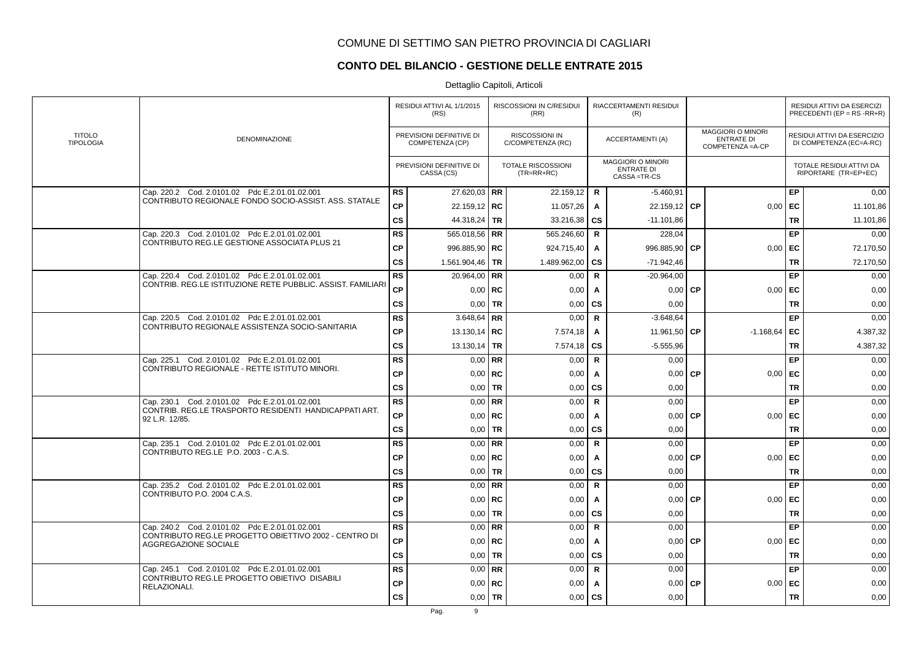### **CONTO DEL BILANCIO - GESTIONE DELLE ENTRATE 2015**

|                                   |                                                                               |               | RESIDUI ATTIVI AL 1/1/2015<br>(RS)          | RISCOSSIONI IN C/RESIDUI<br>(RR)          |              | RIACCERTAMENTI RESIDUI<br>(R)                                  |           |                                                                    |           | RESIDUI ATTIVI DA ESERCIZI<br>PRECEDENTI (EP = $RS$ -RR+R) |
|-----------------------------------|-------------------------------------------------------------------------------|---------------|---------------------------------------------|-------------------------------------------|--------------|----------------------------------------------------------------|-----------|--------------------------------------------------------------------|-----------|------------------------------------------------------------|
| <b>TITOLO</b><br><b>TIPOLOGIA</b> | <b>DENOMINAZIONE</b>                                                          |               | PREVISIONI DEFINITIVE DI<br>COMPETENZA (CP) | RISCOSSIONI IN<br>C/COMPETENZA (RC)       |              | <b>ACCERTAMENTI (A)</b>                                        |           | <b>MAGGIORI O MINORI</b><br><b>ENTRATE DI</b><br>COMPETENZA = A-CP |           | RESIDUI ATTIVI DA ESERCIZIO<br>DI COMPETENZA (EC=A-RC)     |
|                                   |                                                                               |               | PREVISIONI DEFINITIVE DI<br>CASSA (CS)      | <b>TOTALE RISCOSSIONI</b><br>$(TR=RR+RC)$ |              | <b>MAGGIORI O MINORI</b><br><b>ENTRATE DI</b><br>CASSA = TR-CS |           |                                                                    |           | TOTALE RESIDUI ATTIVI DA<br>RIPORTARE (TR=EP+EC)           |
|                                   | Cap. 220.2 Cod. 2.0101.02 Pdc E.2.01.01.02.001                                | <b>RS</b>     | $27.620.03$ RR                              | 22.159,12                                 | R            | $-5.460,91$                                                    |           |                                                                    | EP        | 0,00                                                       |
|                                   | CONTRIBUTO REGIONALE FONDO SOCIO-ASSIST. ASS. STATALE                         | <b>CP</b>     | 22.159,12   RC                              | 11.057,26                                 | $\mathbf{A}$ | 22.159,12 CP                                                   |           | 0,00                                                               | EC        | 11.101,86                                                  |
|                                   |                                                                               | <b>CS</b>     | 44.318,24 TR                                | 33.216,38                                 | <b>CS</b>    | $-11.101,86$                                                   |           |                                                                    | <b>TR</b> | 11.101,86                                                  |
|                                   | Cap. 220.3 Cod. 2.0101.02 Pdc E.2.01.01.02.001                                | <b>RS</b>     | 565.018,56   RR                             | 565.246,60                                | R            | 228,04                                                         |           |                                                                    | EP        | 0,00                                                       |
|                                   | CONTRIBUTO REG.LE GESTIONE ASSOCIATA PLUS 21                                  | <b>CP</b>     | 996.885,90   RC                             | 924.715,40                                | A            | 996.885,90                                                     | <b>CP</b> | 0,00                                                               | EC        | 72.170,50                                                  |
|                                   |                                                                               | <b>CS</b>     | 1.561.904,46   TR                           | 1.489.962,00                              | <b>CS</b>    | $-71.942,46$                                                   |           |                                                                    | <b>TR</b> | 72.170,50                                                  |
|                                   | Cap. 220.4 Cod. 2.0101.02 Pdc E.2.01.01.02.001                                | <b>RS</b>     | 20.964,00 RR                                | 0,00                                      | $\mathsf{R}$ | $-20.964.00$                                                   |           |                                                                    | EP        | 0,00                                                       |
|                                   | CONTRIB. REG.LE ISTITUZIONE RETE PUBBLIC. ASSIST. FAMILIARI                   | <b>CP</b>     | $0,00$ RC                                   | 0,00                                      | A            | 0,00                                                           | <b>CP</b> | 0,00                                                               | EC        | 0,00                                                       |
|                                   |                                                                               | <b>CS</b>     | $0.00$ TR                                   | 0,00                                      | <b>CS</b>    | 0,00                                                           |           |                                                                    | <b>TR</b> | 0,00                                                       |
|                                   | Cap. 220.5 Cod. 2.0101.02 Pdc E.2.01.01.02.001                                | <b>RS</b>     | $3.648,64$ RR                               | 0,00                                      | $\mathbf R$  | $-3.648.64$                                                    |           |                                                                    | EP        | 0,00                                                       |
|                                   | CONTRIBUTO REGIONALE ASSISTENZA SOCIO-SANITARIA                               | <b>CP</b>     | 13.130,14   RC                              | 7.574,18                                  | A            | 11.961,50                                                      | СP        | $-1.168,64$                                                        | EC        | 4.387,32                                                   |
|                                   |                                                                               | <b>CS</b>     | 13.130,14   TR                              | 7.574,18                                  | <b>CS</b>    | $-5.555,96$                                                    |           |                                                                    | <b>TR</b> | 4.387,32                                                   |
|                                   | Cap. 225.1 Cod. 2.0101.02 Pdc E.2.01.01.02.001                                | <b>RS</b>     | $0,00$ RR                                   | 0,00                                      | $\mathsf{R}$ | 0,00                                                           |           |                                                                    | EP        | 0,00                                                       |
|                                   | CONTRIBUTO REGIONALE - RETTE ISTITUTO MINORI.                                 | <b>CP</b>     | $0,00$ RC                                   | 0,00                                      | A            | 0,00                                                           | <b>CP</b> | 0,00                                                               | l EC      | 0,00                                                       |
|                                   |                                                                               | <b>CS</b>     | $0,00$ TR                                   | 0,00                                      | <b>CS</b>    | 0,00                                                           |           |                                                                    | <b>TR</b> | 0,00                                                       |
|                                   | Cap. 230.1 Cod. 2.0101.02 Pdc E.2.01.01.02.001                                | RS            | $0.00$ RR                                   | 0,00                                      | $\mathsf{R}$ | 0,00                                                           |           |                                                                    | EP        | 0,00                                                       |
|                                   | CONTRIB. REG.LE TRASPORTO RESIDENTI HANDICAPPATI ART.<br>92 L.R. 12/85.       | <b>CP</b>     | $0,00$ RC                                   | 0,00                                      | A            | $0,00$ CP                                                      |           | 0,00                                                               | EC        | 0,00                                                       |
|                                   |                                                                               | <b>CS</b>     | $0,00$ TR                                   | 0,00                                      | <b>CS</b>    | 0,00                                                           |           |                                                                    | <b>TR</b> | 0,00                                                       |
|                                   | Cap. 235.1 Cod. 2.0101.02 Pdc E.2.01.01.02.001                                | <b>RS</b>     | $0.00$ RR                                   | 0,00                                      | $\mathbf R$  | 0.00                                                           |           |                                                                    | EP        | 0,00                                                       |
|                                   | CONTRIBUTO REG.LE P.O. 2003 - C.A.S.                                          | <b>CP</b>     | $0,00$ RC                                   | 0,00                                      | A            | $0,00$ CP                                                      |           | 0,00                                                               | EC        | 0,00                                                       |
|                                   |                                                                               | $\mathsf{cs}$ | $0,00$   TR                                 | 0,00                                      | <b>CS</b>    | 0,00                                                           |           |                                                                    | <b>TR</b> | 0,00                                                       |
|                                   | Cap. 235.2 Cod. 2.0101.02 Pdc E.2.01.01.02.001                                | RS            | $0.00$ RR                                   | 0,00                                      | $\mathbf R$  | 0,00                                                           |           |                                                                    | EP        | 0,00                                                       |
|                                   | CONTRIBUTO P.O. 2004 C.A.S.                                                   | <b>CP</b>     | $0.00$ RC                                   | 0,00                                      | $\mathbf{A}$ | $0,00$ CP                                                      |           | 0,00                                                               | EC        | 0,00                                                       |
|                                   |                                                                               | <b>CS</b>     | $0,00$ TR                                   | 0,00                                      | <b>CS</b>    | 0,00                                                           |           |                                                                    | <b>TR</b> | 0,00                                                       |
|                                   | Cap. 240.2 Cod. 2.0101.02 Pdc E.2.01.01.02.001                                | <b>RS</b>     | $0,00$ RR                                   | 0,00                                      | R            | 0,00                                                           |           |                                                                    | EP        | 0,00                                                       |
|                                   | CONTRIBUTO REG.LE PROGETTO OBIETTIVO 2002 - CENTRO DI<br>AGGREGAZIONE SOCIALE | <b>CP</b>     | $0.00$ RC                                   | 0,00                                      | A            | 0,00                                                           | <b>CP</b> | 0,00                                                               | EC        | 0,00                                                       |
|                                   |                                                                               | $\mathsf{cs}$ | $0,00$   TR                                 | 0,00                                      | <b>CS</b>    | 0,00                                                           |           |                                                                    | <b>TR</b> | 0,00                                                       |
|                                   | Cap. 245.1 Cod. 2.0101.02 Pdc E.2.01.01.02.001                                | <b>RS</b>     | $0,00$ RR                                   | 0,00                                      | $\mathsf{R}$ | 0,00                                                           |           |                                                                    | EP        | 0,00                                                       |
|                                   | CONTRIBUTO REG.LE PROGETTO OBIETIVO DISABILI<br>RELAZIONALI.                  | <b>CP</b>     | $0,00$ RC                                   | 0,00                                      | A            | 0,00                                                           | <b>CP</b> | 0,00                                                               | EC        | 0,00                                                       |
|                                   |                                                                               | <b>CS</b>     | $0,00$   TR                                 | 0,00                                      | CS           | 0,00                                                           |           |                                                                    | <b>TR</b> | 0,00                                                       |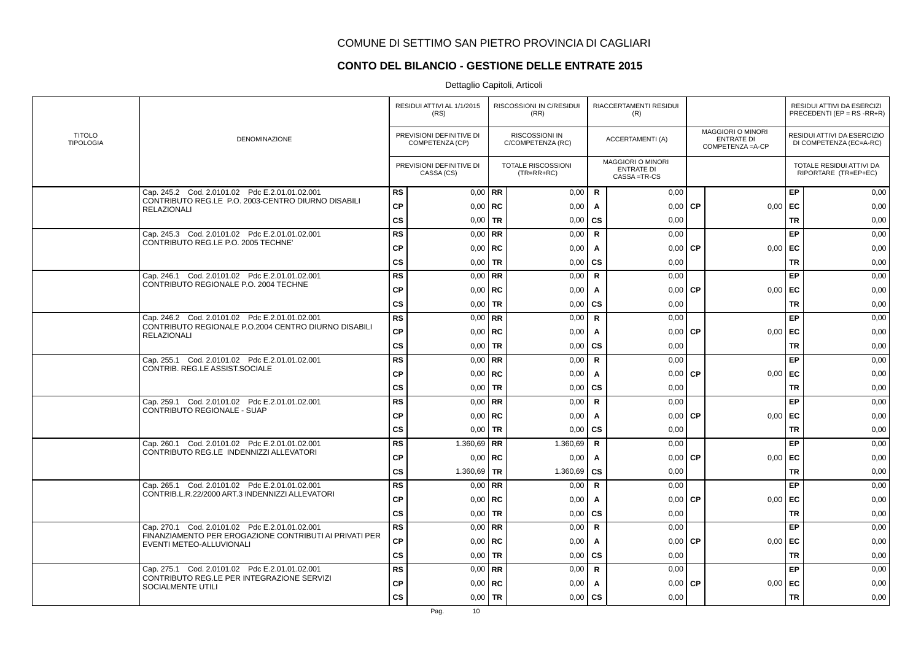### **CONTO DEL BILANCIO - GESTIONE DELLE ENTRATE 2015**

|                                   |                                                                                    |               | RESIDUI ATTIVI AL 1/1/2015<br>(RS)          |             | RISCOSSIONI IN C/RESIDUI<br>(RR)          |              | RIACCERTAMENTI RESIDUI<br>(R)                                  |           |                                                                    |           | RESIDUI ATTIVI DA ESERCIZI<br>PRECEDENTI (EP = $RS$ -RR+R) |
|-----------------------------------|------------------------------------------------------------------------------------|---------------|---------------------------------------------|-------------|-------------------------------------------|--------------|----------------------------------------------------------------|-----------|--------------------------------------------------------------------|-----------|------------------------------------------------------------|
| <b>TITOLO</b><br><b>TIPOLOGIA</b> | <b>DENOMINAZIONE</b>                                                               |               | PREVISIONI DEFINITIVE DI<br>COMPETENZA (CP) |             | RISCOSSIONI IN<br>C/COMPETENZA (RC)       |              | <b>ACCERTAMENTI (A)</b>                                        |           | <b>MAGGIORI O MINORI</b><br><b>ENTRATE DI</b><br>COMPETENZA = A-CP |           | RESIDUI ATTIVI DA ESERCIZIO<br>DI COMPETENZA (EC=A-RC)     |
|                                   |                                                                                    |               | PREVISIONI DEFINITIVE DI<br>CASSA (CS)      |             | <b>TOTALE RISCOSSIONI</b><br>$(TR=RR+RC)$ |              | <b>MAGGIORI O MINORI</b><br><b>ENTRATE DI</b><br>CASSA = TR-CS |           |                                                                    |           | TOTALE RESIDUI ATTIVI DA<br>RIPORTARE (TR=EP+EC)           |
|                                   | Cap. 245.2 Cod. 2.0101.02 Pdc E.2.01.01.02.001                                     | <b>RS</b>     |                                             | $0.00$ RR   | 0,00                                      | R            | 0,00                                                           |           |                                                                    | EP        | 0,00                                                       |
|                                   | CONTRIBUTO REG.LE P.O. 2003-CENTRO DIURNO DISABILI<br><b>RELAZIONALI</b>           | <b>CP</b>     |                                             | $0.00$ RC   | 0,00                                      | $\mathbf{A}$ | 0,00                                                           | <b>CP</b> | 0,00                                                               | EC        | 0,00                                                       |
|                                   |                                                                                    | <b>CS</b>     |                                             | $0.00$ TR   | 0,00                                      | <b>CS</b>    | 0,00                                                           |           |                                                                    | <b>TR</b> | 0,00                                                       |
|                                   | Cap. 245.3 Cod. 2.0101.02 Pdc E.2.01.01.02.001                                     | <b>RS</b>     |                                             | $0,00$ RR   | 0,00                                      | $\mathbf R$  | 0,00                                                           |           |                                                                    | EP        | 0,00                                                       |
|                                   | CONTRIBUTO REG.LE P.O. 2005 TECHNET                                                | <b>CP</b>     |                                             | $0,00$ RC   | 0,00                                      | A            | 0,00                                                           | <b>CP</b> | 0,00                                                               | EC        | 0,00                                                       |
|                                   |                                                                                    | <b>CS</b>     | 0,00                                        | <b>TR</b>   | 0,00                                      | <b>CS</b>    | 0,00                                                           |           |                                                                    | <b>TR</b> | 0,00                                                       |
|                                   | Cap. 246.1 Cod. 2.0101.02 Pdc E.2.01.01.02.001                                     | <b>RS</b>     |                                             | $0.00$ RR   | 0,00                                      | $\mathsf{R}$ | 0,00                                                           |           |                                                                    | EP        | 0,00                                                       |
|                                   | CONTRIBUTO REGIONALE P.O. 2004 TECHNE                                              | <b>CP</b>     |                                             | $0,00$ RC   | 0,00                                      | A            | 0,00                                                           | <b>CP</b> | 0,00                                                               | EC        | 0,00                                                       |
|                                   |                                                                                    | <b>CS</b>     |                                             | $0,00$   TR | 0,00                                      | <b>CS</b>    | 0,00                                                           |           |                                                                    | <b>TR</b> | 0,00                                                       |
|                                   | Cap. 246.2 Cod. 2.0101.02 Pdc E.2.01.01.02.001                                     | <b>RS</b>     |                                             | $0,00$ RR   | 0,00                                      | $\mathbf R$  | 0.00                                                           |           |                                                                    | EP        | 0,00                                                       |
|                                   | CONTRIBUTO REGIONALE P.O.2004 CENTRO DIURNO DISABILI<br><b>RELAZIONALI</b>         | ${\bf CP}$    |                                             | $0,00$   RC | 0,00                                      | A            | 0,00                                                           | <b>CP</b> | 0,00                                                               | EC        | 0,00                                                       |
|                                   |                                                                                    | <b>CS</b>     |                                             | $0,00$ TR   | 0,00                                      | cs           | 0,00                                                           |           |                                                                    | <b>TR</b> | 0,00                                                       |
|                                   | Cap. 255.1 Cod. 2.0101.02 Pdc E.2.01.01.02.001                                     | <b>RS</b>     |                                             | $0,00$ RR   | 0,00                                      | $\mathsf{R}$ | 0,00                                                           |           |                                                                    | EP        | 0,00                                                       |
|                                   | CONTRIB. REG.LE ASSIST.SOCIALE                                                     | <b>CP</b>     |                                             | $0,00$ RC   | 0,00                                      | A            | 0,00                                                           | <b>CP</b> | 0,00                                                               | EC        | 0,00                                                       |
|                                   |                                                                                    | <b>CS</b>     |                                             | $0,00$ TR   | 0,00                                      | <b>CS</b>    | 0,00                                                           |           |                                                                    | <b>TR</b> | 0,00                                                       |
|                                   | Cap. 259.1 Cod. 2.0101.02 Pdc E.2.01.01.02.001                                     | RS            |                                             | $0.00$ RR   | 0,00                                      | $\mathsf{R}$ | 0,00                                                           |           |                                                                    | EP        | 0,00                                                       |
|                                   | CONTRIBUTO REGIONALE - SUAP                                                        | <b>CP</b>     |                                             | $0,00$ RC   | 0,00                                      | A            | 0,00                                                           | <b>CP</b> | 0,00                                                               | EC        | 0,00                                                       |
|                                   |                                                                                    | <b>CS</b>     |                                             | $0,00$ TR   | 0,00                                      | <b>CS</b>    | 0,00                                                           |           |                                                                    | <b>TR</b> | 0,00                                                       |
|                                   | Cap. 260.1 Cod. 2.0101.02 Pdc E.2.01.01.02.001                                     | <b>RS</b>     | 1.360,69   RR                               |             | 1.360,69                                  | $\mathbf R$  | 0.00                                                           |           |                                                                    | EP        | 0,00                                                       |
|                                   | CONTRIBUTO REG.LE INDENNIZZI ALLEVATORI                                            | <b>CP</b>     |                                             | $0,00$ RC   | 0,00                                      | A            | $0,00$ CP                                                      |           | 0,00                                                               | EC        | 0,00                                                       |
|                                   |                                                                                    | <b>CS</b>     | 1.360,69 TR                                 |             | 1.360,69                                  | <b>CS</b>    | 0,00                                                           |           |                                                                    | <b>TR</b> | 0,00                                                       |
|                                   | Cap. 265.1 Cod. 2.0101.02 Pdc E.2.01.01.02.001                                     | RS            |                                             | $0.00$ RR   | 0,00                                      | $\mathbf R$  | 0,00                                                           |           |                                                                    | EP        | 0,00                                                       |
|                                   | CONTRIB.L.R.22/2000 ART.3 INDENNIZZI ALLEVATORI                                    | <b>CP</b>     |                                             | $0.00$ RC   | 0,00                                      | $\mathbf{A}$ | 0,00                                                           | <b>CP</b> | 0,00                                                               | EC        | 0,00                                                       |
|                                   |                                                                                    | <b>CS</b>     |                                             | $0,00$ TR   | 0,00                                      | <b>CS</b>    | 0,00                                                           |           |                                                                    | <b>TR</b> | 0,00                                                       |
|                                   | Cap. 270.1 Cod. 2.0101.02 Pdc E.2.01.01.02.001                                     | <b>RS</b>     |                                             | $0,00$ RR   | 0,00                                      | R            | 0,00                                                           |           |                                                                    | EP        | 0,00                                                       |
|                                   | FINANZIAMENTO PER EROGAZIONE CONTRIBUTI AI PRIVATI PER<br>EVENTI METEO-ALLUVIONALI | <b>CP</b>     |                                             | $0.00$ RC   | 0,00                                      | A            | 0,00                                                           | <b>CP</b> | 0,00                                                               | EC        | 0,00                                                       |
|                                   |                                                                                    | $\mathsf{cs}$ |                                             | $0,00$ TR   | 0,00                                      | <b>CS</b>    | 0,00                                                           |           |                                                                    | <b>TR</b> | 0,00                                                       |
|                                   | Cap. 275.1 Cod. 2.0101.02 Pdc E.2.01.01.02.001                                     | <b>RS</b>     |                                             | $0,00$ RR   | 0,00                                      | $\mathsf{R}$ | 0,00                                                           |           |                                                                    | EP        | 0,00                                                       |
|                                   | CONTRIBUTO REG.LE PER INTEGRAZIONE SERVIZI<br>SOCIALMENTE UTILI                    | <b>CP</b>     |                                             | $0,00$ RC   | 0,00                                      | A            | 0,00                                                           | <b>CP</b> | 0,00                                                               | EC        | 0,00                                                       |
|                                   |                                                                                    | <b>CS</b>     |                                             | $0,00$   TR | 0,00                                      | CS           | 0,00                                                           |           |                                                                    | <b>TR</b> | 0,00                                                       |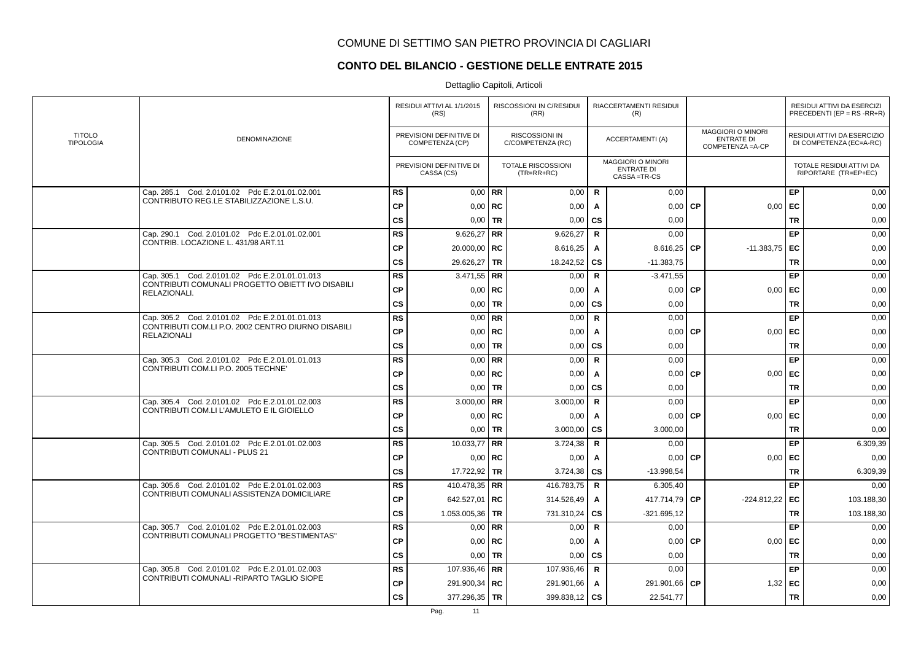# **CONTO DEL BILANCIO - GESTIONE DELLE ENTRATE 2015**

|                                   |                                                                          |           | RESIDUI ATTIVI AL 1/1/2015<br>(RS)          |             | RISCOSSIONI IN C/RESIDUI<br>(RR)           |              | RIACCERTAMENTI RESIDUI<br>(R)                                |           |                                                                    |           | RESIDUI ATTIVI DA ESERCIZI<br>PRECEDENTI (EP = $RS$ -RR+R) |
|-----------------------------------|--------------------------------------------------------------------------|-----------|---------------------------------------------|-------------|--------------------------------------------|--------------|--------------------------------------------------------------|-----------|--------------------------------------------------------------------|-----------|------------------------------------------------------------|
| <b>TITOLO</b><br><b>TIPOLOGIA</b> | DENOMINAZIONE                                                            |           | PREVISIONI DEFINITIVE DI<br>COMPETENZA (CP) |             | <b>RISCOSSIONI IN</b><br>C/COMPETENZA (RC) |              | <b>ACCERTAMENTI (A)</b>                                      |           | <b>MAGGIORI O MINORI</b><br><b>ENTRATE DI</b><br>COMPETENZA = A-CP |           | RESIDUI ATTIVI DA ESERCIZIO<br>DI COMPETENZA (EC=A-RC)     |
|                                   |                                                                          |           | PREVISIONI DEFINITIVE DI<br>CASSA (CS)      |             | TOTALE RISCOSSIONI<br>$(TR=RR+RC)$         |              | <b>MAGGIORI O MINORI</b><br><b>ENTRATE DI</b><br>CASSA=TR-CS |           |                                                                    |           | TOTALE RESIDUI ATTIVI DA<br>RIPORTARE (TR=EP+EC)           |
|                                   | Cap. 285.1 Cod. 2.0101.02 Pdc E.2.01.01.02.001                           | <b>RS</b> |                                             | $0,00$ RR   | 0,00                                       | $\mathsf{R}$ | 0.00                                                         |           |                                                                    | EP        | 0,00                                                       |
|                                   | CONTRIBUTO REG.LE STABILIZZAZIONE L.S.U.                                 | <b>CP</b> |                                             | $0,00$ RC   | 0,00                                       | A            | 0,00                                                         | <b>CP</b> | 0,00                                                               | EC        | 0,00                                                       |
|                                   |                                                                          | <b>CS</b> | 0,00                                        | <b>TR</b>   | 0,00                                       | <b>CS</b>    | 0,00                                                         |           |                                                                    | <b>TR</b> | 0,00                                                       |
|                                   | Cap. 290.1 Cod. 2.0101.02 Pdc E.2.01.01.02.001                           | <b>RS</b> | $9.626,27$ RR                               |             | 9.626,27                                   | $\mathbf R$  | 0,00                                                         |           |                                                                    | EP        | 0,00                                                       |
|                                   | CONTRIB. LOCAZIONE L. 431/98 ART.11                                      | <b>CP</b> | 20.000,00   RC                              |             | 8.616,25                                   | A            | 8.616,25                                                     | <b>CP</b> | $-11.383,75$                                                       | l EC      | 0,00                                                       |
|                                   |                                                                          | <b>CS</b> | 29.626,27                                   | <b>TR</b>   | 18.242,52                                  | <b>CS</b>    | $-11.383,75$                                                 |           |                                                                    | <b>TR</b> | 0,00                                                       |
|                                   | Cap. 305.1 Cod. 2.0101.02 Pdc E.2.01.01.01.013                           | <b>RS</b> | $3.471,55$ RR                               |             | 0,00                                       | $\mathbf R$  | $-3.471,55$                                                  |           |                                                                    | EP        | 0,00                                                       |
|                                   | CONTRIBUTI COMUNALI PROGETTO OBIETT IVO DISABILI<br>RELAZIONALI.         | <b>CP</b> |                                             | $0,00$ RC   | 0,00                                       | A            | 0,00                                                         | <b>CP</b> | 0,00                                                               | EC        | 0,00                                                       |
|                                   |                                                                          | <b>CS</b> |                                             | $0,00$ TR   | 0,00                                       | CS           | 0,00                                                         |           |                                                                    | <b>TR</b> | 0,00                                                       |
|                                   | Cap. 305.2 Cod. 2.0101.02 Pdc E.2.01.01.01.013                           | <b>RS</b> |                                             | $0.00$ RR   | 0,00                                       | $\mathbf R$  | 0,00                                                         |           |                                                                    | EP        | 0,00                                                       |
|                                   | CONTRIBUTI COM.LI P.O. 2002 CENTRO DIURNO DISABILI<br><b>RELAZIONALI</b> | <b>CP</b> |                                             | $0,00$ RC   | 0,00                                       | Α            | 0,00                                                         | <b>CP</b> | 0,00                                                               | EC        | 0,00                                                       |
|                                   |                                                                          | <b>CS</b> |                                             | $0,00$ TR   | 0,00                                       | CS           | 0,00                                                         |           |                                                                    | <b>TR</b> | 0,00                                                       |
|                                   | Cap. 305.3 Cod. 2.0101.02 Pdc E.2.01.01.01.013                           | <b>RS</b> |                                             | $0,00$ RR   | 0,00                                       | $\mathbf R$  | 0,00                                                         |           |                                                                    | EP        | 0,00                                                       |
|                                   | CONTRIBUTI COM.LI P.O. 2005 TECHNET                                      | <b>CP</b> |                                             | $0,00$ RC   | 0,00                                       | A            | 0,00                                                         | <b>CP</b> | 0,00                                                               | EC        | 0,00                                                       |
|                                   |                                                                          | <b>CS</b> |                                             | $0,00$ TR   | 0,00                                       | <b>CS</b>    | 0,00                                                         |           |                                                                    | <b>TR</b> | 0,00                                                       |
|                                   | Cap. 305.4 Cod. 2.0101.02 Pdc E.2.01.01.02.003                           | <b>RS</b> | 3.000,00 RR                                 |             | 3.000,00                                   | $\mathbf R$  | 0,00                                                         |           |                                                                    | EP        | 0,00                                                       |
|                                   | CONTRIBUTI COM.LI L'AMULETO E IL GIOIELLO                                | <b>CP</b> |                                             | $0,00$ RC   | 0,00                                       | A            | $0.00$ CP                                                    |           | $0,00$   EC                                                        |           | 0,00                                                       |
|                                   |                                                                          | CS        |                                             | $0,00$   TR | 3.000,00                                   | <b>CS</b>    | 3.000,00                                                     |           |                                                                    | <b>TR</b> | 0,00                                                       |
|                                   | Cap. 305.5 Cod. 2.0101.02 Pdc E.2.01.01.02.003                           | <b>RS</b> | 10.033,77   RR                              |             | 3.724,38                                   | R            | 0,00                                                         |           |                                                                    | EP        | 6.309,39                                                   |
|                                   | <b>CONTRIBUTI COMUNALI - PLUS 21</b>                                     | <b>CP</b> |                                             | $0,00$ RC   | 0,00                                       | Α            | $0,00$ CP                                                    |           | 0,00                                                               | EC        | 0,00                                                       |
|                                   |                                                                          | <b>CS</b> | 17.722,92 TR                                |             | 3.724,38                                   | <b>CS</b>    | $-13.998,54$                                                 |           |                                                                    | <b>TR</b> | 6.309,39                                                   |
|                                   | Cap. 305.6 Cod. 2.0101.02 Pdc E.2.01.01.02.003                           | <b>RS</b> | 410.478,35   RR                             |             | 416.783,75                                 | R.           | 6.305,40                                                     |           |                                                                    | EP        | 0,00                                                       |
|                                   | CONTRIBUTI COMUNALI ASSISTENZA DOMICILIARE                               | <b>CP</b> | 642.527,01   RC                             |             | 314.526,49                                 | A            | 417.714.79 CP                                                |           | $-224.812,22$ EC                                                   |           | 103.188,30                                                 |
|                                   |                                                                          | <b>CS</b> | 1.053.005,36   TR                           |             | 731.310,24                                 | CS           | $-321.695, 12$                                               |           |                                                                    | <b>TR</b> | 103.188,30                                                 |
|                                   | Cap. 305.7 Cod. 2.0101.02 Pdc E.2.01.01.02.003                           | <b>RS</b> |                                             | $0.00$ RR   | 0,00                                       | $\mathsf{R}$ | 0,00                                                         |           |                                                                    | EP        | 0,00                                                       |
|                                   | CONTRIBUTI COMUNALI PROGETTO "BESTIMENTAS"                               | <b>CP</b> |                                             | $0,00$ RC   | 0,00                                       | A            | 0,00                                                         | <b>CP</b> | 0,00                                                               | EC        | 0,00                                                       |
|                                   |                                                                          | CS        |                                             | $0,00$   TR | 0,00                                       | <b>CS</b>    | 0.00                                                         |           |                                                                    | <b>TR</b> | 0,00                                                       |
|                                   | Cap. 305.8 Cod. 2.0101.02 Pdc E.2.01.01.02.003                           | <b>RS</b> | 107.936,46   RR                             |             | 107.936,46                                 | $\mathbf R$  | 0,00                                                         |           |                                                                    | EP        | 0,00                                                       |
|                                   | CONTRIBUTI COMUNALI - RIPARTO TAGLIO SIOPE                               | <b>CP</b> | 291.900,34   RC                             |             | 291.901,66                                 | Α            | 291.901,66   CP                                              |           | 1,32                                                               | EC        | 0,00                                                       |
|                                   |                                                                          | <b>CS</b> | 377.296,35   TR                             |             | 399.838,12                                 | <b>CS</b>    | 22.541,77                                                    |           |                                                                    | <b>TR</b> | 0,00                                                       |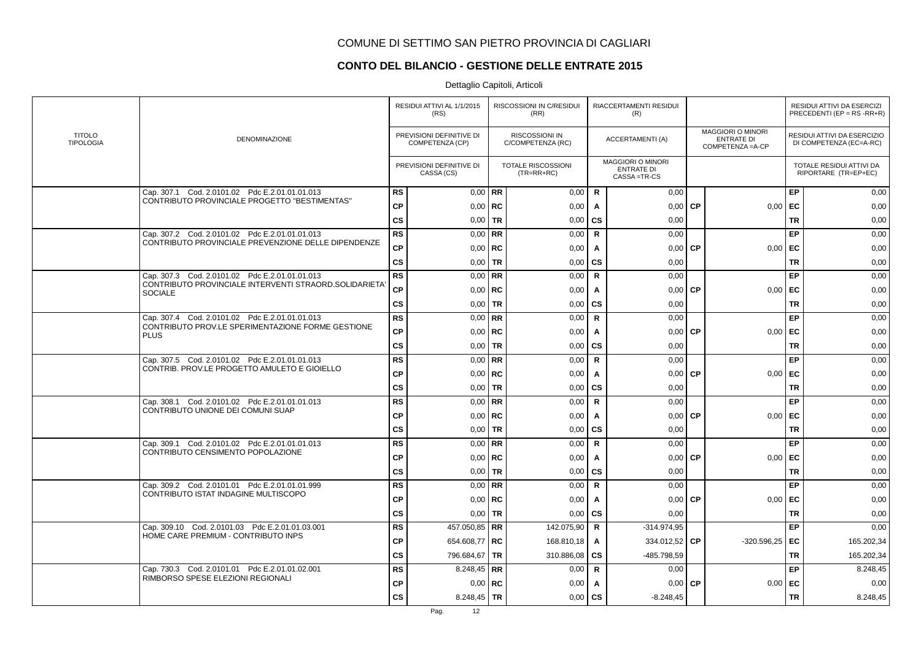# **CONTO DEL BILANCIO - GESTIONE DELLE ENTRATE 2015**

|                                   |                                                                          |           | RESIDUI ATTIVI AL 1/1/2015<br>(RS)          |           | RISCOSSIONI IN C/RESIDUI<br>(RR)           |              | RIACCERTAMENTI RESIDUI<br>(R)                                  |           |                                                                    |           | RESIDUI ATTIVI DA ESERCIZI<br>PRECEDENTI (EP = $RS$ -RR+R) |
|-----------------------------------|--------------------------------------------------------------------------|-----------|---------------------------------------------|-----------|--------------------------------------------|--------------|----------------------------------------------------------------|-----------|--------------------------------------------------------------------|-----------|------------------------------------------------------------|
| <b>TITOLO</b><br><b>TIPOLOGIA</b> | DENOMINAZIONE                                                            |           | PREVISIONI DEFINITIVE DI<br>COMPETENZA (CP) |           | <b>RISCOSSIONI IN</b><br>C/COMPETENZA (RC) |              | <b>ACCERTAMENTI (A)</b>                                        |           | <b>MAGGIORI O MINORI</b><br><b>ENTRATE DI</b><br>COMPETENZA = A-CP |           | RESIDUI ATTIVI DA ESERCIZIO<br>DI COMPETENZA (EC=A-RC)     |
|                                   |                                                                          |           | PREVISIONI DEFINITIVE DI<br>CASSA (CS)      |           | <b>TOTALE RISCOSSIONI</b><br>$(TR=RR+RC)$  |              | <b>MAGGIORI O MINORI</b><br><b>ENTRATE DI</b><br>CASSA = TR-CS |           |                                                                    |           | TOTALE RESIDUI ATTIVI DA<br>RIPORTARE (TR=EP+EC)           |
|                                   | Cap. 307.1 Cod. 2.0101.02 Pdc E.2.01.01.01.013                           | <b>RS</b> | $0.00$ RR                                   |           | 0,00                                       | $\mathsf{R}$ | 0,00                                                           |           |                                                                    | EP        | 0,00                                                       |
|                                   | CONTRIBUTO PROVINCIALE PROGETTO "BESTIMENTAS"                            | <b>CP</b> | $0,00$ RC                                   |           | 0,00                                       | Α            | 0,00                                                           | <b>CP</b> | 0,00                                                               | EC        | 0,00                                                       |
|                                   |                                                                          | <b>CS</b> | $0.00$ TR                                   |           | 0,00                                       | CS           | 0,00                                                           |           |                                                                    | <b>TR</b> | 0,00                                                       |
|                                   | Cap. 307.2 Cod. 2.0101.02 Pdc E.2.01.01.01.013                           | <b>RS</b> | $0,00$ RR                                   |           | 0,00                                       | $\mathbf R$  | 0,00                                                           |           |                                                                    | EP        | 0,00                                                       |
|                                   | CONTRIBUTO PROVINCIALE PREVENZIONE DELLE DIPENDENZE                      | <b>CP</b> | $0,00$   RC                                 |           | 0,00                                       | A            | 0,00                                                           | <b>CP</b> | 0,00                                                               | EC        | 0,00                                                       |
|                                   |                                                                          | CS        | $0,00$ TR                                   |           | 0,00                                       | CS           | 0,00                                                           |           |                                                                    | <b>TR</b> | 0,00                                                       |
|                                   | Cap. 307.3 Cod. 2.0101.02 Pdc E.2.01.01.01.013                           | <b>RS</b> | $0,00$ RR                                   |           | 0,00                                       | $\mathsf{R}$ | 0,00                                                           |           |                                                                    | EP        | 0,00                                                       |
|                                   | CONTRIBUTO PROVINCIALE INTERVENTI STRAORD. SOLIDARIETA<br><b>SOCIALE</b> | <b>CP</b> | $0,00$ RC                                   |           | 0,00                                       | $\mathsf{A}$ | 0,00                                                           | <b>CP</b> | 0,00                                                               | EC        | 0,00                                                       |
|                                   |                                                                          | <b>CS</b> | $0,00$ TR                                   |           | 0,00                                       | <b>CS</b>    | 0,00                                                           |           |                                                                    | <b>TR</b> | 0,00                                                       |
|                                   | Cap. 307.4 Cod. 2.0101.02 Pdc E.2.01.01.01.013                           | <b>RS</b> | $0.00$ RR                                   |           | 0,00                                       | $\mathbf R$  | 0,00                                                           |           |                                                                    | EP        | 0,00                                                       |
|                                   | CONTRIBUTO PROV.LE SPERIMENTAZIONE FORME GESTIONE<br><b>PLUS</b>         | <b>CP</b> | $0,00$   RC                                 |           | 0,00                                       | Α            | 0,00                                                           | <b>CP</b> | 0,00                                                               | EC        | 0,00                                                       |
|                                   |                                                                          | <b>CS</b> | $0,00$ TR                                   |           | 0,00                                       | <b>CS</b>    | 0,00                                                           |           |                                                                    | <b>TR</b> | 0,00                                                       |
|                                   | Cap. 307.5 Cod. 2.0101.02 Pdc E.2.01.01.01.013                           | <b>RS</b> | $0,00$ RR                                   |           | 0,00                                       | $\mathbf R$  | 0,00                                                           |           |                                                                    | EP        | 0,00                                                       |
|                                   | CONTRIB. PROV.LE PROGETTO AMULETO E GIOIELLO                             | <b>CP</b> | $0,00$   RC                                 |           | 0,00                                       | A            | 0,00                                                           | <b>CP</b> | 0,00                                                               | EC        | 0,00                                                       |
|                                   |                                                                          | <b>CS</b> | $0,00$ TR                                   |           | 0,00                                       | CS           | 0,00                                                           |           |                                                                    | <b>TR</b> | 0,00                                                       |
|                                   | Cap. 308.1 Cod. 2.0101.02 Pdc E.2.01.01.01.013                           | <b>RS</b> | $0.00$ RR                                   |           | 0,00                                       | $\mathsf{R}$ | 0,00                                                           |           |                                                                    | EP        | 0,00                                                       |
|                                   | CONTRIBUTO UNIONE DEI COMUNI SUAP                                        | <b>CP</b> |                                             | $0.00$ RC | 0,00                                       | A            | $0,00$ CP                                                      |           | $0,00$   EC                                                        |           | 0,00                                                       |
|                                   |                                                                          | <b>CS</b> | $0,00$   TR                                 |           | 0,00                                       | CS           | 0,00                                                           |           |                                                                    | <b>TR</b> | 0,00                                                       |
|                                   | Cap. 309.1 Cod. 2.0101.02 Pdc E.2.01.01.01.013                           | <b>RS</b> | $0,00$ RR                                   |           | 0,00                                       | $\mathsf{R}$ | 0,00                                                           |           |                                                                    | EP        | 0,00                                                       |
|                                   | CONTRIBUTO CENSIMENTO POPOLAZIONE                                        | СP        | $0,00$ RC                                   |           | 0,00                                       | A            | $0,00$ CP                                                      |           | 0,00                                                               | EC        | 0,00                                                       |
|                                   |                                                                          | <b>CS</b> | $0,00$ TR                                   |           | 0,00                                       | <b>CS</b>    | 0,00                                                           |           |                                                                    | <b>TR</b> | 0,00                                                       |
|                                   | Cap. 309.2 Cod. 2.0101.01 Pdc E.2.01.01.01.999                           | <b>RS</b> | $0.00$ RR                                   |           | 0,00                                       | $\mathbf R$  | 0.00                                                           |           |                                                                    | EP        | 0,00                                                       |
|                                   | CONTRIBUTO ISTAT INDAGINE MULTISCOPO                                     | <b>CP</b> | $0.00$ RC                                   |           | 0,00                                       | A            | 0.00                                                           | <b>CP</b> | 0.00                                                               | EC        | 0,00                                                       |
|                                   |                                                                          | CS        | $0,00$ TR                                   |           | 0,00                                       | CS           | 0,00                                                           |           |                                                                    | <b>TR</b> | 0,00                                                       |
|                                   | Cap. 309.10 Cod. 2.0101.03 Pdc E.2.01.01.03.001                          | <b>RS</b> | 457.050,85 RR                               |           | 142.075,90                                 | $\mathbf R$  | $-314.974.95$                                                  |           |                                                                    | EP        | 0,00                                                       |
|                                   | HOME CARE PREMIUM - CONTRIBUTO INPS                                      | <b>CP</b> | 654.608,77 RC                               |           | 168.810,18                                 | A            | 334.012,52 CP                                                  |           | $-320.596,25$ EC                                                   |           | 165.202,34                                                 |
|                                   |                                                                          | <b>CS</b> | 796.684,67   TR                             |           | 310.886,08                                 | <b>CS</b>    | -485.798,59                                                    |           |                                                                    | <b>TR</b> | 165.202,34                                                 |
|                                   | Cap. 730.3 Cod. 2.0101.01 Pdc E.2.01.01.02.001                           | <b>RS</b> | 8.248,45   RR                               |           | 0,00                                       | $\mathbf R$  | 0,00                                                           |           |                                                                    | EP        | 8.248,45                                                   |
|                                   | RIMBORSO SPESE ELEZIONI REGIONALI                                        | <b>CP</b> | $0,00$   RC                                 |           | 0,00                                       | A            | 0,00                                                           | <b>CP</b> | 0,00                                                               | EC        | 0,00                                                       |
|                                   |                                                                          | CS        | 8.248,45   TR                               |           | 0,00                                       | CS           | $-8.248,45$                                                    |           |                                                                    | <b>TR</b> | 8.248,45                                                   |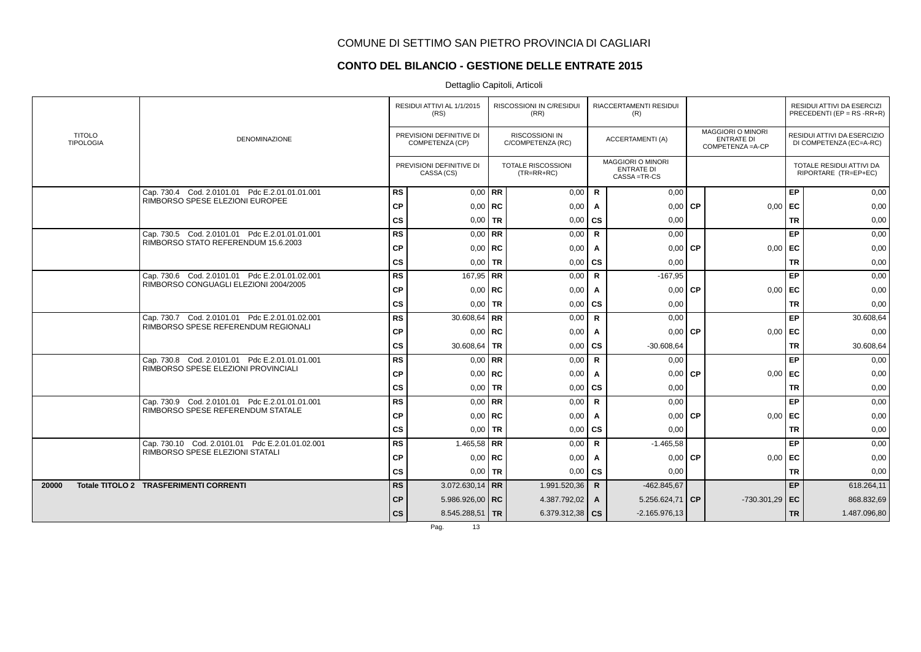## **CONTO DEL BILANCIO - GESTIONE DELLE ENTRATE 2015**

|       |                                   |                                                 |           | RESIDUI ATTIVI AL 1/1/2015<br>(RS)          |           | RISCOSSIONI IN C/RESIDUI<br>(RR)    |              | RIACCERTAMENTI RESIDUI<br>(R)                                  |           |                                                                    |           | RESIDUI ATTIVI DA ESERCIZI<br>PRECEDENTI (EP = $RS$ -RR+R) |
|-------|-----------------------------------|-------------------------------------------------|-----------|---------------------------------------------|-----------|-------------------------------------|--------------|----------------------------------------------------------------|-----------|--------------------------------------------------------------------|-----------|------------------------------------------------------------|
|       | <b>TITOLO</b><br><b>TIPOLOGIA</b> | <b>DENOMINAZIONE</b>                            |           | PREVISIONI DEFINITIVE DI<br>COMPETENZA (CP) |           | RISCOSSIONI IN<br>C/COMPETENZA (RC) |              | ACCERTAMENTI (A)                                               |           | <b>MAGGIORI O MINORI</b><br><b>ENTRATE DI</b><br>COMPETENZA = A-CP |           | RESIDUI ATTIVI DA ESERCIZIO<br>DI COMPETENZA (EC=A-RC)     |
|       |                                   |                                                 |           | PREVISIONI DEFINITIVE DI<br>CASSA (CS)      |           | TOTALE RISCOSSIONI<br>$(TR=RR+RC)$  |              | <b>MAGGIORI O MINORI</b><br><b>ENTRATE DI</b><br>CASSA = TR-CS |           |                                                                    |           | TOTALE RESIDUI ATTIVI DA<br>RIPORTARE (TR=EP+EC)           |
|       |                                   | Cap. 730.4 Cod. 2.0101.01 Pdc E.2.01.01.01.001  | <b>RS</b> |                                             | $0,00$ RR | 0,00                                | $\mathsf{R}$ | 0.00                                                           |           |                                                                    | EP        | 0,00                                                       |
|       |                                   | RIMBORSO SPESE ELEZIONI EUROPEE                 | <b>CP</b> | $0,00$ RC                                   |           | 0,00                                | A            | 0,00                                                           | <b>CP</b> | 0,00                                                               | EC        | 0,00                                                       |
|       |                                   |                                                 | cs        |                                             | $0,00$ TR | 0,00                                | <b>CS</b>    | 0,00                                                           |           |                                                                    | <b>TR</b> | 0,00                                                       |
|       |                                   | Cap. 730.5 Cod. 2.0101.01 Pdc E.2.01.01.01.001  | <b>RS</b> |                                             | $0.00$ RR | 0,00                                | $\mathsf{R}$ | 0,00                                                           |           |                                                                    | EP        | 0,00                                                       |
|       |                                   | RIMBORSO STATO REFERENDUM 15.6.2003             | <b>CP</b> |                                             | $0.00$ RC | 0,00                                | $\mathsf{A}$ | 0,00                                                           | <b>CP</b> | 0,00                                                               | EC        | 0,00                                                       |
|       |                                   |                                                 | cs        |                                             | $0.00$ TR | 0,00                                | <b>CS</b>    | 0,00                                                           |           |                                                                    | <b>TR</b> | 0,00                                                       |
|       |                                   | Cap. 730.6 Cod. 2.0101.01 Pdc E.2.01.01.02.001  | <b>RS</b> | 167,95 RR                                   |           | 0,00                                | $\mathsf{R}$ | $-167,95$                                                      |           |                                                                    | EP        | 0,00                                                       |
|       |                                   | RIMBORSO CONGUAGLI ELEZIONI 2004/2005           | <b>CP</b> | $0.00$ RC                                   |           | 0,00                                | A            | 0,00                                                           | <b>CP</b> | 0,00                                                               | EC        | 0,00                                                       |
|       |                                   |                                                 | <b>CS</b> |                                             | $0,00$ TR | 0,00                                | <b>CS</b>    | 0,00                                                           |           |                                                                    | <b>TR</b> | 0,00                                                       |
|       |                                   | Cap. 730.7 Cod. 2.0101.01 Pdc E.2.01.01.02.001  | <b>RS</b> | 30.608,64 RR                                |           | 0,00                                | $\mathsf{R}$ | 0.00                                                           |           |                                                                    | EP        | 30.608,64                                                  |
|       |                                   | RIMBORSO SPESE REFERENDUM REGIONALI             | СP        | $0,00$ RC                                   |           | 0,00                                | A            | $0.00$ CP                                                      |           | 0,00                                                               | EC        | 0,00                                                       |
|       |                                   |                                                 | cs        | 30.608,64   TR                              |           | 0,00                                | <b>CS</b>    | $-30.608,64$                                                   |           |                                                                    | <b>TR</b> | 30.608,64                                                  |
|       |                                   | Cap. 730.8 Cod. 2.0101.01 Pdc E.2.01.01.01.001  | <b>RS</b> |                                             | $0,00$ RR | 0,00                                | R            | 0,00                                                           |           |                                                                    | EP        | 0,00                                                       |
|       |                                   | RIMBORSO SPESE ELEZIONI PROVINCIALI             | <b>CP</b> |                                             | $0.00$ RC | 0,00                                | A            | 0,00                                                           | l CP.     | 0,00                                                               | EC        | 0,00                                                       |
|       |                                   |                                                 | cs        |                                             | $0.00$ TR | 0,00                                | <b>CS</b>    | 0,00                                                           |           |                                                                    | <b>TR</b> | 0,00                                                       |
|       |                                   | Cap. 730.9 Cod. 2.0101.01 Pdc E.2.01.01.01.001  | <b>RS</b> |                                             | $0.00$ RR | 0,00                                | $\mathsf{R}$ | 0.00                                                           |           |                                                                    | EP        | 0,00                                                       |
|       |                                   | RIMBORSO SPESE REFERENDUM STATALE               | СP        | $0,00$ RC                                   |           | 0,00                                | A            | 0,00                                                           | <b>CP</b> | 0,00                                                               | EC        | 0,00                                                       |
|       |                                   |                                                 | cs        |                                             | $0,00$ TR | 0,00                                | <b>CS</b>    | 0,00                                                           |           |                                                                    | <b>TR</b> | 0,00                                                       |
|       |                                   | Cap. 730.10 Cod. 2.0101.01 Pdc E.2.01.01.02.001 | <b>RS</b> | 1.465,58 RR                                 |           | 0,00                                | R            | $-1.465,58$                                                    |           |                                                                    | EP        | 0,00                                                       |
|       |                                   | RIMBORSO SPESE ELEZIONI STATALI                 | СP        |                                             | $0,00$ RC | 0,00                                | A            | 0,00                                                           | <b>CP</b> | 0,00                                                               | EC        | 0,00                                                       |
|       |                                   |                                                 | cs        |                                             | $0.00$ TR | 0,00                                | <b>CS</b>    | 0,00                                                           |           |                                                                    | <b>TR</b> | 0,00                                                       |
| 20000 |                                   | Totale TITOLO 2 TRASFERIMENTI CORRENTI          | <b>RS</b> | $3.072.630,14$ RR                           |           | 1.991.520,36                        | $\mathsf{R}$ | $-462.845,67$                                                  |           |                                                                    | EP        | 618.264,11                                                 |
|       |                                   |                                                 | <b>CP</b> | 5.986.926,00   RC                           |           | 4.387.792,02                        | $\mathsf{A}$ | 5.256.624,71 CP                                                |           | $-730.301,29$                                                      | EC        | 868.832,69                                                 |
|       |                                   |                                                 | CS        | 8.545.288,51   TR                           |           | 6.379.312,38   CS                   |              | $-2.165.976,13$                                                |           |                                                                    | <b>TR</b> | 1.487.096,80                                               |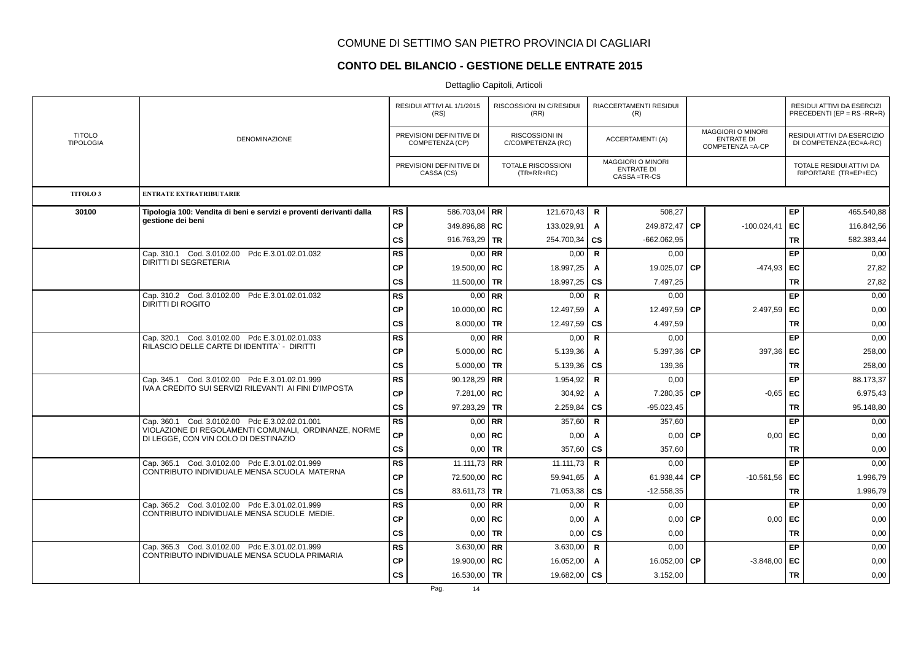### **CONTO DEL BILANCIO - GESTIONE DELLE ENTRATE 2015**

|                                   |                                                                                                |               | RESIDUI ATTIVI AL 1/1/2015<br>(RS)          |             | RISCOSSIONI IN C/RESIDUI<br>(RR)           |              | RIACCERTAMENTI RESIDUI<br>(R)                                  |           |                                                                    |           | RESIDUI ATTIVI DA ESERCIZI<br>PRECEDENTI (EP = $RS$ -RR+R) |
|-----------------------------------|------------------------------------------------------------------------------------------------|---------------|---------------------------------------------|-------------|--------------------------------------------|--------------|----------------------------------------------------------------|-----------|--------------------------------------------------------------------|-----------|------------------------------------------------------------|
| <b>TITOLO</b><br><b>TIPOLOGIA</b> | <b>DENOMINAZIONE</b>                                                                           |               | PREVISIONI DEFINITIVE DI<br>COMPETENZA (CP) |             | <b>RISCOSSIONI IN</b><br>C/COMPETENZA (RC) |              | <b>ACCERTAMENTI (A)</b>                                        |           | <b>MAGGIORI O MINORI</b><br><b>ENTRATE DI</b><br>COMPETENZA = A-CP |           | RESIDUI ATTIVI DA ESERCIZIO<br>DI COMPETENZA (EC=A-RC)     |
|                                   |                                                                                                |               | PREVISIONI DEFINITIVE DI<br>CASSA (CS)      |             | TOTALE RISCOSSIONI<br>$(TR=RR+RC)$         |              | <b>MAGGIORI O MINORI</b><br><b>ENTRATE DI</b><br>CASSA = TR-CS |           |                                                                    |           | TOTALE RESIDUI ATTIVI DA<br>RIPORTARE (TR=EP+EC)           |
| TITOLO <sub>3</sub>               | <b>ENTRATE EXTRATRIBUTARIE</b>                                                                 |               |                                             |             |                                            |              |                                                                |           |                                                                    |           |                                                            |
| 30100                             | Tipologia 100: Vendita di beni e servizi e proventi derivanti dalla                            | <b>RS</b>     | 586.703,04   RR                             |             | 121.670,43                                 | R            | 508,27                                                         |           |                                                                    | EP        | 465.540,88                                                 |
|                                   | aestione dei beni                                                                              | <b>CP</b>     | 349.896,88   RC                             |             | 133.029,91                                 | A            | 249.872,47                                                     | <b>CP</b> | $-100.024,41$                                                      | EC        | 116.842,56                                                 |
|                                   |                                                                                                | <b>CS</b>     | 916.763,29   TR                             |             | 254.700,34                                 | <b>CS</b>    | $-662.062.95$                                                  |           |                                                                    | <b>TR</b> | 582.383,44                                                 |
|                                   | Cap. 310.1 Cod. 3.0102.00 Pdc E.3.01.02.01.032                                                 | <b>RS</b>     |                                             | $0.00$ RR   | 0,00                                       | $\mathbf R$  | 0.00                                                           |           |                                                                    | EP        | 0,00                                                       |
|                                   | <b>DIRITTI DI SEGRETERIA</b>                                                                   | CP            | 19.500,00   RC                              |             | 18.997,25                                  | $\mathbf{A}$ | 19.025,07                                                      | <b>CP</b> | -474,93                                                            | EC        | 27,82                                                      |
|                                   |                                                                                                | <b>CS</b>     | 11.500,00 TR                                |             | 18.997,25                                  | <b>CS</b>    | 7.497,25                                                       |           |                                                                    | <b>TR</b> | 27,82                                                      |
|                                   | Cap. 310.2 Cod. 3.0102.00 Pdc E.3.01.02.01.032                                                 | <b>RS</b>     |                                             | $0.00$ RR   | 0,00                                       | $\mathbf R$  | 0,00                                                           |           |                                                                    | EP        | 0,00                                                       |
|                                   | <b>DIRITTI DI ROGITO</b>                                                                       | <b>CP</b>     | 10.000,00   RC                              |             | 12.497,59                                  | $\mathbf{A}$ | 12.497,59 CP                                                   |           | 2.497,59                                                           | l EC      | 0,00                                                       |
|                                   |                                                                                                | <b>CS</b>     | 8.000,00 TR                                 |             | 12.497,59                                  | <b>CS</b>    | 4.497,59                                                       |           |                                                                    | <b>TR</b> | 0,00                                                       |
|                                   | Cap. 320.1 Cod. 3.0102.00 Pdc E.3.01.02.01.033                                                 | <b>RS</b>     |                                             | $0,00$ RR   | 0,00                                       | $\mathsf{R}$ | 0,00                                                           |           |                                                                    | EP        | 0,00                                                       |
|                                   | RILASCIO DELLE CARTE DI IDENTITA` - DIRITTI                                                    | <b>CP</b>     | $5.000,00$ RC                               |             | 5.139,36                                   | $\mathbf{A}$ | 5.397,36                                                       | <b>CP</b> | 397,36                                                             | l EC      | 258,00                                                     |
|                                   |                                                                                                | <b>CS</b>     | $5.000,00$ TR                               |             | 5.139,36                                   | <b>CS</b>    | 139,36                                                         |           |                                                                    | <b>TR</b> | 258,00                                                     |
|                                   | Cap. 345.1 Cod. 3.0102.00 Pdc E.3.01.02.01.999                                                 | <b>RS</b>     | 90.128,29   RR                              |             | 1.954,92                                   | R            | 0,00                                                           |           |                                                                    | EP        | 88.173,37                                                  |
|                                   | IVA A CREDITO SUI SERVIZI RILEVANTI AI FINI D'IMPOSTA                                          | <b>CP</b>     | 7.281,00   RC                               |             | 304,92                                     | $\mathbf{A}$ | 7.280,35 CP                                                    |           | $-0.65$                                                            | EC        | 6.975,43                                                   |
|                                   |                                                                                                | $\mathsf{cs}$ | 97.283,29 TR                                |             | 2.259,84                                   | <b>CS</b>    | $-95.023,45$                                                   |           |                                                                    | <b>TR</b> | 95.148,80                                                  |
|                                   | Cap. 360.1 Cod. 3.0102.00 Pdc E.3.02.02.01.001                                                 | <b>RS</b>     |                                             | $0,00$ RR   | 357,60                                     | $\mathbf R$  | 357.60                                                         |           |                                                                    | EP        | 0,00                                                       |
|                                   | VIOLAZIONE DI REGOLAMENTI COMUNALI, ORDINANZE, NORME<br>DI LEGGE, CON VIN COLO DI DESTINAZIO   | CP            |                                             | $0.00$ RC   | 0,00                                       | A            | 0,00                                                           | <b>CP</b> | 0,00                                                               | EC        | 0,00                                                       |
|                                   |                                                                                                | $\mathsf{cs}$ |                                             | $0,00$   TR | 357,60                                     | <b>CS</b>    | 357,60                                                         |           |                                                                    | <b>TR</b> | 0,00                                                       |
|                                   | Cap. 365.1 Cod. 3.0102.00 Pdc E.3.01.02.01.999<br>CONTRIBUTO INDIVIDUALE MENSA SCUOLA MATERNA  | <b>RS</b>     | 11.111,73 RR                                |             | 11.111,73                                  | $\mathbf R$  | 0,00                                                           |           |                                                                    | EP        | 0,00                                                       |
|                                   |                                                                                                | <b>CP</b>     | 72.500,00   RC                              |             | 59.941,65                                  | A            | 61.938,44                                                      | <b>CP</b> | $-10.561,56$                                                       | EC        | 1.996,79                                                   |
|                                   |                                                                                                | cs            | 83.611,73 TR                                |             | 71.053,38                                  | <b>CS</b>    | $-12.558,35$                                                   |           |                                                                    | <b>TR</b> | 1.996,79                                                   |
|                                   | Cap. 365.2 Cod. 3.0102.00 Pdc E.3.01.02.01.999<br>CONTRIBUTO INDIVIDUALE MENSA SCUOLE MEDIE.   | <b>RS</b>     |                                             | $0.00$ RR   | 0,00                                       | $\mathbf R$  | 0,00                                                           |           |                                                                    | EP        | 0,00                                                       |
|                                   |                                                                                                | <b>CP</b>     |                                             | $0.00$ RC   | 0,00                                       | A            | 0,00                                                           | <b>CP</b> | 0,00                                                               | EC        | 0,00                                                       |
|                                   |                                                                                                | cs            |                                             | $0,00$ TR   | 0,00                                       | CS           | 0,00                                                           |           |                                                                    | TR        | 0,00                                                       |
|                                   | Cap. 365.3 Cod. 3.0102.00 Pdc E.3.01.02.01.999<br>CONTRIBUTO INDIVIDUALE MENSA SCUOLA PRIMARIA | <b>RS</b>     | 3.630,00 RR                                 |             | 3.630,00                                   | R            | 0,00                                                           |           |                                                                    | EP        | 0,00                                                       |
|                                   |                                                                                                | <b>CP</b>     | 19.900,00   RC                              |             | 16.052,00                                  | A            | 16.052,00 CP                                                   |           | $-3.848,00$                                                        | EC        | 0,00                                                       |
|                                   |                                                                                                | <b>CS</b>     | 16.530,00   TR                              |             | 19.682,00   CS                             |              | 3.152,00                                                       |           |                                                                    | <b>TR</b> | 0,00                                                       |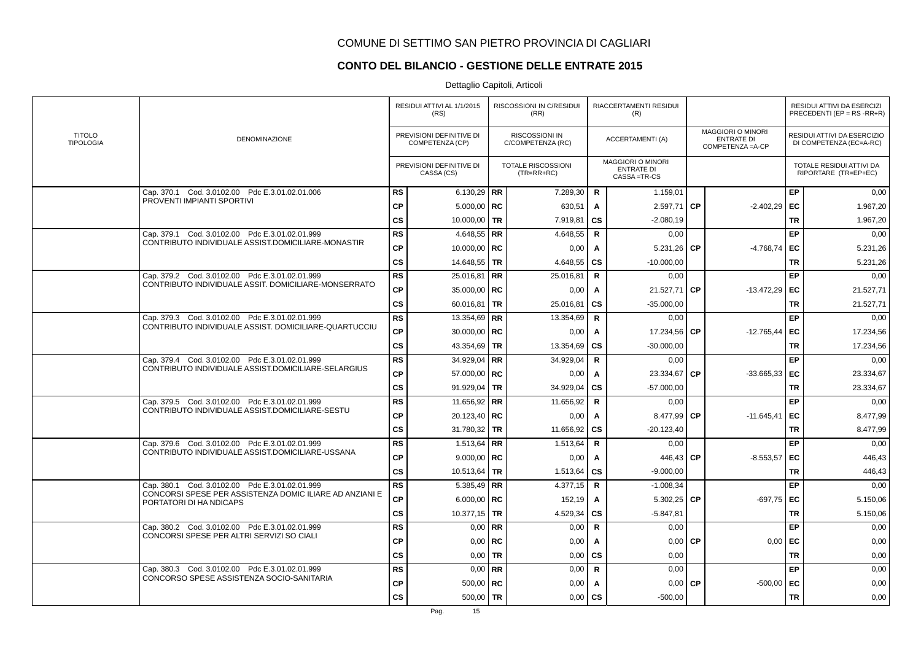# **CONTO DEL BILANCIO - GESTIONE DELLE ENTRATE 2015**

|                                                                                    |               | RESIDUI ATTIVI AL 1/1/2015<br>(RS)          |           | RISCOSSIONI IN C/RESIDUI<br>(RR)           |              | RIACCERTAMENTI RESIDUI<br>(R)                           |           |                                                                    |           | RESIDUI ATTIVI DA ESERCIZI<br>PRECEDENTI (EP = $RS$ -RR+R) |
|------------------------------------------------------------------------------------|---------------|---------------------------------------------|-----------|--------------------------------------------|--------------|---------------------------------------------------------|-----------|--------------------------------------------------------------------|-----------|------------------------------------------------------------|
| <b>TITOLO</b><br><b>DENOMINAZIONE</b><br><b>TIPOLOGIA</b>                          |               | PREVISIONI DEFINITIVE DI<br>COMPETENZA (CP) |           | <b>RISCOSSIONI IN</b><br>C/COMPETENZA (RC) |              | <b>ACCERTAMENTI (A)</b>                                 |           | <b>MAGGIORI O MINORI</b><br><b>ENTRATE DI</b><br>COMPETENZA = A-CP |           | RESIDUI ATTIVI DA ESERCIZIO<br>DI COMPETENZA (EC=A-RC)     |
|                                                                                    |               | PREVISIONI DEFINITIVE DI<br>CASSA (CS)      |           | <b>TOTALE RISCOSSIONI</b><br>$(TR=RR+RC)$  |              | MAGGIORI O MINORI<br><b>ENTRATE DI</b><br>CASSA = TR-CS |           |                                                                    |           | TOTALE RESIDUI ATTIVI DA<br>RIPORTARE (TR=EP+EC)           |
| Cap. 370.1 Cod. 3.0102.00 Pdc E.3.01.02.01.006                                     | <b>RS</b>     | 6.130,29   RR                               |           | 7.289,30                                   | $\mathbf R$  | 1.159,01                                                |           |                                                                    | EP        | 0,00                                                       |
| PROVENTI IMPIANTI SPORTIVI                                                         | <b>CP</b>     | $5.000,00$ RC                               |           | 630,51                                     | A            | 2.597,71                                                | <b>CP</b> | $-2.402,29$                                                        | EC        | 1.967,20                                                   |
|                                                                                    | <b>CS</b>     | 10.000,00 TR                                |           | 7.919,81                                   | <b>CS</b>    | $-2.080,19$                                             |           |                                                                    | <b>TR</b> | 1.967,20                                                   |
| Cap. 379.1 Cod. 3.0102.00 Pdc E.3.01.02.01.999                                     | <b>RS</b>     | 4.648,55   RR                               |           | 4.648,55                                   | $\mathbf R$  | 0,00                                                    |           |                                                                    | EP        | 0,00                                                       |
| CONTRIBUTO INDIVIDUALE ASSIST.DOMICILIARE-MONASTIR                                 | <b>CP</b>     | 10.000,00   RC                              |           | 0,00                                       | A            | 5.231,26                                                | <b>CP</b> | $-4.768,74$                                                        | EC        | 5.231,26                                                   |
|                                                                                    | $\mathsf{cs}$ | 14.648,55   TR                              |           | 4.648,55                                   | CS           | $-10.000,00$                                            |           |                                                                    | <b>TR</b> | 5.231,26                                                   |
| Cap. 379.2 Cod. 3.0102.00 Pdc E.3.01.02.01.999                                     | <b>RS</b>     | $25.016,81$ RR                              |           | 25.016,81                                  | R            | 0,00                                                    |           |                                                                    | EP        | 0,00                                                       |
| CONTRIBUTO INDIVIDUALE ASSIT. DOMICILIARE-MONSERRATO                               | <b>CP</b>     | 35.000,00   RC                              |           | 0,00                                       | A            | 21.527,71                                               | <b>CP</b> | $-13.472,29$                                                       | EC        | 21.527,71                                                  |
|                                                                                    | <b>CS</b>     | 60.016,81   TR                              |           | 25.016,81                                  | <b>CS</b>    | $-35.000.00$                                            |           |                                                                    | <b>TR</b> | 21.527,71                                                  |
| Cap. 379.3 Cod. 3.0102.00 Pdc E.3.01.02.01.999                                     | <b>RS</b>     | 13.354,69 RR                                |           | 13.354,69                                  | R            | 0,00                                                    |           |                                                                    | EP        | 0,00                                                       |
| CONTRIBUTO INDIVIDUALE ASSIST. DOMICILIARE-QUARTUCCIU                              | ${\bf CP}$    | 30.000,00   RC                              |           | 0,00                                       | A            | 17.234,56                                               | <b>CP</b> | $-12.765,44$                                                       | EC        | 17.234,56                                                  |
|                                                                                    | <b>CS</b>     | 43.354,69 TR                                |           | 13.354,69                                  | <b>CS</b>    | $-30.000,00$                                            |           |                                                                    | TR        | 17.234,56                                                  |
| Cap. 379.4 Cod. 3.0102.00 Pdc E.3.01.02.01.999                                     | <b>RS</b>     | 34.929,04   RR                              |           | 34.929,04                                  | R            | 0,00                                                    |           |                                                                    | EP        | 0,00                                                       |
| CONTRIBUTO INDIVIDUALE ASSIST.DOMICILIARE-SELARGIUS                                | <b>CP</b>     | 57.000,00   RC                              |           | 0,00                                       | A            | 23.334,67                                               | <b>CP</b> | $-33.665,33$                                                       | EC        | 23.334,67                                                  |
|                                                                                    | <b>CS</b>     | 91.929,04   TR                              |           | 34.929,04                                  | <b>CS</b>    | $-57.000,00$                                            |           |                                                                    | <b>TR</b> | 23.334,67                                                  |
| Cap. 379.5 Cod. 3.0102.00 Pdc E.3.01.02.01.999                                     | <b>RS</b>     | 11.656,92   RR                              |           | 11.656,92                                  | R            | 0,00                                                    |           |                                                                    | EP        | 0,00                                                       |
| CONTRIBUTO INDIVIDUALE ASSIST.DOMICILIARE-SESTU                                    | CP            | 20.123,40   RC                              |           | 0,00                                       | A            | 8.477,99 CP                                             |           | $-11.645,41$                                                       | EC        | 8.477,99                                                   |
|                                                                                    | <b>CS</b>     | 31.780,32   TR                              |           | 11.656,92                                  | CS           | $-20.123,40$                                            |           |                                                                    | <b>TR</b> | 8.477,99                                                   |
| Cap. 379.6 Cod. 3.0102.00 Pdc E.3.01.02.01.999                                     | <b>RS</b>     | $1.513,64$ RR                               |           | 1.513,64                                   | R            | 0,00                                                    |           |                                                                    | EP        | 0,00                                                       |
| CONTRIBUTO INDIVIDUALE ASSIST.DOMICILIARE-USSANA                                   | <b>CP</b>     | 9.000,00   RC                               |           | 0,00                                       | A            | 446,43 CP                                               |           | $-8.553,57$                                                        | EC        | 446,43                                                     |
|                                                                                    | <b>CS</b>     | 10.513,64   TR                              |           | 1.513,64                                   | <b>CS</b>    | $-9.000.00$                                             |           |                                                                    | <b>TR</b> | 446,43                                                     |
| Cap. 380.1 Cod. 3.0102.00 Pdc E.3.01.02.01.999                                     | ${\sf RS}$    | 5.385,49   RR                               |           | 4.377,15                                   | $\mathsf{R}$ | $-1.008,34$                                             |           |                                                                    | EP        | 0,00                                                       |
| CONCORSI SPESE PER ASSISTENZA DOMIC ILIARE AD ANZIANI E<br>PORTATORI DI HA NDICAPS | CP            | 6.000,00   RC                               |           | 152,19                                     | A            | 5.302,25                                                | СP        | $-697,75$                                                          | EC        | 5.150,06                                                   |
|                                                                                    | <b>CS</b>     | 10.377,15 TR                                |           | 4.529,34                                   | CS           | $-5.847,81$                                             |           |                                                                    | <b>TR</b> | 5.150,06                                                   |
| Cap. 380.2 Cod. 3.0102.00 Pdc E.3.01.02.01.999                                     | <b>RS</b>     |                                             | $0,00$ RR | 0,00                                       | $\mathsf{R}$ | 0.00                                                    |           |                                                                    | EP        | 0,00                                                       |
| CONCORSI SPESE PER ALTRI SERVIZI SO CIALI                                          | <b>CP</b>     |                                             | $0.00$ RC | 0,00                                       | A            | 0,00                                                    | <b>CP</b> | 0,00                                                               | EC        | 0,00                                                       |
|                                                                                    | <b>CS</b>     | 0,00                                        | <b>TR</b> | 0,00                                       | <b>CS</b>    | 0,00                                                    |           |                                                                    | <b>TR</b> | 0,00                                                       |
| Cap. 380.3 Cod. 3.0102.00 Pdc E.3.01.02.01.999                                     | <b>RS</b>     |                                             | $0.00$ RR | 0,00                                       | $\mathbf R$  | 0,00                                                    |           |                                                                    | EP        | 0,00                                                       |
| CONCORSO SPESE ASSISTENZA SOCIO-SANITARIA                                          | <b>CP</b>     | $500,00$ RC                                 |           | 0,00                                       | A            | 0,00                                                    | <b>CP</b> | $-500,00$                                                          | EC        | 0,00                                                       |
|                                                                                    | <b>CS</b>     | 500,00 TR                                   |           | 0,00                                       | CS           | $-500,00$                                               |           |                                                                    | <b>TR</b> | 0,00                                                       |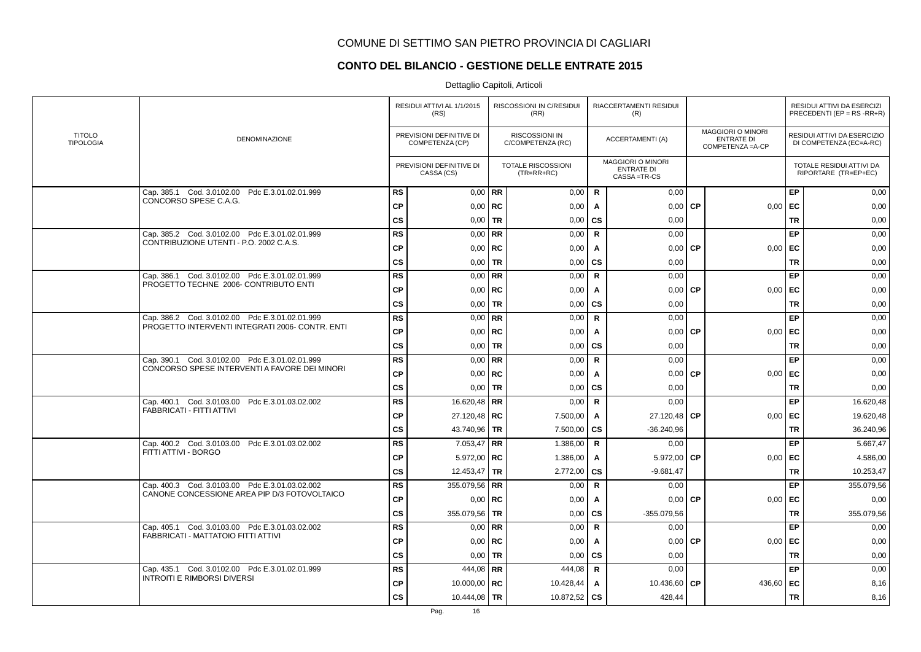# **CONTO DEL BILANCIO - GESTIONE DELLE ENTRATE 2015**

|                                   |                                                   |               | RESIDUI ATTIVI AL 1/1/2015<br>(RS)          |             | <b>RISCOSSIONI IN C/RESIDUI</b><br>(RR)   |              | RIACCERTAMENTI RESIDUI<br>(R)                                  |           |                                                                    |           | RESIDUI ATTIVI DA ESERCIZI<br>PRECEDENTI (EP = RS -RR+R) |
|-----------------------------------|---------------------------------------------------|---------------|---------------------------------------------|-------------|-------------------------------------------|--------------|----------------------------------------------------------------|-----------|--------------------------------------------------------------------|-----------|----------------------------------------------------------|
| <b>TITOLO</b><br><b>TIPOLOGIA</b> | <b>DENOMINAZIONE</b>                              |               | PREVISIONI DEFINITIVE DI<br>COMPETENZA (CP) |             | RISCOSSIONI IN<br>C/COMPETENZA (RC)       |              | <b>ACCERTAMENTI (A)</b>                                        |           | <b>MAGGIORI O MINORI</b><br><b>ENTRATE DI</b><br>COMPETENZA = A-CP |           | RESIDUI ATTIVI DA ESERCIZIO<br>DI COMPETENZA (EC=A-RC)   |
|                                   |                                                   |               | PREVISIONI DEFINITIVE DI<br>CASSA (CS)      |             | <b>TOTALE RISCOSSIONI</b><br>$(TR=RR+RC)$ |              | <b>MAGGIORI O MINORI</b><br><b>ENTRATE DI</b><br>CASSA = TR-CS |           |                                                                    |           | TOTALE RESIDUI ATTIVI DA<br>RIPORTARE (TR=EP+EC)         |
|                                   | Cap. 385.1 Cod. 3.0102.00 Pdc E.3.01.02.01.999    | <b>RS</b>     |                                             | $0.00$ RR   | 0,00                                      | R            | 0,00                                                           |           |                                                                    | EP        | 0,00                                                     |
|                                   | CONCORSO SPESE C.A.G.                             | <b>CP</b>     |                                             | $0.00$ RC   | 0,00                                      | A            | 0.00                                                           | <b>CP</b> | 0,00                                                               | EC        | 0,00                                                     |
|                                   |                                                   | <b>CS</b>     | 0,00                                        | <b>TR</b>   | 0,00                                      | CS           | 0.00                                                           |           |                                                                    | <b>TR</b> | 0,00                                                     |
|                                   | Cap. 385.2 Cod. 3.0102.00 Pdc E.3.01.02.01.999    | <b>RS</b>     |                                             | $0,00$ RR   | 0,00                                      | $\mathsf{R}$ | 0,00                                                           |           |                                                                    | EP        | 0,00                                                     |
|                                   | CONTRIBUZIONE UTENTI - P.O. 2002 C.A.S.           | <b>CP</b>     | 0,00                                        | <b>RC</b>   | 0,00                                      | A            | 0,00                                                           | <b>CP</b> | 0,00                                                               | EC        | 0,00                                                     |
|                                   |                                                   | <b>CS</b>     | 0,00                                        | <b>TR</b>   | 0,00                                      | CS           | 0,00                                                           |           |                                                                    | <b>TR</b> | 0,00                                                     |
|                                   | Cod. 3.0102.00 Pdc E.3.01.02.01.999<br>Cap. 386.1 | <b>RS</b>     |                                             | $0,00$ RR   | 0,00                                      | $\mathbf R$  | 0.00                                                           |           |                                                                    | EP        | 0,00                                                     |
|                                   | PROGETTO TECHNE 2006- CONTRIBUTO ENTI             | <b>CP</b>     |                                             | $0,00$ RC   | 0,00                                      | A            | 0,00                                                           | <b>CP</b> | 0,00                                                               | EC        | 0,00                                                     |
|                                   |                                                   | <b>CS</b>     |                                             | $0.00$ TR   | 0,00                                      | CS           | 0,00                                                           |           |                                                                    | <b>TR</b> | 0,00                                                     |
|                                   | Cap. 386.2 Cod. 3.0102.00 Pdc E.3.01.02.01.999    | <b>RS</b>     |                                             | $0.00$ RR   | 0,00                                      | $\mathsf{R}$ | 0,00                                                           |           |                                                                    | EP        | 0,00                                                     |
|                                   | PROGETTO INTERVENTI INTEGRATI 2006- CONTR. ENTI   | <b>CP</b>     |                                             | $0,00$   RC | 0,00                                      | A            | 0,00                                                           | <b>CP</b> | 0,00                                                               | EC        | 0,00                                                     |
|                                   |                                                   | <b>CS</b>     |                                             | $0,00$ TR   | 0,00                                      | CS           | 0,00                                                           |           |                                                                    | <b>TR</b> | 0,00                                                     |
|                                   | Cap. 390.1 Cod. 3.0102.00 Pdc E.3.01.02.01.999    | <b>RS</b>     |                                             | $0.00$ RR   | 0,00                                      | R            | 0,00                                                           |           |                                                                    | EP        | 0,00                                                     |
|                                   | CONCORSO SPESE INTERVENTI A FAVORE DEI MINORI     | <b>CP</b>     |                                             | $0,00$ RC   | 0,00                                      | A            | 0,00                                                           | <b>CP</b> | 0,00                                                               | EC        | 0,00                                                     |
|                                   |                                                   | <b>CS</b>     |                                             | $0,00$ TR   | 0,00                                      | <b>CS</b>    | 0,00                                                           |           |                                                                    | <b>TR</b> | 0,00                                                     |
|                                   | Cap. 400.1 Cod. 3.0103.00 Pdc E.3.01.03.02.002    | <b>RS</b>     | 16.620,48   RR                              |             | 0,00                                      | $\mathsf{R}$ | 0,00                                                           |           |                                                                    | EP        | 16.620,48                                                |
|                                   | FABBRICATI - FITTI ATTIVI                         | <b>CP</b>     | 27.120,48   RC                              |             | 7.500,00                                  | A            | 27.120,48 CP                                                   |           | 0,00                                                               | EC        | 19.620,48                                                |
|                                   |                                                   | $\mathsf{cs}$ | 43.740,96 TR                                |             | 7.500,00                                  | <b>CS</b>    | $-36.240,96$                                                   |           |                                                                    | <b>TR</b> | 36.240,96                                                |
|                                   | Cap. 400.2 Cod. 3.0103.00 Pdc E.3.01.03.02.002    | <b>RS</b>     | $7.053,47$ RR                               |             | 1.386,00                                  | $\mathbf R$  | 0,00                                                           |           |                                                                    | EP        | 5.667,47                                                 |
|                                   | FITTI ATTIVI - BORGO                              | СP            | $5.972,00$ RC                               |             | 1.386,00                                  | A            | 5.972,00                                                       | <b>CP</b> | 0,00                                                               | EC        | 4.586,00                                                 |
|                                   |                                                   | <b>CS</b>     | 12.453,47   TR                              |             | 2.772,00                                  | <b>CS</b>    | $-9.681,47$                                                    |           |                                                                    | <b>TR</b> | 10.253,47                                                |
|                                   | Cap. 400.3 Cod. 3.0103.00 Pdc E.3.01.03.02.002    | <b>RS</b>     | 355.079,56   RR                             |             | 0,00                                      | R            | 0,00                                                           |           |                                                                    | EP        | 355.079,56                                               |
|                                   | CANONE CONCESSIONE AREA PIP D/3 FOTOVOLTAICO      | <b>CP</b>     |                                             | $0.00$ RC   | 0,00                                      | A            | 0,00                                                           | <b>CP</b> | 0,00                                                               | EC        | 0,00                                                     |
|                                   |                                                   | <b>CS</b>     | 355.079,56   TR                             |             | 0,00                                      | <b>CS</b>    | $-355.079,56$                                                  |           |                                                                    | <b>TR</b> | 355.079,56                                               |
|                                   | Cap. 405.1 Cod. 3.0103.00 Pdc E.3.01.03.02.002    | <b>RS</b>     |                                             | $0,00$ RR   | 0,00                                      | $\mathsf{R}$ | 0,00                                                           |           |                                                                    | EP        | 0,00                                                     |
|                                   | FABBRICATI - MATTATOIO FITTI ATTIVI               | <b>CP</b>     |                                             | $0,00$ RC   | 0,00                                      | A            | 0,00                                                           | <b>CP</b> | 0,00                                                               | EC        | 0,00                                                     |
|                                   |                                                   | <b>CS</b>     | 0,00                                        | <b>TR</b>   | 0,00                                      | <b>CS</b>    | 0,00                                                           |           |                                                                    | <b>TR</b> | 0,00                                                     |
|                                   | Cap. 435.1 Cod. 3.0102.00 Pdc E.3.01.02.01.999    | <b>RS</b>     | 444,08 RR                                   |             | 444,08                                    | $\mathbf R$  | 0,00                                                           |           |                                                                    | EP        | 0,00                                                     |
|                                   | <b>INTROITI E RIMBORSI DIVERSI</b>                | <b>CP</b>     | 10.000,00   RC                              |             | 10.428,44                                 | A            | 10.436,60                                                      | <b>CP</b> | 436,60                                                             | EC        | 8,16                                                     |
|                                   |                                                   | <b>CS</b>     | 10.444,08   TR                              |             | 10.872,52                                 | <b>CS</b>    | 428,44                                                         |           |                                                                    | <b>TR</b> | 8,16                                                     |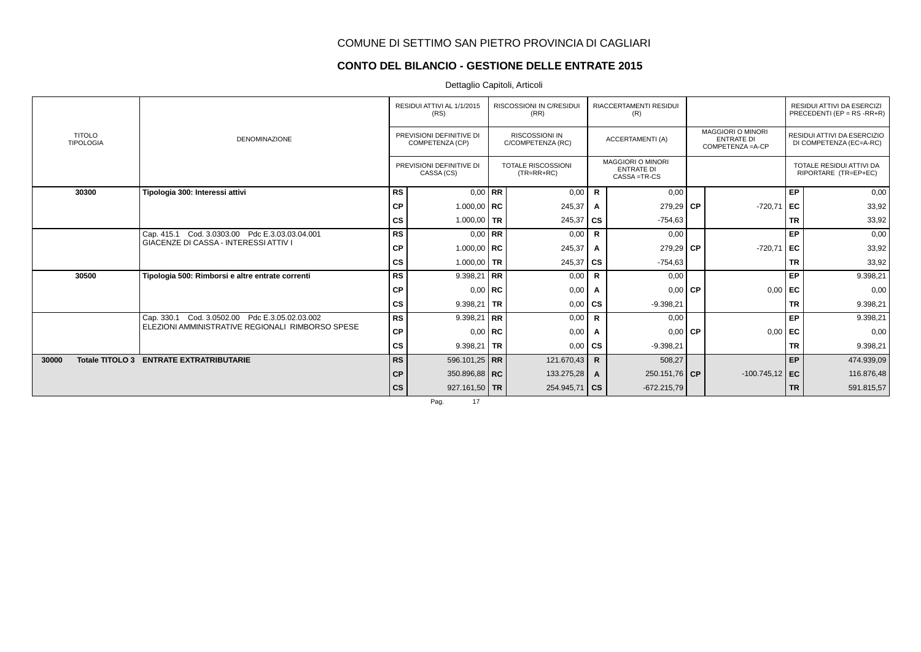### **CONTO DEL BILANCIO - GESTIONE DELLE ENTRATE 2015**

Dettaglio Capitoli, Articoli

|                                   |                                                  |               | RESIDUI ATTIVI AL 1/1/2015<br>(RS)          |           | <b>RISCOSSIONI IN C/RESIDUI</b><br>(RR)    |              | <b>RIACCERTAMENTI RESIDUI</b><br>(R)                           |                                                                    |           | RESIDUI ATTIVI DA ESERCIZI<br>PRECEDENTI (EP = $RS$ - $RR+R$ ) |
|-----------------------------------|--------------------------------------------------|---------------|---------------------------------------------|-----------|--------------------------------------------|--------------|----------------------------------------------------------------|--------------------------------------------------------------------|-----------|----------------------------------------------------------------|
| <b>TITOLO</b><br><b>TIPOLOGIA</b> | <b>DENOMINAZIONE</b>                             |               | PREVISIONI DEFINITIVE DI<br>COMPETENZA (CP) |           | <b>RISCOSSIONI IN</b><br>C/COMPETENZA (RC) |              | <b>ACCERTAMENTI (A)</b>                                        | <b>MAGGIORI O MINORI</b><br><b>ENTRATE DI</b><br>COMPETENZA = A-CP |           | RESIDUI ATTIVI DA ESERCIZIO<br>DI COMPETENZA (EC=A-RC)         |
|                                   |                                                  |               | PREVISIONI DEFINITIVE DI<br>CASSA (CS)      |           | <b>TOTALE RISCOSSIONI</b><br>$(TR=RR+RC)$  |              | <b>MAGGIORI O MINORI</b><br><b>ENTRATE DI</b><br>CASSA = TR-CS |                                                                    |           | TOTALE RESIDUI ATTIVI DA<br>RIPORTARE (TR=EP+EC)               |
| 30300                             | Tipologia 300: Interessi attivi                  | <b>RS</b>     | $0,00$ RR                                   |           | 0,00                                       | R            | 0,00                                                           |                                                                    | EP        | 0,00                                                           |
|                                   |                                                  | <b>CP</b>     | 1.000,00   RC                               |           | 245,37                                     | $\mathsf{A}$ | $279.29$ CP                                                    | $-720,71$                                                          | EC        | 33,92                                                          |
|                                   |                                                  | <b>CS</b>     | 1.000,00 TR                                 |           | 245,37                                     | <b>CS</b>    | $-754,63$                                                      |                                                                    | <b>TR</b> | 33,92                                                          |
|                                   | Cap. 415.1 Cod. 3.0303.00 Pdc E.3.03.03.04.001   | <b>RS</b>     |                                             | $0,00$ RR | 0,00                                       | $\mathsf{R}$ | 0,00                                                           |                                                                    | EP        | 0,00                                                           |
|                                   | <b>GIACENZE DI CASSA - INTERESSI ATTIV I</b>     | <b>CP</b>     | 1.000,00   RC                               |           | 245,37                                     | Α            | $279.29$ CP                                                    | $-720,71$                                                          | EC        | 33,92                                                          |
|                                   |                                                  | <b>CS</b>     | 1.000,00 TR                                 |           | 245,37                                     | <b>CS</b>    | $-754,63$                                                      |                                                                    | <b>TR</b> | 33,92                                                          |
| 30500                             | Tipologia 500: Rimborsi e altre entrate correnti | <b>RS</b>     | 9.398,21 RR                                 |           | 0,00                                       | $\mathsf{R}$ | 0,00                                                           |                                                                    | EP        | 9.398,21                                                       |
|                                   |                                                  | <b>CP</b>     | $0,00$ RC                                   |           | 0,00                                       | Α            | $0.00$ CP                                                      | 0,00                                                               | EC        | 0,00                                                           |
|                                   |                                                  | <b>CS</b>     | 9.398,21   TR                               |           | 0,00                                       | <b>CS</b>    | $-9.398,21$                                                    |                                                                    | <b>TR</b> | 9.398,21                                                       |
|                                   | Cap. 330.1 Cod. 3.0502.00 Pdc E.3.05.02.03.002   | <b>RS</b>     | 9.398,21 RR                                 |           | 0,00                                       | R            | 0,00                                                           |                                                                    | EP        | 9.398,21                                                       |
|                                   | ELEZIONI AMMINISTRATIVE REGIONALI RIMBORSO SPESE | <b>CP</b>     | 0,00                                        | l RC      | 0,00                                       | $\mathsf{A}$ | $0.00$ CP                                                      | 0,00                                                               | EC        | 0,00                                                           |
|                                   |                                                  | cs            | 9.398,21 TR                                 |           | 0,00                                       | CS           | $-9.398,21$                                                    |                                                                    | <b>TR</b> | 9.398,21                                                       |
| 30000                             | Totale TITOLO 3 ENTRATE EXTRATRIBUTARIE          | <b>RS</b>     | 596.101,25   RR                             |           | 121.670,43                                 | $\mathsf{R}$ | 508,27                                                         |                                                                    | EP        | 474.939,09                                                     |
|                                   |                                                  | CP            | 350.896,88   RC                             |           | 133.275,28                                 | A            | 250.151,76 CP                                                  | $-100.745,12$ EC                                                   |           | 116.876,48                                                     |
|                                   |                                                  | $\mathsf{cs}$ | 927.161,50 TR                               |           | 254.945,71                                 | l CS.        | $-672.215.79$                                                  |                                                                    | <b>TR</b> | 591.815,57                                                     |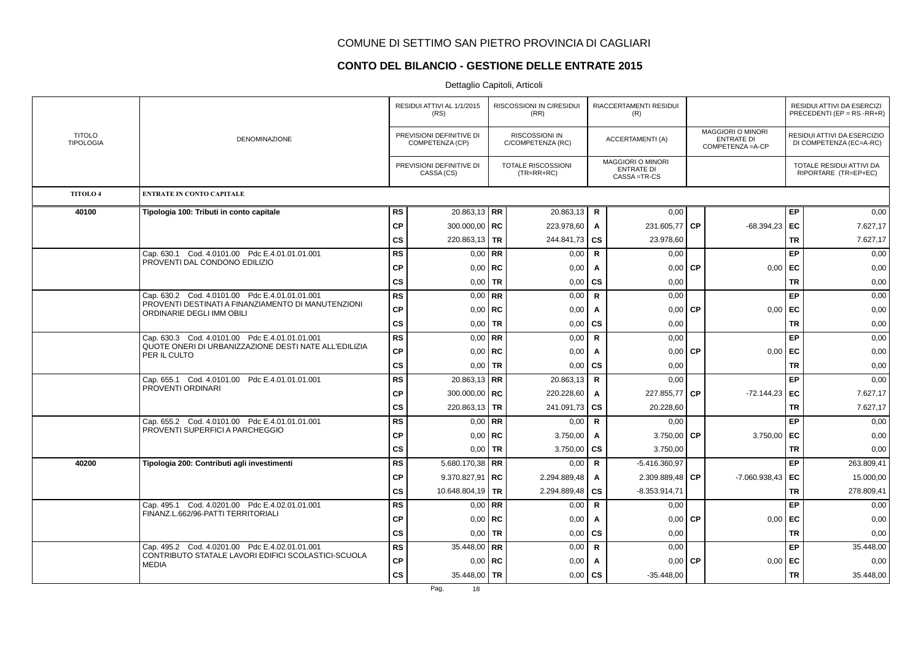### **CONTO DEL BILANCIO - GESTIONE DELLE ENTRATE 2015**

|                                   |                                                                                                       |           | RESIDUI ATTIVI AL 1/1/2015<br>(RS)          |             | RISCOSSIONI IN C/RESIDUI<br>(RR)           |              | RIACCERTAMENTI RESIDUI<br>(R)                                  |           |                                                                    |           | RESIDUI ATTIVI DA ESERCIZI<br>PRECEDENTI (EP = $RS$ -RR+R) |
|-----------------------------------|-------------------------------------------------------------------------------------------------------|-----------|---------------------------------------------|-------------|--------------------------------------------|--------------|----------------------------------------------------------------|-----------|--------------------------------------------------------------------|-----------|------------------------------------------------------------|
| <b>TITOLO</b><br><b>TIPOLOGIA</b> | <b>DENOMINAZIONE</b>                                                                                  |           | PREVISIONI DEFINITIVE DI<br>COMPETENZA (CP) |             | <b>RISCOSSIONI IN</b><br>C/COMPETENZA (RC) |              | <b>ACCERTAMENTI (A)</b>                                        |           | <b>MAGGIORI O MINORI</b><br><b>ENTRATE DI</b><br>COMPETENZA = A-CP |           | RESIDUI ATTIVI DA ESERCIZIO<br>DI COMPETENZA (EC=A-RC)     |
|                                   |                                                                                                       |           | PREVISIONI DEFINITIVE DI<br>CASSA (CS)      |             | TOTALE RISCOSSIONI<br>$(TR=RR+RC)$         |              | <b>MAGGIORI O MINORI</b><br><b>ENTRATE DI</b><br>CASSA = TR-CS |           |                                                                    |           | TOTALE RESIDUI ATTIVI DA<br>RIPORTARE (TR=EP+EC)           |
| <b>TITOLO 4</b>                   | <b>ENTRATE IN CONTO CAPITALE</b>                                                                      |           |                                             |             |                                            |              |                                                                |           |                                                                    |           |                                                            |
| 40100                             | Tipologia 100: Tributi in conto capitale                                                              | <b>RS</b> | $20.863,13$ RR                              |             | 20.863,13                                  | R            | 0,00                                                           |           |                                                                    | EP        | 0,00                                                       |
|                                   |                                                                                                       | <b>CP</b> | 300.000,00   RC                             |             | 223.978,60                                 | $\mathsf{A}$ | 231.605,77                                                     | <b>CP</b> | $-68.394.23$                                                       | EC        | 7.627,17                                                   |
|                                   |                                                                                                       | CS        | 220.863,13 TR                               |             | 244.841,73                                 | <b>CS</b>    | 23.978,60                                                      |           |                                                                    | <b>TR</b> | 7.627,17                                                   |
|                                   | Cap. 630.1 Cod. 4.0101.00 Pdc E.4.01.01.01.001                                                        | <b>RS</b> |                                             | $0.00$ RR   | 0,00                                       | $\mathbf R$  | 0.00                                                           |           |                                                                    | EP        | 0,00                                                       |
|                                   | PROVENTI DAL CONDONO EDILIZIO                                                                         | <b>CP</b> |                                             | $0,00$ RC   | 0,00                                       | A            | 0,00                                                           | <b>CP</b> | 0,00                                                               | EC        | 0,00                                                       |
|                                   |                                                                                                       | CS        |                                             | $0,00$ TR   | 0,00                                       | cs           | 0,00                                                           |           |                                                                    | <b>TR</b> | 0,00                                                       |
|                                   | Cap. 630.2 Cod. 4.0101.00 Pdc E.4.01.01.01.001                                                        | <b>RS</b> |                                             | $0.00$ RR   | 0,00                                       | $\mathbf R$  | 0,00                                                           |           |                                                                    | EP        | 0,00                                                       |
|                                   | PROVENTI DESTINATI A FINANZIAMENTO DI MANUTENZIONI<br>ORDINARIE DEGLI IMM OBILI                       | <b>CP</b> |                                             | $0,00$ RC   | 0,00                                       | $\mathsf{A}$ | 0,00                                                           | <b>CP</b> | 0,00                                                               | EC        | 0,00                                                       |
|                                   |                                                                                                       | CS        |                                             | $0,00$ TR   | 0,00                                       | <b>CS</b>    | 0,00                                                           |           |                                                                    | <b>TR</b> | 0,00                                                       |
|                                   | Cap. 630.3 Cod. 4.0101.00 Pdc E.4.01.01.01.001                                                        | <b>RS</b> |                                             | $0,00$ RR   | 0,00                                       | $\mathbf R$  | 0,00                                                           |           |                                                                    | EP        | 0,00                                                       |
|                                   | QUOTE ONERI DI URBANIZZAZIONE DESTI NATE ALL'EDILIZIA<br>PER IL CULTO                                 | <b>CP</b> |                                             | $0,00$ RC   | 0,00                                       | $\mathsf{A}$ | 0,00                                                           | <b>CP</b> | 0,00                                                               | EC        | 0,00                                                       |
|                                   |                                                                                                       | cs        |                                             | $0,00$ TR   | 0,00                                       | <b>CS</b>    | 0,00                                                           |           |                                                                    | <b>TR</b> | 0,00                                                       |
|                                   | Cap. 655.1 Cod. 4.0101.00 Pdc E.4.01.01.01.001                                                        | <b>RS</b> | $20.863,13$ RR                              |             | 20.863,13                                  | R            | 0,00                                                           |           |                                                                    | EP        | 0,00                                                       |
|                                   | PROVENTI ORDINARI                                                                                     | <b>CP</b> | 300.000,00   RC                             |             | 220.228,60                                 | $\mathsf{A}$ | 227.855,77                                                     | <b>CP</b> | $-72.144.23$                                                       | EC        | 7.627,17                                                   |
|                                   |                                                                                                       | CS        | 220.863,13   TR                             |             | 241.091,73                                 | <b>CS</b>    | 20.228,60                                                      |           |                                                                    | <b>TR</b> | 7.627,17                                                   |
|                                   | Cap. 655.2 Cod. 4.0101.00 Pdc E.4.01.01.01.001<br>PROVENTI SUPERFICI A PARCHEGGIO                     | <b>RS</b> |                                             | $0,00$ RR   | 0,00                                       | <b>R</b>     | 0,00                                                           |           |                                                                    | EP        | 0,00                                                       |
|                                   |                                                                                                       | <b>CP</b> |                                             | $0,00$   RC | 3.750,00                                   | A            | 3.750,00                                                       | <b>CP</b> | 3.750,00                                                           | EC        | 0,00                                                       |
|                                   |                                                                                                       | СS        |                                             | $0,00$   TR | 3.750,00                                   | cs           | 3.750,00                                                       |           |                                                                    | <b>TR</b> | 0,00                                                       |
| 40200                             | Tipologia 200: Contributi agli investimenti                                                           | <b>RS</b> | 5.680.170,38 RR                             |             | 0,00                                       | $\mathbf R$  | $-5.416.360.97$                                                |           |                                                                    | EP        | 263.809,41                                                 |
|                                   |                                                                                                       | <b>CP</b> | $9.370.827,91$ RC                           |             | 2.294.889,48                               | A            | 2.309.889,48                                                   | <b>CP</b> | $-7.060.938.43$                                                    | EC        | 15.000,00                                                  |
|                                   |                                                                                                       | CS        | 10.648.804,19   TR                          |             | 2.294.889,48                               | <b>CS</b>    | $-8.353.914.71$                                                |           |                                                                    | <b>TR</b> | 278.809,41                                                 |
|                                   | Cap. 495.1 Cod. 4.0201.00 Pdc E.4.02.01.01.001<br>FINANZ.L.662/96-PATTI TERRITORIALI                  | <b>RS</b> |                                             | $0.00$ RR   | 0,00                                       | $\mathbf R$  | 0,00                                                           |           |                                                                    | EP        | 0,00                                                       |
|                                   |                                                                                                       | <b>CP</b> |                                             | $0,00$   RC | 0,00                                       | A            | 0,00                                                           | <b>CP</b> | 0,00                                                               | EC        | 0,00                                                       |
|                                   |                                                                                                       | cs        |                                             | $0,00$ TR   | 0,00                                       | CS           | 0,00                                                           |           |                                                                    | TR        | 0,00                                                       |
|                                   | Cap. 495.2 Cod. 4.0201.00 Pdc E.4.02.01.01.001<br>CONTRIBUTO STATALE LAVORI EDIFICI SCOLASTICI-SCUOLA | <b>RS</b> | 35.448,00 RR                                |             | 0,00                                       | $\mathbf R$  | 0,00                                                           |           |                                                                    | EP        | 35.448,00                                                  |
|                                   | <b>MEDIA</b>                                                                                          | <b>CP</b> |                                             | $0,00$   RC | 0,00                                       | Α            | 0,00                                                           | <b>CP</b> | 0,00                                                               | EC        | 0,00                                                       |
|                                   |                                                                                                       | CS        | 35.448,00   TR                              |             | 0,00                                       | <b>CS</b>    | $-35.448,00$                                                   |           |                                                                    | <b>TR</b> | 35.448,00                                                  |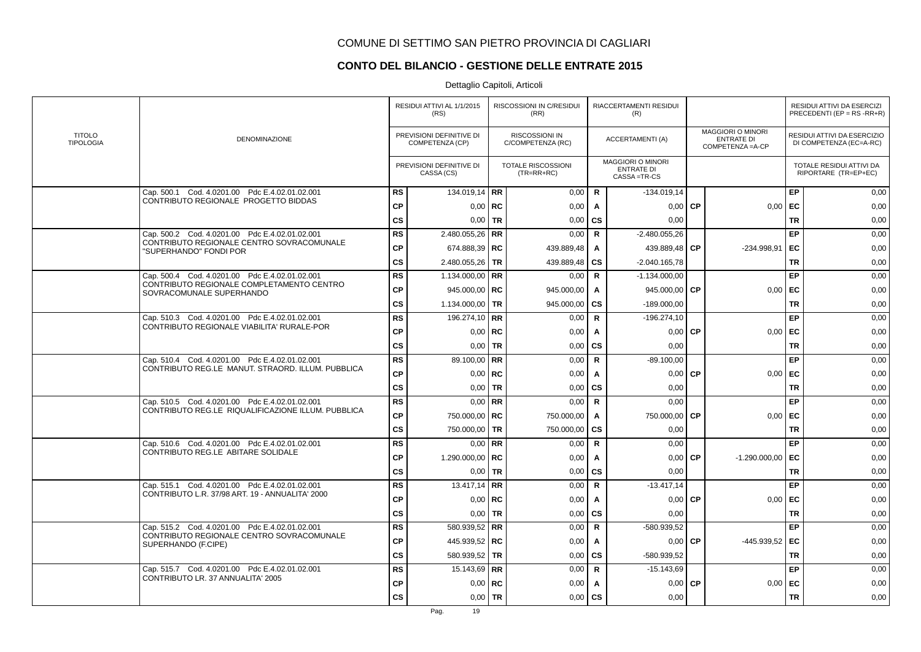# **CONTO DEL BILANCIO - GESTIONE DELLE ENTRATE 2015**

|                                   |                                                                       |               | RESIDUI ATTIVI AL 1/1/2015<br>(RS)          |             | RISCOSSIONI IN C/RESIDUI<br>(RR)          |              | RIACCERTAMENTI RESIDUI<br>(R)                                |           |                                                                    |           | RESIDUI ATTIVI DA ESERCIZI<br>PRECEDENTI (EP = RS -RR+R) |
|-----------------------------------|-----------------------------------------------------------------------|---------------|---------------------------------------------|-------------|-------------------------------------------|--------------|--------------------------------------------------------------|-----------|--------------------------------------------------------------------|-----------|----------------------------------------------------------|
| <b>TITOLO</b><br><b>TIPOLOGIA</b> | <b>DENOMINAZIONE</b>                                                  |               | PREVISIONI DEFINITIVE DI<br>COMPETENZA (CP) |             | RISCOSSIONI IN<br>C/COMPETENZA (RC)       |              | <b>ACCERTAMENTI (A)</b>                                      |           | <b>MAGGIORI O MINORI</b><br><b>ENTRATE DI</b><br>COMPETENZA = A-CP |           | RESIDUI ATTIVI DA ESERCIZIO<br>DI COMPETENZA (EC=A-RC)   |
|                                   |                                                                       |               | PREVISIONI DEFINITIVE DI<br>CASSA (CS)      |             | <b>TOTALE RISCOSSIONI</b><br>$(TR=RR+RC)$ |              | <b>MAGGIORI O MINORI</b><br><b>ENTRATE DI</b><br>CASSA=TR-CS |           |                                                                    |           | TOTALE RESIDUI ATTIVI DA<br>RIPORTARE (TR=EP+EC)         |
|                                   | Cap. 500.1 Cod. 4.0201.00 Pdc E.4.02.01.02.001                        | <b>RS</b>     | 134.019,14 RR                               |             | 0,00                                      | $\mathbf R$  | $-134.019.14$                                                |           |                                                                    | EP        | 0,00                                                     |
|                                   | CONTRIBUTO REGIONALE PROGETTO BIDDAS                                  | <b>CP</b>     |                                             | $0,00$   RC | 0,00                                      | A            | 0.00                                                         | <b>CP</b> | 0,00                                                               | EC        | 0,00                                                     |
|                                   |                                                                       | <b>CS</b>     | 0,00                                        | <b>TR</b>   | 0,00                                      | <b>CS</b>    | 0.00                                                         |           |                                                                    | <b>TR</b> | 0,00                                                     |
|                                   | Cap. 500.2 Cod. 4.0201.00 Pdc E.4.02.01.02.001                        | <b>RS</b>     | 2.480.055,26   RR                           |             | 0,00                                      | $\mathsf{R}$ | $-2.480.055,26$                                              |           |                                                                    | EP        | 0,00                                                     |
|                                   | CONTRIBUTO REGIONALE CENTRO SOVRACOMUNALE<br>"SUPERHANDO" FONDI POR   | <b>CP</b>     | 674.888,39 RC                               |             | 439.889,48                                | A            | 439.889,48                                                   | <b>CP</b> | -234.998,91                                                        | EC        | 0,00                                                     |
|                                   |                                                                       | <b>CS</b>     | 2.480.055,26 TR                             |             | 439.889,48                                | <b>CS</b>    | $-2.040.165,78$                                              |           |                                                                    | <b>TR</b> | 0,00                                                     |
|                                   | Cap. 500.4 Cod. 4.0201.00 Pdc E.4.02.01.02.001                        | <b>RS</b>     | 1.134.000,00   RR                           |             | 0,00                                      | $\mathbf R$  | $-1.134.000.00$                                              |           |                                                                    | EP        | 0,00                                                     |
|                                   | CONTRIBUTO REGIONALE COMPLETAMENTO CENTRO<br>SOVRACOMUNALE SUPERHANDO | <b>CP</b>     | 945.000,00   RC                             |             | 945.000,00                                | A            | 945.000,00                                                   | <b>CP</b> | 0,00                                                               | EC        | 0,00                                                     |
|                                   |                                                                       | <b>CS</b>     | 1.134.000,00   TR                           |             | 945.000,00                                | <b>CS</b>    | $-189.000,00$                                                |           |                                                                    | <b>TR</b> | 0,00                                                     |
|                                   | Cap. 510.3 Cod. 4.0201.00 Pdc E.4.02.01.02.001                        | <b>RS</b>     | 196.274,10 RR                               |             | 0,00                                      | $\mathbf R$  | $-196.274,10$                                                |           |                                                                    | EP        | 0,00                                                     |
|                                   | CONTRIBUTO REGIONALE VIABILITA' RURALE-POR                            | <b>CP</b>     |                                             | $0,00$   RC | 0,00                                      | A            | 0,00                                                         | <b>CP</b> | 0,00                                                               | EC        | 0,00                                                     |
|                                   |                                                                       | <b>CS</b>     |                                             | $0.00$ TR   | 0,00                                      | CS           | 0,00                                                         |           |                                                                    | <b>TR</b> | 0,00                                                     |
|                                   | Cap. 510.4 Cod. 4.0201.00 Pdc E.4.02.01.02.001                        | <b>RS</b>     | 89.100,00 RR                                |             | 0,00                                      | $\mathbf R$  | $-89.100,00$                                                 |           |                                                                    | EP        | 0,00                                                     |
|                                   | CONTRIBUTO REG.LE MANUT. STRAORD, ILLUM, PUBBLICA                     | CP            |                                             | $0,00$ RC   | 0,00                                      | A            | 0,00                                                         | <b>CP</b> | 0,00                                                               | EC        | 0,00                                                     |
|                                   |                                                                       | <b>CS</b>     |                                             | $0,00$ TR   | 0,00                                      | <b>CS</b>    | 0,00                                                         |           |                                                                    | <b>TR</b> | 0,00                                                     |
|                                   | Cap. 510.5 Cod. 4.0201.00 Pdc E.4.02.01.02.001                        | <b>RS</b>     |                                             | $0.00$ RR   | 0,00                                      | $\mathbf R$  | 0,00                                                         |           |                                                                    | EP        | 0,00                                                     |
|                                   | CONTRIBUTO REG.LE RIQUALIFICAZIONE ILLUM. PUBBLICA                    | <b>CP</b>     | 750.000,00   RC                             |             | 750.000,00                                | A            | 750.000,00                                                   | l CP      | 0.00                                                               | EC        | 0,00                                                     |
|                                   |                                                                       | $\mathsf{cs}$ | 750.000,00 TR                               |             | 750.000,00                                | <b>CS</b>    | 0,00                                                         |           |                                                                    | <b>TR</b> | 0,00                                                     |
|                                   | Cap. 510.6 Cod. 4.0201.00 Pdc E.4.02.01.02.001                        | <b>RS</b>     |                                             | $0.00$ RR   | 0,00                                      | $\mathbf R$  | 0,00                                                         |           |                                                                    | EP        | 0,00                                                     |
|                                   | CONTRIBUTO REG.LE ABITARE SOLIDALE                                    | <b>CP</b>     | 1.290.000,00   RC                           |             | 0,00                                      | A            | 0,00                                                         | <b>CP</b> | $-1.290.000,00$                                                    | EC        | 0,00                                                     |
|                                   |                                                                       | <b>CS</b>     | 0.001                                       | <b>TR</b>   | 0,00                                      | <b>CS</b>    | 0.00                                                         |           |                                                                    | <b>TR</b> | 0,00                                                     |
|                                   | Cap. 515.1 Cod. 4.0201.00 Pdc E.4.02.01.02.001                        | <b>RS</b>     | 13.417,14   RR                              |             | 0,00                                      | R            | $-13.417,14$                                                 |           |                                                                    | EP        | 0,00                                                     |
|                                   | CONTRIBUTO L.R. 37/98 ART. 19 - ANNUALITA' 2000                       | <b>CP</b>     |                                             | $0.00$ RC   | 0,00                                      | A            | 0,00                                                         | <b>CP</b> | 0,00                                                               | EC        | 0,00                                                     |
|                                   |                                                                       | <b>CS</b>     |                                             | $0.00$ TR   | 0,00                                      | <b>CS</b>    | 0.00                                                         |           |                                                                    | <b>TR</b> | 0,00                                                     |
|                                   | Cap. 515.2 Cod. 4.0201.00 Pdc E.4.02.01.02.001                        | <b>RS</b>     | 580.939,52 RR                               |             | 0,00                                      | $\mathsf{R}$ | -580.939,52                                                  |           |                                                                    | EP        | 0,00                                                     |
|                                   | CONTRIBUTO REGIONALE CENTRO SOVRACOMUNALE<br>SUPERHANDO (F.CIPE)      | <b>CP</b>     | 445.939,52 RC                               |             | 0,00                                      | A            | 0,00                                                         | <b>CP</b> | -445.939,52                                                        | EC        | 0,00                                                     |
|                                   |                                                                       | <b>CS</b>     | 580.939,52 TR                               |             | 0,00                                      | <b>CS</b>    | -580.939,52                                                  |           |                                                                    | <b>TR</b> | 0,00                                                     |
|                                   | Cap. 515.7 Cod. 4.0201.00 Pdc E.4.02.01.02.001                        | <b>RS</b>     | 15.143,69 RR                                |             | 0,00                                      | $\mathbf R$  | $-15.143.69$                                                 |           |                                                                    | EP        | 0,00                                                     |
|                                   | CONTRIBUTO LR. 37 ANNUALITA' 2005                                     | <b>CP</b>     |                                             | $0.00$ RC   | 0,00                                      | A            | 0,00                                                         | <b>CP</b> | 0,00                                                               | EC        | 0,00                                                     |
|                                   |                                                                       | <b>CS</b>     |                                             | $0,00$ TR   | 0,00                                      | <b>CS</b>    | 0,00                                                         |           |                                                                    | <b>TR</b> | 0,00                                                     |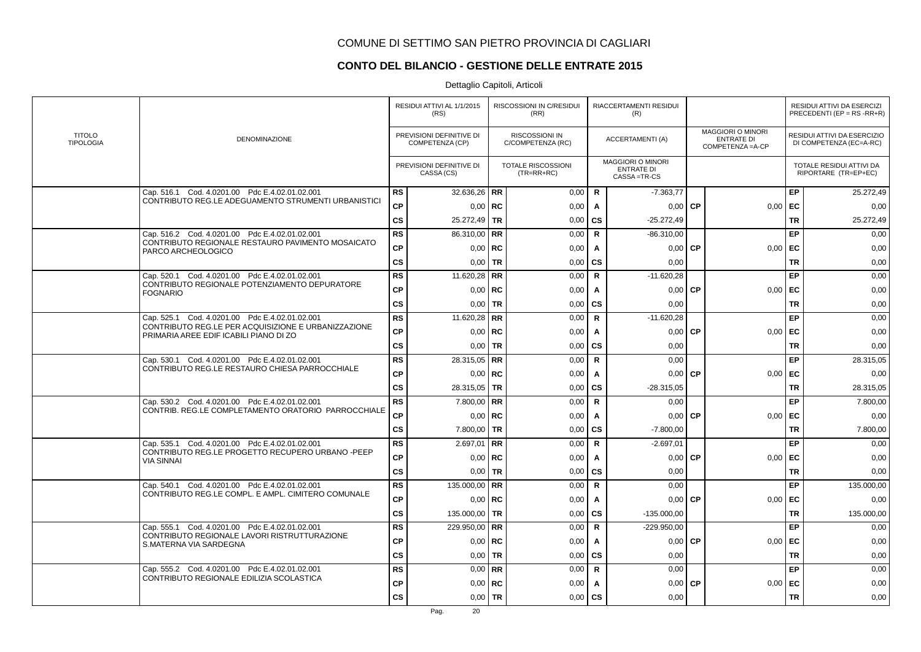# **CONTO DEL BILANCIO - GESTIONE DELLE ENTRATE 2015**

|                                   |                                                                                               |               | RESIDUI ATTIVI AL 1/1/2015<br>(RS)          |           | RISCOSSIONI IN C/RESIDUI<br>(RR)           |              | RIACCERTAMENTI RESIDUI<br>(R)                                |           |                                                                    |           | RESIDUI ATTIVI DA ESERCIZI<br>PRECEDENTI (EP = $RS$ -RR+R) |
|-----------------------------------|-----------------------------------------------------------------------------------------------|---------------|---------------------------------------------|-----------|--------------------------------------------|--------------|--------------------------------------------------------------|-----------|--------------------------------------------------------------------|-----------|------------------------------------------------------------|
| <b>TITOLO</b><br><b>TIPOLOGIA</b> | <b>DENOMINAZIONE</b>                                                                          |               | PREVISIONI DEFINITIVE DI<br>COMPETENZA (CP) |           | <b>RISCOSSIONI IN</b><br>C/COMPETENZA (RC) |              | <b>ACCERTAMENTI (A)</b>                                      |           | <b>MAGGIORI O MINORI</b><br><b>ENTRATE DI</b><br>COMPETENZA = A-CP |           | RESIDUI ATTIVI DA ESERCIZIO<br>DI COMPETENZA (EC=A-RC)     |
|                                   |                                                                                               |               | PREVISIONI DEFINITIVE DI<br>CASSA (CS)      |           | <b>TOTALE RISCOSSIONI</b><br>$(TR=RR+RC)$  |              | <b>MAGGIORI O MINORI</b><br><b>ENTRATE DI</b><br>CASSA=TR-CS |           |                                                                    |           | TOTALE RESIDUI ATTIVI DA<br>RIPORTARE (TR=EP+EC)           |
|                                   | Cap. 516.1 Cod. 4.0201.00 Pdc E.4.02.01.02.001                                                | <b>RS</b>     | 32.636,26   RR                              |           | 0,00                                       | R            | $-7.363,77$                                                  |           |                                                                    | EP        | 25.272,49                                                  |
|                                   | CONTRIBUTO REG.LE ADEGUAMENTO STRUMENTI URBANISTICI                                           | СP            | $0,00$ RC                                   |           | 0,00                                       | A            | 0,00                                                         | <b>CP</b> | 0,00                                                               | EC        | 0,00                                                       |
|                                   |                                                                                               | <b>CS</b>     | $25.272,49$ TR                              |           | 0,00                                       | <b>CS</b>    | $-25.272,49$                                                 |           |                                                                    | <b>TR</b> | 25.272,49                                                  |
|                                   | Cap. 516.2 Cod. 4.0201.00 Pdc E.4.02.01.02.001                                                | <b>RS</b>     | 86.310,00   RR                              |           | 0,00                                       | $\mathbf R$  | $-86.310,00$                                                 |           |                                                                    | EP        | 0,00                                                       |
|                                   | CONTRIBUTO REGIONALE RESTAURO PAVIMENTO MOSAICATO<br>PARCO ARCHEOLOGICO                       | CP            | $0,00$   RC                                 |           | 0,00                                       | A            | 0,00                                                         | <b>CP</b> | 0,00                                                               | EC        | 0,00                                                       |
|                                   |                                                                                               | <b>CS</b>     | 0,00                                        | <b>TR</b> | 0,00                                       | CS           | 0,00                                                         |           |                                                                    | <b>TR</b> | 0,00                                                       |
|                                   | Cap. 520.1 Cod. 4.0201.00 Pdc E.4.02.01.02.001                                                | <b>RS</b>     | 11.620,28 RR                                |           | 0,00                                       | $\mathbf R$  | $-11.620,28$                                                 |           |                                                                    | EP        | 0,00                                                       |
|                                   | CONTRIBUTO REGIONALE POTENZIAMENTO DEPURATORE<br><b>FOGNARIO</b>                              | <b>CP</b>     | $0.00$ RC                                   |           | 0,00                                       | A            | 0,00                                                         | <b>CP</b> | 0.00                                                               | EC        | 0,00                                                       |
|                                   |                                                                                               | $\mathsf{cs}$ | $0,00$ TR                                   |           | 0,00                                       | <b>CS</b>    | 0,00                                                         |           |                                                                    | <b>TR</b> | 0,00                                                       |
|                                   | Cap. 525.1 Cod. 4.0201.00 Pdc E.4.02.01.02.001                                                | <b>RS</b>     | 11.620,28 RR                                |           | 0,00                                       | $\mathbf R$  | $-11.620,28$                                                 |           |                                                                    | EP        | 0,00                                                       |
|                                   | CONTRIBUTO REG.LE PER ACQUISIZIONE E URBANIZZAZIONE<br>PRIMARIA AREE EDIF ICABILI PIANO DI ZO | <b>CP</b>     | $0,00$   RC                                 |           | 0,00                                       | A            | 0,00                                                         | <b>CP</b> | 0,00                                                               | EC        | 0,00                                                       |
|                                   |                                                                                               | <b>CS</b>     | $0.00$ TR                                   |           | 0,00                                       | <b>CS</b>    | 0,00                                                         |           |                                                                    | <b>TR</b> | 0,00                                                       |
|                                   | Cap. 530.1 Cod. 4.0201.00 Pdc E.4.02.01.02.001                                                | <b>RS</b>     | 28.315,05   RR                              |           | 0,00                                       | $\mathbf R$  | 0,00                                                         |           |                                                                    | EP        | 28.315,05                                                  |
|                                   | CONTRIBUTO REG.LE RESTAURO CHIESA PARROCCHIALE                                                | <b>CP</b>     | $0,00$ RC                                   |           | 0,00                                       | A            | 0,00                                                         | <b>CP</b> | 0,00                                                               | EC        | 0,00                                                       |
|                                   |                                                                                               | $\mathsf{cs}$ | 28.315,05   TR                              |           | 0,00                                       | CS           | $-28.315.05$                                                 |           |                                                                    | <b>TR</b> | 28.315,05                                                  |
|                                   | Cap. 530.2 Cod. 4.0201.00 Pdc E.4.02.01.02.001                                                | <b>RS</b>     | $7.800,00$ RR                               |           | 0,00                                       | $\mathbf R$  | 0.00                                                         |           |                                                                    | EP        | 7.800,00                                                   |
|                                   | CONTRIB. REG.LE COMPLETAMENTO ORATORIO PARROCCHIALE                                           | <b>CP</b>     | $0,00$ RC                                   |           | 0,00                                       | Α            | $0,00$ CP                                                    |           | 0,00                                                               | EC        | 0,00                                                       |
|                                   |                                                                                               | $\mathsf{cs}$ | 7.800,00 TR                                 |           | 0,00                                       | CS           | $-7.800,00$                                                  |           |                                                                    | <b>TR</b> | 7.800,00                                                   |
|                                   | Cap. 535.1 Cod. 4.0201.00 Pdc E.4.02.01.02.001                                                | <b>RS</b>     | $2.697,01$ RR                               |           | 0,00                                       | $\mathbf R$  | $-2.697,01$                                                  |           |                                                                    | EP        | 0,00                                                       |
|                                   | CONTRIBUTO REG.LE PROGETTO RECUPERO URBANO -PEEP<br><b>VIA SINNAI</b>                         | <b>CP</b>     | $0,00$ RC                                   |           | 0,00                                       | A            | 0,00                                                         | <b>CP</b> | 0,00                                                               | EC        | 0,00                                                       |
|                                   |                                                                                               | <b>CS</b>     | $0.00$ TR                                   |           | 0,00                                       | CS           | 0,00                                                         |           |                                                                    | <b>TR</b> | 0,00                                                       |
|                                   | Cap. 540.1 Cod. 4.0201.00 Pdc E.4.02.01.02.001                                                | <b>RS</b>     | 135.000,00 RR                               |           | 0,00                                       | R            | 0.00                                                         |           |                                                                    | EP        | 135.000,00                                                 |
|                                   | CONTRIBUTO REG.LE COMPL. E AMPL. CIMITERO COMUNALE                                            | <b>CP</b>     | $0,00$   RC                                 |           | 0,00                                       | A            | 0.00                                                         | <b>CP</b> | 0,00                                                               | EC        | 0,00                                                       |
|                                   |                                                                                               | <b>CS</b>     | 135.000,00 TR                               |           | 0,00                                       | <b>CS</b>    | $-135.000,00$                                                |           |                                                                    | <b>TR</b> | 135.000,00                                                 |
|                                   | Cap. 555.1 Cod. 4.0201.00 Pdc E.4.02.01.02.001                                                | <b>RS</b>     | 229.950,00 RR                               |           | 0,00                                       | $\mathsf{R}$ | $-229.950,00$                                                |           |                                                                    | EP        | 0,00                                                       |
|                                   | CONTRIBUTO REGIONALE LAVORI RISTRUTTURAZIONE<br>S.MATERNA VIA SARDEGNA                        | <b>CP</b>     | $0.00$ RC                                   |           | 0,00                                       | A            | 0,00                                                         | <b>CP</b> | 0,00                                                               | EC        | 0,00                                                       |
|                                   |                                                                                               | <b>CS</b>     | $0,00$   TR                                 |           | 0,00                                       | <b>CS</b>    | 0,00                                                         |           |                                                                    | <b>TR</b> | 0,00                                                       |
|                                   | Cap. 555.2 Cod. 4.0201.00 Pdc E.4.02.01.02.001                                                | <b>RS</b>     | $0,00$ RR                                   |           | 0,00                                       | $\mathbf R$  | 0,00                                                         |           |                                                                    | EP        | 0,00                                                       |
|                                   | CONTRIBUTO REGIONALE EDILIZIA SCOLASTICA                                                      | <b>CP</b>     | $0,00$ RC                                   |           | 0,00                                       | A            | 0,00                                                         | <b>CP</b> | 0,00                                                               | EC        | 0,00                                                       |
|                                   |                                                                                               | <b>CS</b>     | $0,00$   TR                                 |           | 0,00                                       | <b>CS</b>    | 0,00                                                         |           |                                                                    | <b>TR</b> | 0,00                                                       |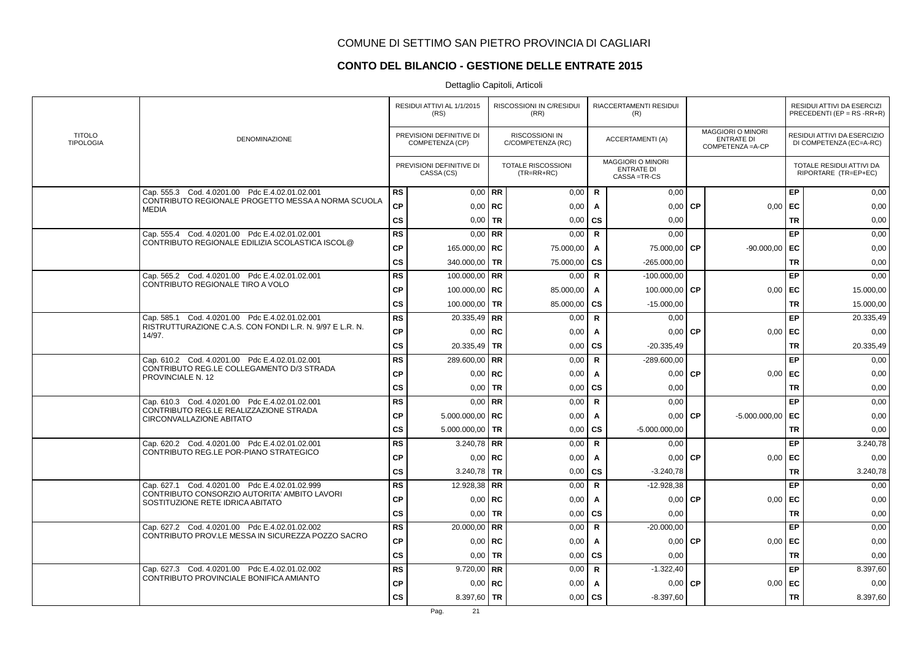# **CONTO DEL BILANCIO - GESTIONE DELLE ENTRATE 2015**

|                                   |                                                                                  |               | RESIDUI ATTIVI AL 1/1/2015<br>(RS)          |             | RISCOSSIONI IN C/RESIDUI<br>(RR)           |              | RIACCERTAMENTI RESIDUI<br>(R)                                |           |                                                                    |           | RESIDUI ATTIVI DA ESERCIZI<br>PRECEDENTI (EP = $RS$ -RR+R) |
|-----------------------------------|----------------------------------------------------------------------------------|---------------|---------------------------------------------|-------------|--------------------------------------------|--------------|--------------------------------------------------------------|-----------|--------------------------------------------------------------------|-----------|------------------------------------------------------------|
| <b>TITOLO</b><br><b>TIPOLOGIA</b> | DENOMINAZIONE                                                                    |               | PREVISIONI DEFINITIVE DI<br>COMPETENZA (CP) |             | <b>RISCOSSIONI IN</b><br>C/COMPETENZA (RC) |              | <b>ACCERTAMENTI (A)</b>                                      |           | <b>MAGGIORI O MINORI</b><br><b>ENTRATE DI</b><br>COMPETENZA = A-CP |           | RESIDUI ATTIVI DA ESERCIZIO<br>DI COMPETENZA (EC=A-RC)     |
|                                   |                                                                                  |               | PREVISIONI DEFINITIVE DI<br>CASSA (CS)      |             | <b>TOTALE RISCOSSIONI</b><br>$(TR=RR+RC)$  |              | <b>MAGGIORI O MINORI</b><br><b>ENTRATE DI</b><br>CASSA=TR-CS |           |                                                                    |           | TOTALE RESIDUI ATTIVI DA<br>RIPORTARE (TR=EP+EC)           |
|                                   | Cap. 555.3 Cod. 4.0201.00 Pdc E.4.02.01.02.001                                   | <b>RS</b>     |                                             | $0,00$ RR   | 0,00                                       | $\mathbf R$  | 0.00                                                         |           |                                                                    | EP        | 0,00                                                       |
|                                   | CONTRIBUTO REGIONALE PROGETTO MESSA A NORMA SCUOLA<br><b>MEDIA</b>               | СP            |                                             | $0,00$ RC   | 0,00                                       | A            | 0,00                                                         | <b>CP</b> | 0,00                                                               | EC        | 0,00                                                       |
|                                   |                                                                                  | <b>CS</b>     | 0,00                                        | <b>TR</b>   | 0,00                                       | <b>CS</b>    | 0,00                                                         |           |                                                                    | <b>TR</b> | 0,00                                                       |
|                                   | Cap. 555.4 Cod. 4.0201.00 Pdc E.4.02.01.02.001                                   | <b>RS</b>     |                                             | $0,00$ RR   | 0,00                                       | $\mathbf R$  | 0,00                                                         |           |                                                                    | EP        | 0,00                                                       |
|                                   | CONTRIBUTO REGIONALE EDILIZIA SCOLASTICA ISCOL@                                  | <b>CP</b>     | 165.000,00 RC                               |             | 75.000,00                                  | A            | 75.000,00                                                    | <b>CP</b> | $-90.000,00$                                                       | EC        | 0,00                                                       |
|                                   |                                                                                  | cs            | 340.000,00 TR                               |             | 75.000,00                                  | <b>CS</b>    | $-265.000,00$                                                |           |                                                                    | <b>TR</b> | 0,00                                                       |
|                                   | Cap. 565.2 Cod. 4.0201.00 Pdc E.4.02.01.02.001                                   | <b>RS</b>     | 100.000,00 RR                               |             | 0,00                                       | $\mathbf R$  | $-100.000,00$                                                |           |                                                                    | EP        | 0,00                                                       |
|                                   | CONTRIBUTO REGIONALE TIRO A VOLO                                                 | <b>CP</b>     | 100.000,00   RC                             |             | 85.000,00                                  | A            | 100.000,00                                                   | <b>CP</b> | 0,00                                                               | EC        | 15.000,00                                                  |
|                                   |                                                                                  | <b>CS</b>     | 100.000,00 TR                               |             | 85.000,00                                  | <b>CS</b>    | $-15.000,00$                                                 |           |                                                                    | <b>TR</b> | 15.000,00                                                  |
|                                   | Cap. 585.1 Cod. 4.0201.00 Pdc E.4.02.01.02.001                                   | <b>RS</b>     | 20.335,49 RR                                |             | 0,00                                       | $\mathbf R$  | 0.00                                                         |           |                                                                    | EP        | 20.335,49                                                  |
|                                   | RISTRUTTURAZIONE C.A.S. CON FONDI L.R. N. 9/97 E L.R. N.<br>14/97.               | <b>CP</b>     |                                             | $0,00$   RC | 0,00                                       | A            | 0,00                                                         | <b>CP</b> | 0,00                                                               | EC        | 0,00                                                       |
|                                   |                                                                                  | <b>CS</b>     | 20.335,49   TR                              |             | 0,00                                       | CS           | $-20.335,49$                                                 |           |                                                                    | <b>TR</b> | 20.335,49                                                  |
|                                   | Cap. 610.2 Cod. 4.0201.00 Pdc E.4.02.01.02.001                                   | <b>RS</b>     | 289.600,00 RR                               |             | 0,00                                       | $\mathbf R$  | $-289.600,00$                                                |           |                                                                    | EP        | 0,00                                                       |
|                                   | CONTRIBUTO REG.LE COLLEGAMENTO D/3 STRADA<br>PROVINCIALE N. 12                   | <b>CP</b>     |                                             | $0,00$ RC   | 0,00                                       | A            | 0,00                                                         | <b>CP</b> | 0,00                                                               | EC        | 0,00                                                       |
|                                   |                                                                                  | $\mathsf{cs}$ |                                             | $0,00$ TR   | 0,00                                       | <b>CS</b>    | 0,00                                                         |           |                                                                    | <b>TR</b> | 0,00                                                       |
|                                   | Cap. 610.3 Cod. 4.0201.00 Pdc E.4.02.01.02.001                                   | <b>RS</b>     |                                             | $0.00$ RR   | 0,00                                       | $\mathbf R$  | 0,00                                                         |           |                                                                    | EP        | 0,00                                                       |
|                                   | CONTRIBUTO REG.LE REALIZZAZIONE STRADA<br>CIRCONVALLAZIONE ABITATO               | <b>CP</b>     | $5.000.000,00$ RC                           |             | 0,00                                       | A            | $0.00$ CP                                                    |           | $-5.000.000,00$                                                    | EC        | 0,00                                                       |
|                                   |                                                                                  | CS            | 5.000.000,00 TR                             |             | 0,00                                       | CS           | $-5.000.000,00$                                              |           |                                                                    | <b>TR</b> | 0,00                                                       |
|                                   | Cap. 620.2 Cod. 4.0201.00 Pdc E.4.02.01.02.001                                   | <b>RS</b>     | 3.240,78   RR                               |             | 0,00                                       | R            | 0,00                                                         |           |                                                                    | EP        | 3.240,78                                                   |
|                                   | CONTRIBUTO REG.LE POR-PIANO STRATEGICO                                           | <b>CP</b>     |                                             | $0,00$ RC   | 0,00                                       | Α            | $0,00$ CP                                                    |           | 0,00                                                               | EC        | 0,00                                                       |
|                                   |                                                                                  | <b>CS</b>     | 3.240,78   TR                               |             | 0,00                                       | CS           | $-3.240,78$                                                  |           |                                                                    | <b>TR</b> | 3.240,78                                                   |
|                                   | Cap. 627.1 Cod. 4.0201.00 Pdc E.4.02.01.02.999                                   | <b>RS</b>     | 12.928,38   RR                              |             | 0,00                                       | $\mathbf R$  | $-12.928,38$                                                 |           |                                                                    | EP        | 0,00                                                       |
|                                   | CONTRIBUTO CONSORZIO AUTORITA' AMBITO LAVORI<br>SOSTITUZIONE RETE IDRICA ABITATO | CP            |                                             | $0,00$ RC   | 0,00                                       | A            | 0,00                                                         | <b>CP</b> | 0.00                                                               | EC        | 0,00                                                       |
|                                   |                                                                                  | $\mathsf{cs}$ |                                             | $0,00$ TR   | 0,00                                       | CS           | 0,00                                                         |           |                                                                    | <b>TR</b> | 0,00                                                       |
|                                   | Cap. 627.2 Cod. 4.0201.00 Pdc E.4.02.01.02.002                                   | <b>RS</b>     | 20.000,00   RR                              |             | 0,00                                       | $\mathsf{R}$ | $-20.000,00$                                                 |           |                                                                    | EP        | 0,00                                                       |
|                                   | CONTRIBUTO PROV.LE MESSA IN SICUREZZA POZZO SACRO                                | <b>CP</b>     |                                             | $0,00$ RC   | 0,00                                       | A            | 0,00                                                         | <b>CP</b> | 0,00                                                               | EC        | 0,00                                                       |
|                                   |                                                                                  | cs            |                                             | $0,00$   TR | 0,00                                       | <b>CS</b>    | 0.00                                                         |           |                                                                    | <b>TR</b> | 0,00                                                       |
|                                   | Cap. 627.3 Cod. 4.0201.00 Pdc E.4.02.01.02.002                                   | <b>RS</b>     | 9.720,00 RR                                 |             | 0,00                                       | R            | $-1.322,40$                                                  |           |                                                                    | EP        | 8.397,60                                                   |
|                                   | CONTRIBUTO PROVINCIALE BONIFICA AMIANTO                                          | <b>CP</b>     |                                             | $0,00$ RC   | 0,00                                       | A            | 0,00                                                         | <b>CP</b> | 0,00                                                               | EC        | 0,00                                                       |
|                                   |                                                                                  | <b>CS</b>     | 8.397,60   TR                               |             | 0,00                                       | CS           | $-8.397,60$                                                  |           |                                                                    | <b>TR</b> | 8.397,60                                                   |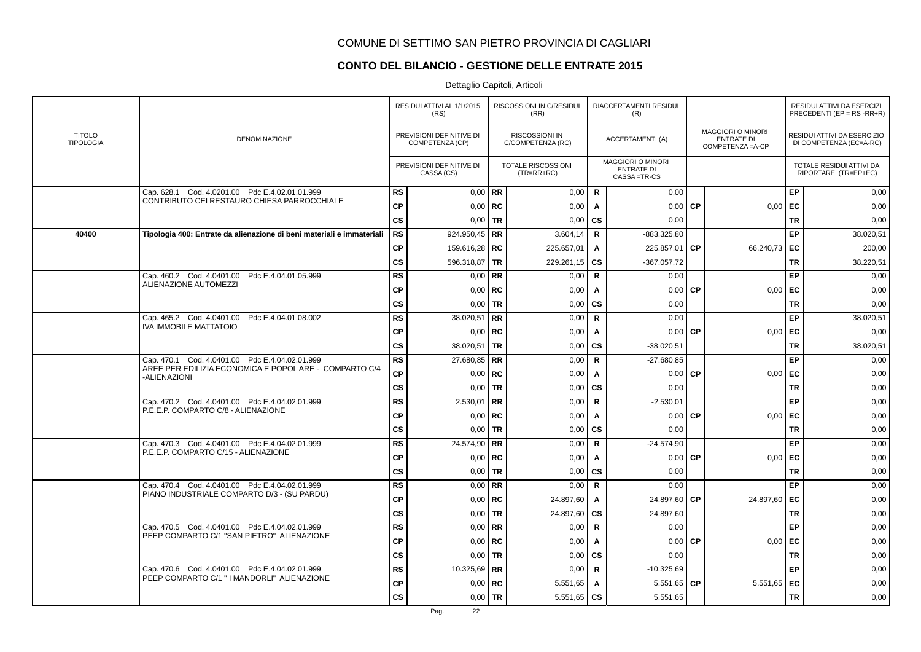# **CONTO DEL BILANCIO - GESTIONE DELLE ENTRATE 2015**

|                                   |                                                                        |               | RESIDUI ATTIVI AL 1/1/2015<br>(RS)          |             | RISCOSSIONI IN C/RESIDUI<br>(RR)    |              | RIACCERTAMENTI RESIDUI<br>(R)                                |           |                                                                    |           | RESIDUI ATTIVI DA ESERCIZI<br>PRECEDENTI (EP = $RS$ -RR+R) |
|-----------------------------------|------------------------------------------------------------------------|---------------|---------------------------------------------|-------------|-------------------------------------|--------------|--------------------------------------------------------------|-----------|--------------------------------------------------------------------|-----------|------------------------------------------------------------|
| <b>TITOLO</b><br><b>TIPOLOGIA</b> | DENOMINAZIONE                                                          |               | PREVISIONI DEFINITIVE DI<br>COMPETENZA (CP) |             | RISCOSSIONI IN<br>C/COMPETENZA (RC) |              | <b>ACCERTAMENTI (A)</b>                                      |           | <b>MAGGIORI O MINORI</b><br><b>ENTRATE DI</b><br>COMPETENZA = A-CP |           | RESIDUI ATTIVI DA ESERCIZIO<br>DI COMPETENZA (EC=A-RC)     |
|                                   |                                                                        |               | PREVISIONI DEFINITIVE DI<br>CASSA (CS)      |             | TOTALE RISCOSSIONI<br>$(TR=RR+RC)$  |              | <b>MAGGIORI O MINORI</b><br><b>ENTRATE DI</b><br>CASSA=TR-CS |           |                                                                    |           | TOTALE RESIDUI ATTIVI DA<br>RIPORTARE (TR=EP+EC)           |
|                                   | Cap. 628.1 Cod. 4.0201.00 Pdc E.4.02.01.01.999                         | <b>RS</b>     | $0.00$ RR                                   |             | 0,00                                | $\mathbf R$  | 0.00                                                         |           |                                                                    | EP        | 0,00                                                       |
|                                   | CONTRIBUTO CEI RESTAURO CHIESA PARROCCHIALE                            | <b>CP</b>     |                                             | $0.00$ RC   | 0,00                                | A            | 0,00                                                         | <b>CP</b> | 0,00                                                               | EC        | 0,00                                                       |
|                                   |                                                                        | <b>CS</b>     | 0,00                                        | <b>TR</b>   | 0,00                                | <b>CS</b>    | 0,00                                                         |           |                                                                    | <b>TR</b> | 0,00                                                       |
| 40400                             | Tipologia 400: Entrate da alienazione di beni materiali e immateriali  | <b>RS</b>     | 924.950,45   RR                             |             | 3.604,14                            | $\mathbf R$  | -883.325,80                                                  |           |                                                                    | EP        | 38.020,51                                                  |
|                                   |                                                                        | <b>CP</b>     | 159.616,28   RC                             |             | 225.657,01                          | A            | 225.857,01                                                   | <b>CP</b> | 66.240,73                                                          | ∣ EC      | 200,00                                                     |
|                                   |                                                                        | <b>CS</b>     | 596.318,87   TR                             |             | 229.261,15                          | <b>CS</b>    | $-367.057,72$                                                |           |                                                                    | <b>TR</b> | 38.220,51                                                  |
|                                   | Cap. 460.2 Cod. 4.0401.00 Pdc E.4.04.01.05.999                         | <b>RS</b>     |                                             | $0,00$ RR   | 0,00                                | $\mathbf R$  | 0,00                                                         |           |                                                                    | EP        | 0,00                                                       |
|                                   | ALIENAZIONE AUTOMEZZI                                                  | <b>CP</b>     |                                             | $0,00$ RC   | 0,00                                | A            | 0,00                                                         | <b>CP</b> | 0,00                                                               | EC        | 0,00                                                       |
|                                   |                                                                        | <b>CS</b>     |                                             | $0.00$ TR   | 0,00                                | CS           | 0,00                                                         |           |                                                                    | <b>TR</b> | 0,00                                                       |
|                                   | Cap. 465.2 Cod. 4.0401.00 Pdc E.4.04.01.08.002                         | <b>RS</b>     | 38.020,51 RR                                |             | 0,00                                | $\mathbf R$  | 0.00                                                         |           |                                                                    | EP        | 38.020,51                                                  |
|                                   | <b>IVA IMMOBILE MATTATOIO</b>                                          | <b>CP</b>     |                                             | $0,00$   RC | 0,00                                | A            | 0,00                                                         | <b>CP</b> | 0,00                                                               | EC        | 0,00                                                       |
|                                   |                                                                        | <b>CS</b>     | 38.020,51   TR                              |             | 0,00                                | CS           | $-38.020,51$                                                 |           |                                                                    | <b>TR</b> | 38.020,51                                                  |
|                                   | Cap. 470.1 Cod. 4.0401.00 Pdc E.4.04.02.01.999                         | <b>RS</b>     | 27.680,85   RR                              |             | 0,00                                | $\mathbf R$  | $-27.680.85$                                                 |           |                                                                    | EP        | 0,00                                                       |
|                                   | AREE PER EDILIZIA ECONOMICA E POPOL ARE - COMPARTO C/4<br>-ALIENAZIONI | <b>CP</b>     |                                             | $0,00$ RC   | 0,00                                | A            | 0,00                                                         | <b>CP</b> | 0,00                                                               | EC        | 0,00                                                       |
|                                   |                                                                        | $\mathsf{cs}$ |                                             | $0,00$ TR   | 0,00                                | CS           | 0,00                                                         |           |                                                                    | <b>TR</b> | 0,00                                                       |
|                                   | Cap. 470.2 Cod. 4.0401.00 Pdc E.4.04.02.01.999                         | <b>RS</b>     | $2.530,01$ RR                               |             | 0,00                                | $\mathbf R$  | $-2.530,01$                                                  |           |                                                                    | EP        | 0,00                                                       |
|                                   | P.E.E.P. COMPARTO C/8 - ALIENAZIONE                                    | <b>CP</b>     |                                             | $0,00$ RC   | 0,00                                | A            | 0,00                                                         | <b>CP</b> | 0,00                                                               | EC        | 0,00                                                       |
|                                   |                                                                        | <b>CS</b>     | $0,00$ TR                                   |             | 0,00                                | CS           | 0.00                                                         |           |                                                                    | <b>TR</b> | 0,00                                                       |
|                                   | Cap. 470.3 Cod. 4.0401.00 Pdc E.4.04.02.01.999                         | <b>RS</b>     | 24.574,90 RR                                |             | 0,00                                | $\mathbf R$  | $-24.574,90$                                                 |           |                                                                    | EP        | 0,00                                                       |
|                                   | P.E.E.P. COMPARTO C/15 - ALIENAZIONE                                   | <b>CP</b>     |                                             | $0,00$ RC   | 0,00                                | Α            | 0,00                                                         | <b>CP</b> | 0,00                                                               | EC        | 0,00                                                       |
|                                   |                                                                        | <b>CS</b>     | 0,00                                        | <b>TR</b>   | 0,00                                | CS           | 0,00                                                         |           |                                                                    | <b>TR</b> | 0,00                                                       |
|                                   | Cap. 470.4 Cod. 4.0401.00 Pdc E.4.04.02.01.999                         | <b>RS</b>     |                                             | $0,00$ RR   | 0,00                                | $\mathbf R$  | 0.00                                                         |           |                                                                    | EP        | 0,00                                                       |
|                                   | PIANO INDUSTRIALE COMPARTO D/3 - (SU PARDU)                            | CP            |                                             | $0.00$ RC   | 24.897,60                           | A            | 24.897.60                                                    | <b>CP</b> | 24.897,60                                                          | EC        | 0,00                                                       |
|                                   |                                                                        | $\mathsf{cs}$ | 0,00                                        | <b>TR</b>   | 24.897,60                           | <b>CS</b>    | 24.897,60                                                    |           |                                                                    | <b>TR</b> | 0,00                                                       |
|                                   | Cap. 470.5 Cod. 4.0401.00 Pdc E.4.04.02.01.999                         | <b>RS</b>     |                                             | $0.00$ RR   | 0,00                                | $\mathsf{R}$ | 0,00                                                         |           |                                                                    | EP        | 0,00                                                       |
|                                   | PEEP COMPARTO C/1 "SAN PIETRO" ALIENAZIONE                             | <b>CP</b>     | 0,00                                        | RC          | 0,00                                | A            | 0,00                                                         | <b>CP</b> | 0,00                                                               | EC        | 0,00                                                       |
|                                   |                                                                        | <b>CS</b>     |                                             | $0,00$ TR   | 0,00                                | <b>CS</b>    | 0.00                                                         |           |                                                                    | <b>TR</b> | 0,00                                                       |
|                                   | Cap. 470.6 Cod. 4.0401.00 Pdc E.4.04.02.01.999                         | <b>RS</b>     | 10.325,69   RR                              |             | 0,00                                | R            | $-10.325,69$                                                 |           |                                                                    | EP        | 0,00                                                       |
|                                   | PEEP COMPARTO C/1 " I MANDORLI" ALIENAZIONE                            | <b>CP</b>     |                                             | $0,00$ RC   | 5.551,65                            | A            | 5.551,65                                                     | <b>CP</b> | 5.551,65                                                           | EC        | 0,00                                                       |
|                                   |                                                                        | <b>CS</b>     | $0,00$   TR                                 |             | 5.551,65                            | <b>CS</b>    | 5.551,65                                                     |           |                                                                    | <b>TR</b> | 0,00                                                       |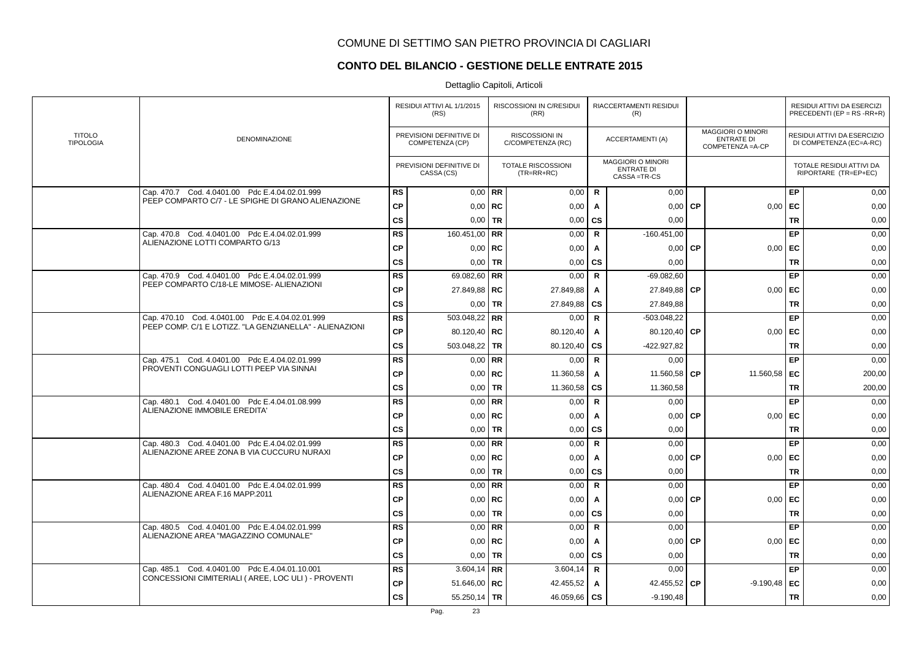# **CONTO DEL BILANCIO - GESTIONE DELLE ENTRATE 2015**

|                                   |                                                         |               | RESIDUI ATTIVI AL 1/1/2015<br>(RS)          |           | RISCOSSIONI IN C/RESIDUI<br>(RR)           |              | RIACCERTAMENTI RESIDUI<br>(R)                                |           |                                                                    |           | RESIDUI ATTIVI DA ESERCIZI<br>PRECEDENTI (EP = $RS$ -RR+R) |
|-----------------------------------|---------------------------------------------------------|---------------|---------------------------------------------|-----------|--------------------------------------------|--------------|--------------------------------------------------------------|-----------|--------------------------------------------------------------------|-----------|------------------------------------------------------------|
| <b>TITOLO</b><br><b>TIPOLOGIA</b> | DENOMINAZIONE                                           |               | PREVISIONI DEFINITIVE DI<br>COMPETENZA (CP) |           | <b>RISCOSSIONI IN</b><br>C/COMPETENZA (RC) |              | <b>ACCERTAMENTI (A)</b>                                      |           | <b>MAGGIORI O MINORI</b><br><b>ENTRATE DI</b><br>COMPETENZA = A-CP |           | RESIDUI ATTIVI DA ESERCIZIO<br>DI COMPETENZA (EC=A-RC)     |
|                                   |                                                         |               | PREVISIONI DEFINITIVE DI<br>CASSA (CS)      |           | <b>TOTALE RISCOSSIONI</b><br>$(TR=RR+RC)$  |              | <b>MAGGIORI O MINORI</b><br><b>ENTRATE DI</b><br>CASSA=TR-CS |           |                                                                    |           | TOTALE RESIDUI ATTIVI DA<br>RIPORTARE (TR=EP+EC)           |
|                                   | Cap. 470.7 Cod. 4.0401.00 Pdc E.4.04.02.01.999          | <b>RS</b>     | $0.00$ RR                                   |           | 0,00                                       | $\mathsf{R}$ | 0,00                                                         |           |                                                                    | EP        | 0,00                                                       |
|                                   | PEEP COMPARTO C/7 - LE SPIGHE DI GRANO ALIENAZIONE      | <b>CP</b>     | $0,00$ RC                                   |           | 0,00                                       | A            | 0.00                                                         | <b>CP</b> | 0,00                                                               | EC        | 0,00                                                       |
|                                   |                                                         | <b>CS</b>     |                                             | $0.00$ TR | 0,00                                       | CS           | 0,00                                                         |           |                                                                    | <b>TR</b> | 0,00                                                       |
|                                   | Cap. 470.8 Cod. 4.0401.00 Pdc E.4.04.02.01.999          | <b>RS</b>     | 160.451,00 RR                               |           | 0,00                                       | $\mathsf{R}$ | $-160.451,00$                                                |           |                                                                    | EP        | 0,00                                                       |
|                                   | ALIENAZIONE LOTTI COMPARTO G/13                         | <b>CP</b>     | $0,00$   RC                                 |           | 0,00                                       | A            | 0,00                                                         | <b>CP</b> | 0,00                                                               | EC        | 0,00                                                       |
|                                   |                                                         | $\mathsf{cs}$ | $0,00$ TR                                   |           | 0,00                                       | CS           | 0,00                                                         |           |                                                                    | <b>TR</b> | 0,00                                                       |
|                                   | Cap. 470.9 Cod. 4.0401.00 Pdc E.4.04.02.01.999          | RS            | 69.082,60   RR                              |           | 0,00                                       | $\mathbf R$  | $-69.082.60$                                                 |           |                                                                    | EP        | 0,00                                                       |
|                                   | PEEP COMPARTO C/18-LE MIMOSE- ALIENAZIONI               | СP            | 27.849,88   RC                              |           | 27.849,88                                  | A            | 27.849,88                                                    | <b>CP</b> | 0,00                                                               | EC        | 0,00                                                       |
|                                   |                                                         | <b>CS</b>     | $0,00$ TR                                   |           | 27.849,88                                  | <b>CS</b>    | 27.849,88                                                    |           |                                                                    | <b>TR</b> | 0,00                                                       |
|                                   | Cap. 470.10 Cod. 4.0401.00 Pdc E.4.04.02.01.999         | <b>RS</b>     | 503.048,22   RR                             |           | 0,00                                       | $\mathbf R$  | $-503.048.22$                                                |           |                                                                    | EP        | 0,00                                                       |
|                                   | PEEP COMP. C/1 E LOTIZZ. "LA GENZIANELLA" - ALIENAZIONI | <b>CP</b>     | 80.120,40   RC                              |           | 80.120,40                                  | $\mathbf{A}$ | 80.120,40                                                    | <b>CP</b> | 0,00                                                               | EC        | 0,00                                                       |
|                                   |                                                         | <b>CS</b>     | 503.048,22 TR                               |           | 80.120,40                                  | <b>CS</b>    | -422.927,82                                                  |           |                                                                    | <b>TR</b> | 0,00                                                       |
|                                   | Cap. 475.1 Cod. 4.0401.00 Pdc E.4.04.02.01.999          | <b>RS</b>     | $0,00$ RR                                   |           | 0,00                                       | $\mathbf R$  | 0,00                                                         |           |                                                                    | EP        | 0,00                                                       |
|                                   | PROVENTI CONGUAGLI LOTTI PEEP VIA SINNAI                | <b>CP</b>     |                                             | $0,00$ RC | 11.360,58                                  | A            | 11.560,58                                                    | <b>CP</b> | 11.560,58 EC                                                       |           | 200,00                                                     |
|                                   |                                                         | CS            |                                             | $0,00$ TR | 11.360,58                                  | <b>CS</b>    | 11.360,58                                                    |           |                                                                    | <b>TR</b> | 200,00                                                     |
|                                   | Cap. 480.1 Cod. 4.0401.00 Pdc E.4.04.01.08.999          | <b>RS</b>     |                                             | $0,00$ RR | 0,00                                       | $\mathsf{R}$ | 0,00                                                         |           |                                                                    | EP        | 0,00                                                       |
|                                   | ALIENAZIONE IMMOBILE EREDITA'                           | <b>CP</b>     | $0,00$ RC                                   |           | 0,00                                       | A            | 0,00                                                         | CP        | 0,00                                                               | EC        | 0,00                                                       |
|                                   |                                                         | <b>CS</b>     | $0,00$ TR                                   |           | 0,00                                       | CS           | 0,00                                                         |           |                                                                    | <b>TR</b> | 0,00                                                       |
|                                   | Cap. 480.3 Cod. 4.0401.00 Pdc E.4.04.02.01.999          | <b>RS</b>     |                                             | $0,00$ RR | 0,00                                       | $\mathsf{R}$ | 0.00                                                         |           |                                                                    | EP        | 0,00                                                       |
|                                   | ALIENAZIONE AREE ZONA B VIA CUCCURU NURAXI              | <b>CP</b>     | $0.00$ RC                                   |           | 0,00                                       | A            | 0.00                                                         | <b>CP</b> | 0.00                                                               | EC        | 0,00                                                       |
|                                   |                                                         | CS            |                                             | $0,00$ TR | 0,00                                       | CS           | 0,00                                                         |           |                                                                    | <b>TR</b> | 0,00                                                       |
|                                   | Cap. 480.4 Cod. 4.0401.00 Pdc E.4.04.02.01.999          | <b>RS</b>     | $0,00$ RR                                   |           | 0,00                                       | $\mathsf{R}$ | 0,00                                                         |           |                                                                    | EP        | 0,00                                                       |
|                                   | ALIENAZIONE AREA F.16 MAPP.2011                         | <b>CP</b>     | $0,00$ RC                                   |           | 0,00                                       | A            | 0,00                                                         | <b>CP</b> | 0,00                                                               | EC        | 0,00                                                       |
|                                   |                                                         | <b>CS</b>     | $0,00$ TR                                   |           | 0,00                                       | CS           | 0,00                                                         |           |                                                                    | <b>TR</b> | 0,00                                                       |
|                                   | Cap. 480.5 Cod. 4.0401.00 Pdc E.4.04.02.01.999          | <b>RS</b>     | $0,00$ RR                                   |           | 0,00                                       | $\mathbf R$  | 0.00                                                         |           |                                                                    | EP        | 0,00                                                       |
|                                   | ALIENAZIONE AREA "MAGAZZINO COMUNALE"                   | <b>CP</b>     | $0,00$ RC                                   |           | 0,00                                       | A            | 0,00                                                         | <b>CP</b> | 0,00                                                               | EC        | 0,00                                                       |
|                                   |                                                         | CS            | $0,00$ TR                                   |           | 0,00                                       | CS           | 0,00                                                         |           |                                                                    | <b>TR</b> | 0,00                                                       |
|                                   | Cap. 485.1 Cod. 4.0401.00 Pdc E.4.04.01.10.001          | <b>RS</b>     | 3.604,14 RR                                 |           | 3.604,14                                   | $\mathbf R$  | 0,00                                                         |           |                                                                    | EP        | 0,00                                                       |
|                                   | CONCESSIONI CIMITERIALI (AREE, LOC ULI) - PROVENTI      | <b>CP</b>     | 51.646,00   RC                              |           | 42.455,52                                  | A            | 42.455,52                                                    | <b>CP</b> | $-9.190,48$                                                        | EC        | 0,00                                                       |
|                                   |                                                         | CS            | 55.250,14   TR                              |           | 46.059,66                                  | <b>CS</b>    | $-9.190,48$                                                  |           |                                                                    | <b>TR</b> | 0,00                                                       |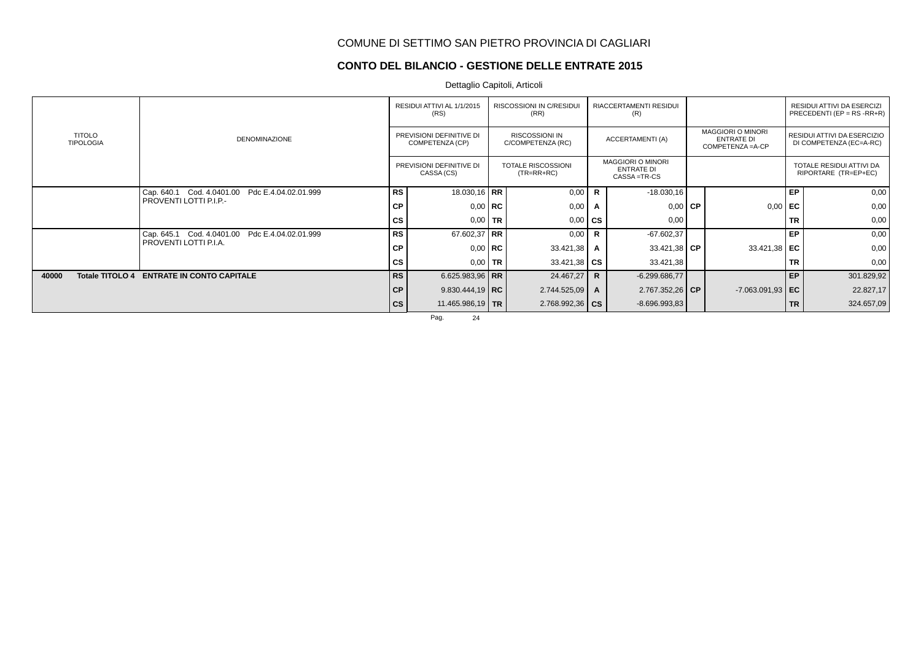### **CONTO DEL BILANCIO - GESTIONE DELLE ENTRATE 2015**

Dettaglio Capitoli, Articoli

|                                   | RESIDUI ATTIVI AL 1/1/2015<br><b>RISCOSSIONI IN C/RESIDUI</b><br>(RS)<br>(RR)<br>(R) |               |                                             | RIACCERTAMENTI RESIDUI |                                            |              | RESIDUI ATTIVI DA ESERCIZI<br>PRECEDENTI (EP = $RS$ - $RR+R$ ) |                                                                    |           |                                                        |
|-----------------------------------|--------------------------------------------------------------------------------------|---------------|---------------------------------------------|------------------------|--------------------------------------------|--------------|----------------------------------------------------------------|--------------------------------------------------------------------|-----------|--------------------------------------------------------|
| <b>TITOLO</b><br><b>TIPOLOGIA</b> | <b>DENOMINAZIONE</b>                                                                 |               | PREVISIONI DEFINITIVE DI<br>COMPETENZA (CP) |                        | <b>RISCOSSIONI IN</b><br>C/COMPETENZA (RC) |              | ACCERTAMENTI (A)                                               | <b>MAGGIORI O MINORI</b><br><b>ENTRATE DI</b><br>COMPETENZA = A-CP |           | RESIDUI ATTIVI DA ESERCIZIO<br>DI COMPETENZA (EC=A-RC) |
|                                   |                                                                                      |               | PREVISIONI DEFINITIVE DI<br>CASSA (CS)      |                        | TOTALE RISCOSSIONI<br>$(TR=RR+RC)$         |              | <b>MAGGIORI O MINORI</b><br><b>ENTRATE DI</b><br>CASSA = TR-CS |                                                                    |           | TOTALE RESIDUI ATTIVI DA<br>RIPORTARE (TR=EP+EC)       |
|                                   | Cap. 640.1 Cod. 4.0401.00 Pdc E.4.04.02.01.999                                       | <b>RS</b>     | 18.030,16 RR                                |                        | 0,00                                       | R.           | $-18.030,16$                                                   |                                                                    | EP        | 0,00                                                   |
|                                   | PROVENTI LOTTI P.I.P.-                                                               | <b>CP</b>     |                                             | $0,00$   RC            | 0,00                                       |              | $0.00$ CP                                                      | 0,00                                                               | EC        | 0,00                                                   |
|                                   |                                                                                      | cs            | $0.00$ TR                                   |                        | 0,00                                       | <b>CS</b>    | 0.00                                                           |                                                                    | <b>TR</b> | 0,00                                                   |
|                                   | Cap. 645.1 Cod. 4.0401.00 Pdc E.4.04.02.01.999                                       | RS            | 67.602,37 RR                                |                        | 0,00                                       | $\mathsf{R}$ | $-67.602,37$                                                   |                                                                    | EP        | 0,00                                                   |
|                                   | PROVENTI LOTTI P.I.A.                                                                | СP            | $0.00$ RC                                   |                        | 33.421,38                                  | A            | $33.421.38$ CP                                                 | 33.421,38 EC                                                       |           | 0,00                                                   |
|                                   |                                                                                      | CS            | $0.00$ TR                                   |                        | $33.421,38$ $\overline{\text{CS}}$         |              | 33.421,38                                                      |                                                                    | <b>TR</b> | 0,00                                                   |
| 40000<br>Totale TITOLO 4          | <b>ENTRATE IN CONTO CAPITALE</b>                                                     | <b>RS</b>     | 6.625.983,96   RR                           |                        | 24.467,27                                  | $\mathbf R$  | $-6.299.686,77$                                                |                                                                    | EP        | 301.829,92                                             |
|                                   |                                                                                      | <b>CP</b>     | $9.830.444,19$ RC                           |                        | 2.744.525,09                               | $\mathsf{A}$ | 2.767.352,26 CP                                                | $-7.063.091,93$ EC                                                 |           | 22.827,17                                              |
|                                   |                                                                                      | $\mathsf{cs}$ | 11.465.986,19   TR                          |                        | $2.768.992.36$ CS                          |              | $-8.696.993,83$                                                |                                                                    | <b>TR</b> | 324.657,09                                             |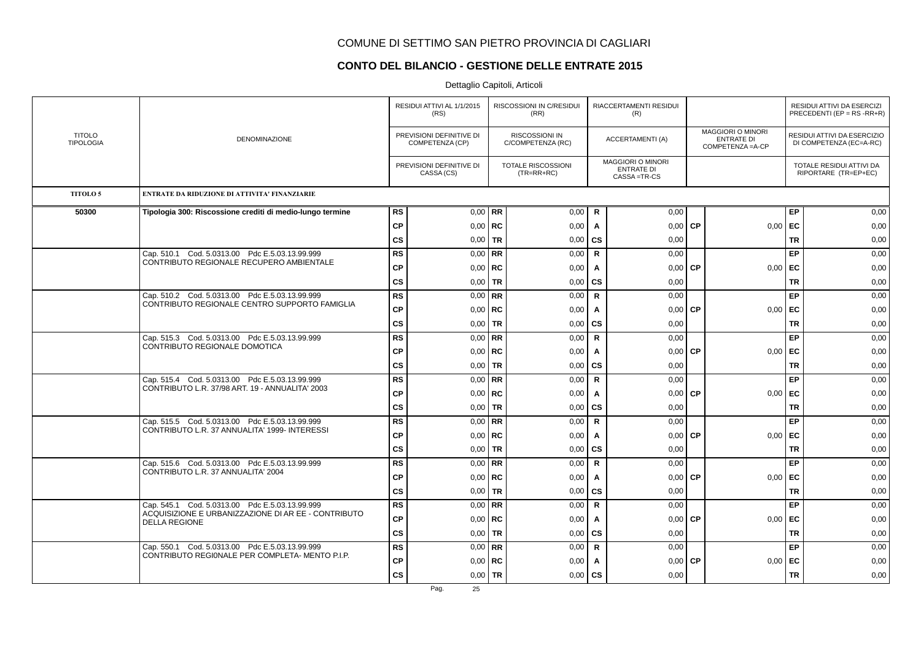### **CONTO DEL BILANCIO - GESTIONE DELLE ENTRATE 2015**

|                                   | <b>DENOMINAZIONE</b>                                                                                  | RESIDUI ATTIVI AL 1/1/2015<br>(RS)          |                                        |             | RISCOSSIONI IN C/RESIDUI<br>(RR)           |              | <b>RIACCERTAMENTI RESIDUI</b><br>(R)                         |                                                                    |           | RESIDUI ATTIVI DA ESERCIZI<br>PRECEDENTI (EP = $RS$ -RR+R) |      |
|-----------------------------------|-------------------------------------------------------------------------------------------------------|---------------------------------------------|----------------------------------------|-------------|--------------------------------------------|--------------|--------------------------------------------------------------|--------------------------------------------------------------------|-----------|------------------------------------------------------------|------|
| <b>TITOLO</b><br><b>TIPOLOGIA</b> |                                                                                                       | PREVISIONI DEFINITIVE DI<br>COMPETENZA (CP) |                                        |             | <b>RISCOSSIONI IN</b><br>C/COMPETENZA (RC) |              | ACCERTAMENTI (A)                                             | <b>MAGGIORI O MINORI</b><br><b>ENTRATE DI</b><br>COMPETENZA = A-CP |           | RESIDUI ATTIVI DA ESERCIZIO<br>DI COMPETENZA (EC=A-RC)     |      |
|                                   |                                                                                                       |                                             | PREVISIONI DEFINITIVE DI<br>CASSA (CS) |             | TOTALE RISCOSSIONI<br>$(TR=RR+RC)$         |              | <b>MAGGIORI O MINORI</b><br><b>ENTRATE DI</b><br>CASSA=TR-CS |                                                                    |           | TOTALE RESIDUI ATTIVI DA<br>RIPORTARE (TR=EP+EC)           |      |
| <b>TITOLO 5</b>                   | <b>ENTRATE DA RIDUZIONE DI ATTIVITA' FINANZIARIE</b>                                                  |                                             |                                        |             |                                            |              |                                                              |                                                                    |           |                                                            |      |
| 50300                             | Tipologia 300: Riscossione crediti di medio-lungo termine                                             | <b>RS</b>                                   |                                        | $0.00$ RR   | 0,00                                       | $\mathsf{R}$ | 0,00                                                         |                                                                    |           | EP                                                         | 0,00 |
|                                   |                                                                                                       | <b>CP</b>                                   |                                        | $0,00$ RC   | 0,00                                       | Α            | 0,00                                                         | <b>CP</b>                                                          | 0,00      | EC                                                         | 0,00 |
|                                   |                                                                                                       | $\mathsf{cs}$                               | 0,00                                   | <b>TR</b>   | 0,00                                       | CS           | 0,00                                                         |                                                                    |           | <b>TR</b>                                                  | 0,00 |
|                                   | Cap. 510.1 Cod. 5.0313.00 Pdc E.5.03.13.99.999<br>CONTRIBUTO REGIONALE RECUPERO AMBIENTALE            | <b>RS</b>                                   |                                        | $0,00$ RR   | 0,00                                       | $\mathsf{R}$ | 0,00                                                         |                                                                    |           | EP                                                         | 0,00 |
|                                   |                                                                                                       | <b>CP</b>                                   |                                        | $0,00$   RC | 0,00                                       | Α            | 0,00                                                         | <b>CP</b>                                                          | 0,00      | EC                                                         | 0,00 |
|                                   |                                                                                                       | cs                                          |                                        | $0,00$ TR   | 0,00                                       | <b>CS</b>    | 0,00                                                         |                                                                    |           | <b>TR</b>                                                  | 0,00 |
|                                   | Cap. 510.2 Cod. 5.0313.00 Pdc E.5.03.13.99.999<br>CONTRIBUTO REGIONALE CENTRO SUPPORTO FAMIGLIA       | <b>RS</b>                                   |                                        | $0.00$ RR   | 0,00                                       | $\mathsf{R}$ | 0,00                                                         |                                                                    |           | <b>EP</b>                                                  | 0,00 |
|                                   |                                                                                                       | <b>CP</b>                                   | 0,00                                   | RC          | 0,00                                       | A            | 0,00                                                         | <b>CP</b>                                                          | $0,00$ EC |                                                            | 0,00 |
|                                   |                                                                                                       | CS                                          |                                        | $0,00$ TR   | 0,00                                       | <b>CS</b>    | 0,00                                                         |                                                                    |           | TR                                                         | 0,00 |
|                                   | Cap. 515.3 Cod. 5.0313.00 Pdc E.5.03.13.99.999<br>CONTRIBUTO REGIONALE DOMOTICA                       | RS                                          |                                        | $0,00$ RR   | 0,00                                       | $\mathsf{R}$ | 0.00                                                         |                                                                    |           | EP                                                         | 0,00 |
|                                   |                                                                                                       | <b>CP</b>                                   |                                        | $0,00$ RC   | 0,00                                       | A            | 0,00                                                         | <b>CP</b>                                                          | $0,00$ EC |                                                            | 0,00 |
|                                   |                                                                                                       | CS                                          |                                        | $0,00$ TR   | 0,00                                       | <b>CS</b>    | 0,00                                                         |                                                                    |           | TR                                                         | 0,00 |
|                                   | Cap. 515.4 Cod. 5.0313.00 Pdc E.5.03.13.99.999<br>CONTRIBUTO L.R. 37/98 ART. 19 - ANNUALITA' 2003     | <b>RS</b>                                   |                                        | $0,00$ RR   | 0,00                                       | $\mathsf{R}$ | 0,00                                                         |                                                                    |           | EP                                                         | 0,00 |
|                                   |                                                                                                       | <b>CP</b>                                   |                                        | $0,00$ RC   | 0,00                                       | $\mathbf{A}$ | 0,00                                                         | <b>CP</b>                                                          | $0,00$ EC |                                                            | 0,00 |
|                                   |                                                                                                       | $\mathsf{cs}$                               |                                        | $0,00$ TR   | 0,00                                       | <b>CS</b>    | 0,00                                                         |                                                                    |           | <b>TR</b>                                                  | 0,00 |
|                                   | Cap. 515.5 Cod. 5.0313.00 Pdc E.5.03.13.99.999<br>CONTRIBUTO L.R. 37 ANNUALITA' 1999- INTERESSI       | <b>RS</b>                                   |                                        | $0,00$ RR   | 0,00                                       | $\mathsf{R}$ | 0,00                                                         |                                                                    |           | <b>EP</b>                                                  | 0,00 |
|                                   |                                                                                                       | <b>CP</b>                                   |                                        | $0,00$ RC   | 0,00                                       | $\mathsf{A}$ | 0,00                                                         | <b>CP</b>                                                          | $0,00$ EC |                                                            | 0,00 |
|                                   |                                                                                                       | <b>CS</b>                                   |                                        | $0,00$ TR   | 0,00                                       | <b>CS</b>    | 0,00                                                         |                                                                    |           | <b>TR</b>                                                  | 0,00 |
|                                   | Cap. 515.6 Cod. 5.0313.00 Pdc E.5.03.13.99.999<br>CONTRIBUTO L.R. 37 ANNUALITA' 2004                  | <b>RS</b>                                   |                                        | $0.00$ RR   | 0,00                                       | $\mathsf{R}$ | 0,00                                                         |                                                                    |           | EP                                                         | 0,00 |
|                                   |                                                                                                       | <b>CP</b>                                   |                                        | $0,00$ RC   | 0,00                                       | A            | 0,00                                                         | <b>CP</b>                                                          | $0,00$ EC |                                                            | 0,00 |
|                                   |                                                                                                       | cs                                          |                                        | $0,00$   TR | 0,00                                       | <b>CS</b>    | 0,00                                                         |                                                                    |           | <b>TR</b>                                                  | 0,00 |
|                                   | Cap. 545.1 Cod. 5.0313.00 Pdc E.5.03.13.99.999<br>ACQUISIZIONE E URBANIZZAZIONE DI AR EE - CONTRIBUTO | <b>RS</b>                                   |                                        | $0,00$ RR   | 0,00                                       | $\mathbf R$  | 0,00                                                         |                                                                    |           | EP                                                         | 0,00 |
|                                   | <b>DELLA REGIONE</b>                                                                                  | <b>CP</b>                                   |                                        | $0,00$ RC   | 0,00                                       | Α            | $0,00$ CP                                                    |                                                                    | $0,00$ EC |                                                            | 0,00 |
|                                   |                                                                                                       | cs                                          |                                        | $0,00$   TR | 0,00                                       | CS           | 0,00                                                         |                                                                    |           | TR                                                         | 0,00 |
|                                   | Cap. 550.1 Cod. 5.0313.00 Pdc E.5.03.13.99.999<br>CONTRIBUTO REGIONALE PER COMPLETA- MENTO P.I.P.     | <b>RS</b>                                   |                                        | $0.00$ RR   | 0,00                                       | $\mathbf R$  | 0,00                                                         |                                                                    |           | EP                                                         | 0,00 |
|                                   |                                                                                                       | CP                                          | 0,00                                   | RC          | 0,00                                       | A            | 0,00                                                         | <b>CP</b>                                                          | $0,00$ EC |                                                            | 0,00 |
|                                   |                                                                                                       | cs                                          |                                        | $0,00$ TR   | 0,00                                       | <b>CS</b>    | 0,00                                                         |                                                                    |           | TR                                                         | 0,00 |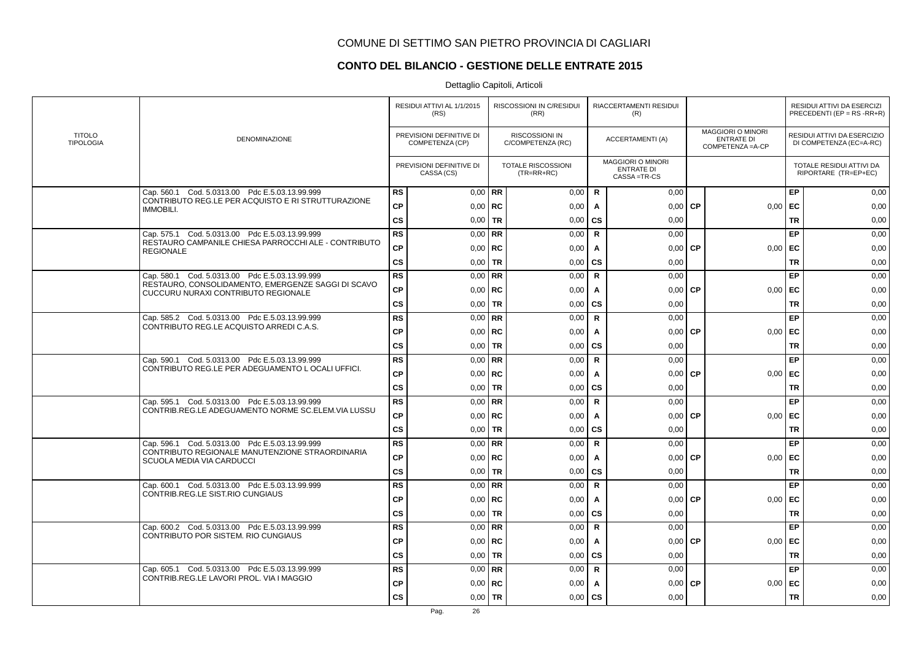# **CONTO DEL BILANCIO - GESTIONE DELLE ENTRATE 2015**

|                                   |                                                                                           |               | RESIDUI ATTIVI AL 1/1/2015<br>(RS)          |             | RISCOSSIONI IN C/RESIDUI<br>(RR)          |              | RIACCERTAMENTI RESIDUI<br>(R)                                  |                                                                    |           |                                                        | RESIDUI ATTIVI DA ESERCIZI<br>PRECEDENTI (EP = $RS$ -RR+R) |
|-----------------------------------|-------------------------------------------------------------------------------------------|---------------|---------------------------------------------|-------------|-------------------------------------------|--------------|----------------------------------------------------------------|--------------------------------------------------------------------|-----------|--------------------------------------------------------|------------------------------------------------------------|
| <b>TITOLO</b><br><b>TIPOLOGIA</b> | DENOMINAZIONE                                                                             |               | PREVISIONI DEFINITIVE DI<br>COMPETENZA (CP) |             | RISCOSSIONI IN<br>C/COMPETENZA (RC)       |              | <b>ACCERTAMENTI (A)</b>                                        | <b>MAGGIORI O MINORI</b><br><b>ENTRATE DI</b><br>COMPETENZA = A-CP |           | RESIDUI ATTIVI DA ESERCIZIO<br>DI COMPETENZA (EC=A-RC) |                                                            |
|                                   |                                                                                           |               | PREVISIONI DEFINITIVE DI<br>CASSA (CS)      |             | <b>TOTALE RISCOSSIONI</b><br>$(TR=RR+RC)$ |              | <b>MAGGIORI O MINORI</b><br><b>ENTRATE DI</b><br>CASSA = TR-CS |                                                                    |           |                                                        | TOTALE RESIDUI ATTIVI DA<br>RIPORTARE (TR=EP+EC)           |
|                                   | Cap. 560.1 Cod. 5.0313.00 Pdc E.5.03.13.99.999                                            | <b>RS</b>     | $0.00$ RR                                   |             | 0,00                                      | $\mathsf{R}$ | 0,00                                                           |                                                                    |           | EP                                                     | 0,00                                                       |
|                                   | CONTRIBUTO REG.LE PER ACQUISTO E RI STRUTTURAZIONE<br><b>IMMOBILI.</b>                    | <b>CP</b>     | $0,00$ RC                                   |             | 0,00                                      | $\mathbf{A}$ | 0,00                                                           | <b>CP</b>                                                          | 0,00      | EC                                                     | 0,00                                                       |
|                                   |                                                                                           | <b>CS</b>     |                                             | $0.00$ TR   | 0,00                                      | <b>CS</b>    | 0,00                                                           |                                                                    |           | <b>TR</b>                                              | 0,00                                                       |
|                                   | Cap. 575.1 Cod. 5.0313.00 Pdc E.5.03.13.99.999                                            | <b>RS</b>     |                                             | $0.00$ RR   | 0,00                                      | $\mathbf R$  | 0.00                                                           |                                                                    |           | EP                                                     | 0,00                                                       |
|                                   | RESTAURO CAMPANILE CHIESA PARROCCHI ALE - CONTRIBUTO<br><b>REGIONALE</b>                  | <b>CP</b>     |                                             | $0,00$   RC | 0,00                                      | A            | 0,00                                                           | <b>CP</b>                                                          | 0,00      | EC                                                     | 0,00                                                       |
|                                   |                                                                                           | <b>CS</b>     | $0.00$ TR                                   |             | 0,00                                      | CS           | 0,00                                                           |                                                                    |           | <b>TR</b>                                              | 0,00                                                       |
|                                   | Cap. 580.1 Cod. 5.0313.00 Pdc E.5.03.13.99.999                                            | <b>RS</b>     |                                             | $0.00$ RR   | 0,00                                      | $\mathbf R$  | 0,00                                                           |                                                                    |           | EP                                                     | 0,00                                                       |
|                                   | RESTAURO, CONSOLIDAMENTO, EMERGENZE SAGGI DI SCAVO<br>CUCCURU NURAXI CONTRIBUTO REGIONALE | <b>CP</b>     | $0.00$ RC                                   |             | 0,00                                      | A            | 0,00                                                           | <b>CP</b>                                                          | 0,00      | EC                                                     | 0,00                                                       |
|                                   |                                                                                           | $\mathsf{cs}$ | $0,00$ TR                                   |             | 0,00                                      | <b>CS</b>    | 0,00                                                           |                                                                    |           | <b>TR</b>                                              | 0,00                                                       |
|                                   | Cap. 585.2 Cod. 5.0313.00 Pdc E.5.03.13.99.999                                            | <b>RS</b>     |                                             | $0,00$ RR   | 0,00                                      | $\mathsf{R}$ | 0,00                                                           |                                                                    |           | EP                                                     | 0,00                                                       |
|                                   | CONTRIBUTO REG.LE ACQUISTO ARREDI C.A.S.                                                  | <b>CP</b>     | $0,00$   RC                                 |             | 0,00                                      | A            | 0,00                                                           | <b>CP</b>                                                          | 0,00      | EC                                                     | 0,00                                                       |
|                                   |                                                                                           | <b>CS</b>     | $0.00$ TR                                   |             | 0,00                                      | <b>CS</b>    | 0,00                                                           |                                                                    |           | <b>TR</b>                                              | 0,00                                                       |
|                                   | Cap. 590.1 Cod. 5.0313.00 Pdc E.5.03.13.99.999                                            | <b>RS</b>     |                                             | $0.00$ RR   | 0,00                                      | $\mathsf{R}$ | 0,00                                                           |                                                                    |           | EP                                                     | 0,00                                                       |
|                                   | CONTRIBUTO REG.LE PER ADEGUAMENTO LOCALI UFFICI.                                          | <b>CP</b>     |                                             | $0,00$ RC   | 0,00                                      | A            | 0,00                                                           | <b>CP</b>                                                          | 0,00      | EC                                                     | 0,00                                                       |
|                                   |                                                                                           | <b>CS</b>     |                                             | $0,00$   TR | 0,00                                      | CS           | 0,00                                                           |                                                                    |           | <b>TR</b>                                              | 0,00                                                       |
|                                   | Cap. 595.1 Cod. 5.0313.00 Pdc E.5.03.13.99.999                                            | <b>RS</b>     |                                             | $0,00$ RR   | 0,00                                      | $\mathbf R$  | 0.00                                                           |                                                                    |           | EP                                                     | 0,00                                                       |
|                                   | CONTRIB.REG.LE ADEGUAMENTO NORME SC.ELEM.VIA LUSSU                                        | <b>CP</b>     |                                             | $0,00$ RC   | 0,00                                      | $\mathbf{A}$ | $0,00$ CP                                                      |                                                                    | $0,00$ EC |                                                        | 0,00                                                       |
|                                   |                                                                                           | $\mathsf{cs}$ |                                             | $0.00$ TR   | 0,00                                      | CS           | 0,00                                                           |                                                                    |           | <b>TR</b>                                              | 0,00                                                       |
|                                   | Cap. 596.1 Cod. 5.0313.00 Pdc E.5.03.13.99.999                                            | <b>RS</b>     |                                             | $0.00$ RR   | 0,00                                      | $\mathsf{R}$ | 0.00                                                           |                                                                    |           | EP                                                     | 0,00                                                       |
|                                   | CONTRIBUTO REGIONALE MANUTENZIONE STRAORDINARIA<br>SCUOLA MEDIA VIA CARDUCCI              | <b>CP</b>     |                                             | $0,00$ RC   | 0,00                                      | A            | 0,00                                                           | l CP                                                               | 0,00      | EC                                                     | 0,00                                                       |
|                                   |                                                                                           | <b>CS</b>     | $0,00$ TR                                   |             | 0,00                                      | <b>CS</b>    | 0,00                                                           |                                                                    |           | <b>TR</b>                                              | 0,00                                                       |
|                                   | Cap. 600.1 Cod. 5.0313.00 Pdc E.5.03.13.99.999                                            | <b>RS</b>     |                                             | $0,00$ RR   | 0,00                                      | $\mathsf{R}$ | 0,00                                                           |                                                                    |           | EP                                                     | 0,00                                                       |
|                                   | CONTRIB.REG.LE SIST.RIO CUNGIAUS                                                          | <b>CP</b>     | $0,00$   RC                                 |             | 0,00                                      | A            | 0,00                                                           | <b>CP</b>                                                          | $0,00$ EC |                                                        | 0,00                                                       |
|                                   |                                                                                           | <b>CS</b>     |                                             | $0.00$ TR   | 0,00                                      | <b>CS</b>    | 0.00                                                           |                                                                    |           | <b>TR</b>                                              | 0,00                                                       |
|                                   | Cap. 600.2 Cod. 5.0313.00 Pdc E.5.03.13.99.999                                            | <b>RS</b>     |                                             | $0,00$ RR   | 0,00                                      | $\mathsf{R}$ | 0,00                                                           |                                                                    |           | EP                                                     | 0,00                                                       |
|                                   | CONTRIBUTO POR SISTEM. RIO CUNGIAUS                                                       | <b>CP</b>     | $0,00$ RC                                   |             | 0,00                                      | A            | 0,00                                                           | <b>CP</b>                                                          | 0,00      | EC                                                     | 0,00                                                       |
|                                   |                                                                                           | <b>CS</b>     | $0,00$   TR                                 |             | 0,00                                      | <b>CS</b>    | 0,00                                                           |                                                                    |           | <b>TR</b>                                              | 0,00                                                       |
|                                   | Cap. 605.1 Cod. 5.0313.00 Pdc E.5.03.13.99.999                                            | <b>RS</b>     | $0,00$ RR                                   |             | 0,00                                      | $\mathbf R$  | 0,00                                                           |                                                                    |           | EP                                                     | 0,00                                                       |
|                                   | CONTRIB.REG.LE LAVORI PROL. VIA I MAGGIO                                                  | <b>CP</b>     |                                             | $0,00$ RC   | 0,00                                      | A            | 0,00                                                           | <b>CP</b>                                                          | 0,00      | EC                                                     | 0,00                                                       |
|                                   |                                                                                           | <b>CS</b>     | $0,00$   TR                                 |             | 0,00                                      | <b>CS</b>    | 0,00                                                           |                                                                    |           | <b>TR</b>                                              | 0,00                                                       |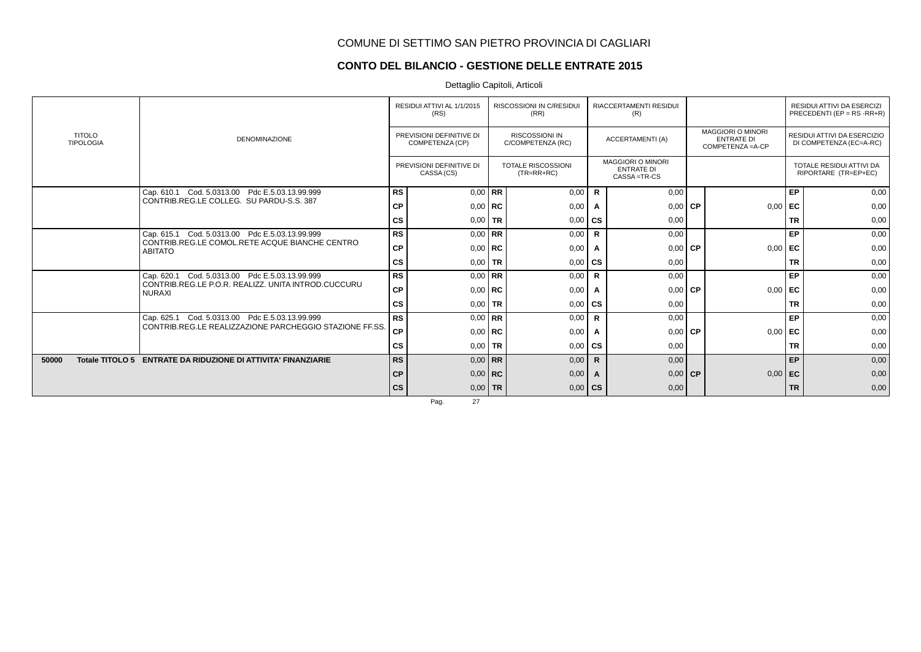### **CONTO DEL BILANCIO - GESTIONE DELLE ENTRATE 2015**

Dettaglio Capitoli, Articoli

|                                   | <b>DENOMINAZIONE</b>                                                                                               | RESIDUI ATTIVI AL 1/1/2015<br>(RS)          |           | RISCOSSIONI IN C/RESIDUI<br>(RR)           | <b>RIACCERTAMENTI RESIDUI</b><br>(R) |                                                                |      |                                                                  |           | <b>RESIDUI ATTIVI DA ESERCIZI</b><br>PRECEDENTI (EP = $RS$ -RR+R) |
|-----------------------------------|--------------------------------------------------------------------------------------------------------------------|---------------------------------------------|-----------|--------------------------------------------|--------------------------------------|----------------------------------------------------------------|------|------------------------------------------------------------------|-----------|-------------------------------------------------------------------|
| <b>TITOLO</b><br><b>TIPOLOGIA</b> |                                                                                                                    | PREVISIONI DEFINITIVE DI<br>COMPETENZA (CP) |           | <b>RISCOSSIONI IN</b><br>C/COMPETENZA (RC) |                                      | <b>ACCERTAMENTI (A)</b>                                        |      | <b>MAGGIORI O MINORI</b><br><b>ENTRATE DI</b><br>COMPETENZA=A-CP |           | RESIDUI ATTIVI DA ESERCIZIO<br>DI COMPETENZA (EC=A-RC)            |
|                                   |                                                                                                                    | PREVISIONI DEFINITIVE DI<br>CASSA (CS)      |           | <b>TOTALE RISCOSSIONI</b><br>$(TR=RR+RC)$  |                                      | <b>MAGGIORI O MINORI</b><br><b>ENTRATE DI</b><br>CASSA = TR-CS |      |                                                                  |           | <b>TOTALE RESIDUI ATTIVI DA</b><br>RIPORTARE (TR=EP+EC)           |
|                                   | Cap. 610.1 Cod. 5.0313.00 Pdc E.5.03.13.99.999                                                                     | <b>RS</b>                                   | $0.00$ RR | 0,00                                       | R                                    | 0,00                                                           |      |                                                                  | EP        | 0,00                                                              |
|                                   | CONTRIB.REG.LE COLLEG. SU PARDU-S.S. 387                                                                           | СP                                          | $0.00$ RC | 0,00                                       | A                                    | 0,00                                                           | l CP | 0,00                                                             | l EC      | 0,00                                                              |
|                                   |                                                                                                                    | <b>CS</b>                                   | $0.00$ TR | 0,00                                       | <b>CS</b>                            | 0,00                                                           |      |                                                                  | <b>TR</b> | 0,00                                                              |
|                                   | Cap. 615.1 Cod. 5.0313.00 Pdc E.5.03.13.99.999<br>CONTRIB.REG.LE COMOL.RETE ACQUE BIANCHE CENTRO<br><b>ABITATO</b> | <b>RS</b>                                   | $0.00$ RR | 0,00                                       | $\mathsf{R}$                         | 0,00                                                           |      |                                                                  | EP        | 0,00                                                              |
|                                   |                                                                                                                    | <b>CP</b>                                   | $0.00$ RC | 0,00                                       | A                                    | $0.00$ CP                                                      |      | 0,00                                                             | EC        | 0,00                                                              |
|                                   |                                                                                                                    | <b>CS</b>                                   | $0.00$ TR | 0,00                                       | <b>CS</b>                            | 0,00                                                           |      |                                                                  | <b>TR</b> | 0,00                                                              |
|                                   | Cap. 620.1 Cod. 5.0313.00 Pdc E.5.03.13.99.999                                                                     | <b>RS</b>                                   | $0.00$ RR | 0,00                                       | $\mathsf{R}$                         | 0,00                                                           |      |                                                                  | EP        | 0,00                                                              |
|                                   | CONTRIB.REG.LE P.O.R. REALIZZ. UNITA INTROD.CUCCURU<br><b>NURAXI</b>                                               | СP                                          | $0.00$ RC | 0,00                                       | A                                    | $0.00$ CP                                                      |      | 0,00                                                             | EC        | 0,00                                                              |
|                                   |                                                                                                                    | cs                                          | $0,00$ TR | 0,00                                       | cs                                   | 0,00                                                           |      |                                                                  | <b>TR</b> | 0,00                                                              |
|                                   | Cap. 625.1 Cod. 5.0313.00 Pdc E.5.03.13.99.999                                                                     | <b>RS</b>                                   | $0.00$ RR | 0,00                                       | $\mathsf{R}$                         | 0,00                                                           |      |                                                                  | EP        | 0,00                                                              |
|                                   | CONTRIB REG.LE REALIZZAZIONE PARCHEGGIO STAZIONE FF.SS.                                                            | CP                                          | $0.00$ RC | 0,00                                       | A                                    | $0.00$ CP                                                      |      | 0,00                                                             | l EC      | 0,00                                                              |
|                                   |                                                                                                                    | cs                                          | $0.00$ TR | 0,00                                       | $\mathbf{c}\mathbf{s}$               | 0,00                                                           |      |                                                                  | <b>TR</b> | 0,00                                                              |
| 50000                             | Totale TITOLO 5 ENTRATE DA RIDUZIONE DI ATTIVITA' FINANZIARIE                                                      | <b>RS</b>                                   | $0.00$ RR | 0,00                                       | R.                                   | 0,00                                                           |      |                                                                  | EP        | 0,00                                                              |
|                                   |                                                                                                                    | <b>CP</b>                                   | $0,00$ RC | 0,00                                       |                                      | $0,00$ CP                                                      |      | 0,00                                                             | EC        | 0,00                                                              |
|                                   |                                                                                                                    | <b>CS</b>                                   | $0,00$ TR | 0,00                                       | <b>CS</b>                            | 0,00                                                           |      |                                                                  | <b>TR</b> | 0,00                                                              |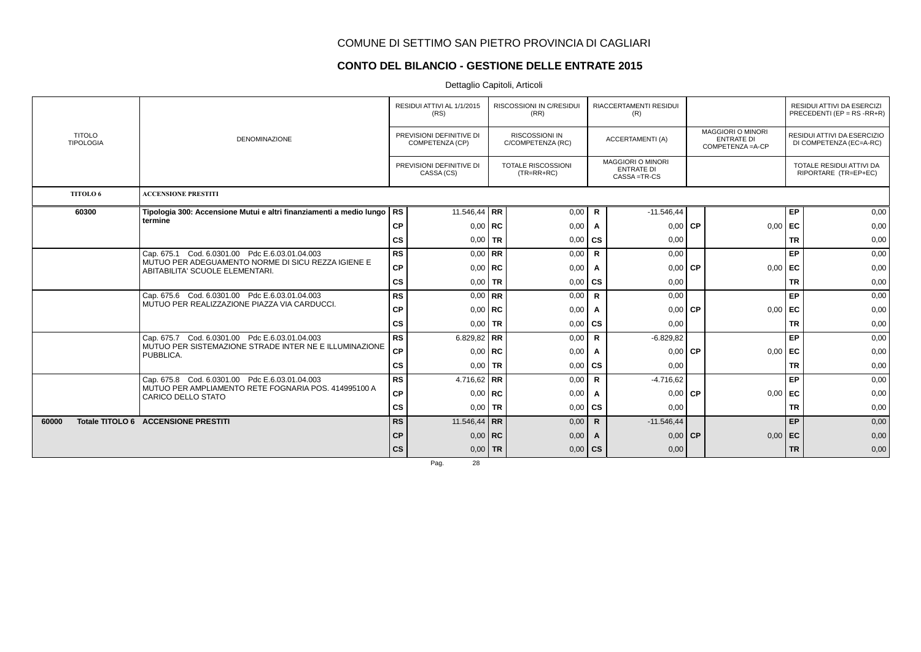### **CONTO DEL BILANCIO - GESTIONE DELLE ENTRATE 2015**

Dettaglio Capitoli, Articoli

|                                   | <b>DENOMINAZIONE</b>                                                                  | RESIDUI ATTIVI AL 1/1/2015<br>(RS) |                                             |             | <b>RISCOSSIONI IN C/RESIDUI</b><br>(RR)    | <b>RIACCERTAMENTI RESIDUI</b><br>(R) |                                                                |           |                                                                    |                                                        | RESIDUI ATTIVI DA ESERCIZI<br>PRECEDENTI (EP = $RS$ -RR+R) |
|-----------------------------------|---------------------------------------------------------------------------------------|------------------------------------|---------------------------------------------|-------------|--------------------------------------------|--------------------------------------|----------------------------------------------------------------|-----------|--------------------------------------------------------------------|--------------------------------------------------------|------------------------------------------------------------|
| <b>TITOLO</b><br><b>TIPOLOGIA</b> |                                                                                       |                                    | PREVISIONI DEFINITIVE DI<br>COMPETENZA (CP) |             | <b>RISCOSSIONI IN</b><br>C/COMPETENZA (RC) |                                      | <b>ACCERTAMENTI (A)</b>                                        |           | <b>MAGGIORI O MINORI</b><br><b>ENTRATE DI</b><br>COMPETENZA = A-CP | RESIDUI ATTIVI DA ESERCIZIO<br>DI COMPETENZA (EC=A-RC) |                                                            |
|                                   |                                                                                       |                                    | PREVISIONI DEFINITIVE DI<br>CASSA (CS)      |             | <b>TOTALE RISCOSSIONI</b><br>$(TR=RR+RC)$  |                                      | <b>MAGGIORI O MINORI</b><br><b>ENTRATE DI</b><br>CASSA = TR-CS |           |                                                                    |                                                        | TOTALE RESIDUI ATTIVI DA<br>RIPORTARE (TR=EP+EC)           |
| TITOLO 6                          | <b>ACCENSIONE PRESTITI</b>                                                            |                                    |                                             |             |                                            |                                      |                                                                |           |                                                                    |                                                        |                                                            |
| 60300                             | Tipologia 300: Accensione Mutui e altri finanziamenti a medio lungo                   | RS.                                | 11.546,44 RR                                |             | 0,00                                       | R                                    | $-11.546,44$                                                   |           |                                                                    | EP                                                     | 0,00                                                       |
|                                   | termine                                                                               | <b>CP</b>                          |                                             | $0.00$ RC   | 0,00                                       | A                                    | 0,00                                                           | <b>CP</b> | 0,00                                                               | l EC                                                   | 0,00                                                       |
|                                   |                                                                                       | CS                                 |                                             | $0.00$ TR   | 0,00                                       | <b>CS</b>                            | 0,00                                                           |           |                                                                    | <b>TR</b>                                              | 0,00                                                       |
|                                   | Cap. 675.1 Cod. 6.0301.00 Pdc E.6.03.01.04.003                                        | <b>RS</b>                          |                                             | $0.00$ RR   | 0,00                                       | $\mathbf R$                          | 0,00                                                           |           |                                                                    | EP                                                     | 0,00                                                       |
|                                   | MUTUO PER ADEGUAMENTO NORME DI SICU REZZA IGIENE E<br>ABITABILITA' SCUOLE ELEMENTARI. | <b>CP</b>                          |                                             | $0.00$ RC   | 0,00                                       | A                                    | $0,00$ CP                                                      |           | 0,00                                                               | l EC                                                   | 0,00                                                       |
|                                   |                                                                                       | cs                                 |                                             | $0,00$ TR   | 0,00                                       | <b>CS</b>                            | 0,00                                                           |           |                                                                    | <b>TR</b>                                              | 0,00                                                       |
|                                   | Cap. 675.6 Cod. 6.0301.00 Pdc E.6.03.01.04.003                                        | <b>RS</b>                          |                                             | $0.00$ RR   | 0,00                                       | $\mathbf R$                          | 0,00                                                           |           |                                                                    | EP                                                     | 0,00                                                       |
|                                   | MUTUO PER REALIZZAZIONE PIAZZA VIA CARDUCCI.                                          | <b>CP</b>                          |                                             | $0.00$   RC | 0,00                                       | A                                    | 0,00                                                           | <b>CP</b> | 0,00                                                               | EC                                                     | 0,00                                                       |
|                                   |                                                                                       | cs                                 |                                             | $0,00$ TR   | 0,00                                       | $\mathbf{c}\mathbf{s}$               | 0,00                                                           |           |                                                                    | <b>TR</b>                                              | 0,00                                                       |
|                                   | Cap. 675.7 Cod. 6.0301.00 Pdc E.6.03.01.04.003                                        | <b>RS</b>                          | 6.829,82 RR                                 |             | 0,00                                       | R                                    | $-6.829.82$                                                    |           |                                                                    | EP                                                     | 0,00                                                       |
|                                   | MUTUO PER SISTEMAZIONE STRADE INTER NE E ILLUMINAZIONE<br>PUBBLICA.                   | СP                                 |                                             | $0,00$ RC   | 0,00                                       | A                                    | 0,00                                                           | <b>CP</b> | 0,00                                                               | l EC                                                   | 0,00                                                       |
|                                   |                                                                                       | $\mathsf{cs}$                      |                                             | $0.00$ TR   | 0,00                                       | $\mathbf{c}\mathbf{s}$               | 0,00                                                           |           |                                                                    | <b>TR</b>                                              | 0,00                                                       |
|                                   | Cap. 675.8 Cod. 6.0301.00 Pdc E.6.03.01.04.003                                        | <b>RS</b>                          | 4.716,62   RR                               |             | 0,00                                       | $\mathsf{R}$                         | $-4.716.62$                                                    |           |                                                                    | EP                                                     | 0,00                                                       |
|                                   | MUTUO PER AMPLIAMENTO RETE FOGNARIA POS. 414995100 A<br><b>CARICO DELLO STATO</b>     | <b>CP</b>                          |                                             | $0.00$   RC | 0,00                                       | A                                    | $0.00 \mid$                                                    | l CP      | 0,00                                                               | l EC                                                   | 0,00                                                       |
|                                   |                                                                                       | cs                                 |                                             | $0.00$ TR   | 0,00                                       | l cs                                 | 0.00                                                           |           |                                                                    | <b>TR</b>                                              | 0,00                                                       |
| 60000                             | Totale TITOLO 6 ACCENSIONE PRESTITI                                                   | <b>RS</b>                          | 11.546,44   RR                              |             | 0,00                                       | $\mathbf R$                          | $-11.546,44$                                                   |           |                                                                    | EP                                                     | 0,00                                                       |
|                                   |                                                                                       | <b>CP</b>                          |                                             | $0,00$ RC   | 0,00                                       | A                                    | 0,00                                                           | <b>CP</b> | 0,00                                                               | l EC.                                                  | 0,00                                                       |
|                                   |                                                                                       | cs                                 |                                             | $0,00$ TR   | 0,00                                       | $\mathsf{cs}$                        | 0,00                                                           |           |                                                                    | <b>TR</b>                                              | 0,00                                                       |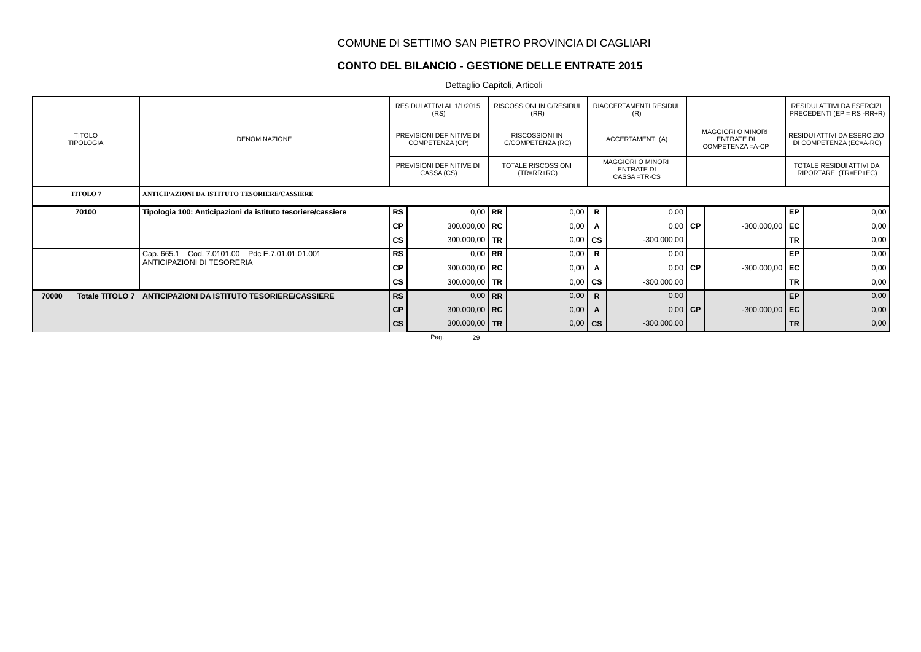### **CONTO DEL BILANCIO - GESTIONE DELLE ENTRATE 2015**

Dettaglio Capitoli, Articoli

|                                   |                                                                              | RESIDUI ATTIVI AL 1/1/2015<br>(RS)          |                   |  | RISCOSSIONI IN C/RESIDUI<br>(RR)    | RIACCERTAMENTI RESIDUI<br>(R) |                                                                |  |                                                                    | RESIDUI ATTIVI DA ESERCIZI<br>PRECEDENTI (EP = $RS$ -RR+R) |                                                        |  |  |
|-----------------------------------|------------------------------------------------------------------------------|---------------------------------------------|-------------------|--|-------------------------------------|-------------------------------|----------------------------------------------------------------|--|--------------------------------------------------------------------|------------------------------------------------------------|--------------------------------------------------------|--|--|
| <b>TITOLO</b><br><b>TIPOLOGIA</b> | <b>DENOMINAZIONE</b>                                                         | PREVISIONI DEFINITIVE DI<br>COMPETENZA (CP) |                   |  | RISCOSSIONI IN<br>C/COMPETENZA (RC) |                               | ACCERTAMENTI (A)                                               |  | <b>MAGGIORI O MINORI</b><br><b>ENTRATE DI</b><br>COMPETENZA = A-CP |                                                            | RESIDUI ATTIVI DA ESERCIZIO<br>DI COMPETENZA (EC=A-RC) |  |  |
|                                   |                                                                              | PREVISIONI DEFINITIVE DI<br>CASSA (CS)      |                   |  | TOTALE RISCOSSIONI<br>$(TR=RR+RC)$  |                               | <b>MAGGIORI O MINORI</b><br><b>ENTRATE DI</b><br>CASSA = TR-CS |  |                                                                    |                                                            | TOTALE RESIDUI ATTIVI DA<br>RIPORTARE (TR=EP+EC)       |  |  |
| <b>TITOLO 7</b>                   | ANTICIPAZIONI DA ISTITUTO TESORIERE/CASSIERE                                 |                                             |                   |  |                                     |                               |                                                                |  |                                                                    |                                                            |                                                        |  |  |
| 70100                             | Tipologia 100: Anticipazioni da istituto tesoriere/cassiere                  | RS                                          | $0.00$ RR         |  | 0,00                                | $\mathbf R$                   | 0,00                                                           |  |                                                                    | EP                                                         | 0,00                                                   |  |  |
|                                   |                                                                              | СP                                          | 300.000,00   RC   |  | 0,00                                | A                             | $0,00$ CP                                                      |  | $-300.000,00$ EC                                                   |                                                            | 0,00                                                   |  |  |
|                                   |                                                                              | <b>CS</b>                                   | 300.000,00 TR     |  | 0,00                                | <b>CS</b>                     | $-300.000,00$                                                  |  |                                                                    | <b>TR</b>                                                  | 0,00                                                   |  |  |
|                                   | Cap. 665.1 Cod. 7.0101.00 Pdc E.7.01.01.01.001<br>ANTICIPAZIONI DI TESORERIA | <b>RS</b>                                   | $0.00$ RR         |  | 0,00                                | $\mathbf R$                   | 0,00                                                           |  |                                                                    | EP                                                         | 0,00                                                   |  |  |
|                                   |                                                                              | СP                                          | 300.000,00   RC   |  | 0,00                                | A                             | $0,00$ CP                                                      |  | $-300.000,00$ EC                                                   |                                                            | 0,00                                                   |  |  |
|                                   |                                                                              | CS                                          | 300.000,00 TR     |  | 0,00                                | <b>CS</b>                     | $-300.000,00$                                                  |  |                                                                    | <b>TR</b>                                                  | 0,00                                                   |  |  |
| Totale TITOLO 7<br>70000          | ANTICIPAZIONI DA ISTITUTO TESORIERE/CASSIERE                                 | <b>RS</b>                                   | $0.00$ RR         |  | 0,00                                | $\mathbf R$                   | 0,00                                                           |  |                                                                    | EP                                                         | 0,00                                                   |  |  |
|                                   |                                                                              | СP                                          | 300.000,00   $RC$ |  | 0,00                                | A                             | $0,00$ CP                                                      |  | $-300.000,00$ EC                                                   |                                                            | 0,00                                                   |  |  |
|                                   |                                                                              | <b>CS</b>                                   | 300.000,00 TR     |  | 0,00                                | $\mathsf{cs}$                 | $-300.000,00$                                                  |  |                                                                    | <b>TR</b>                                                  | 0,00                                                   |  |  |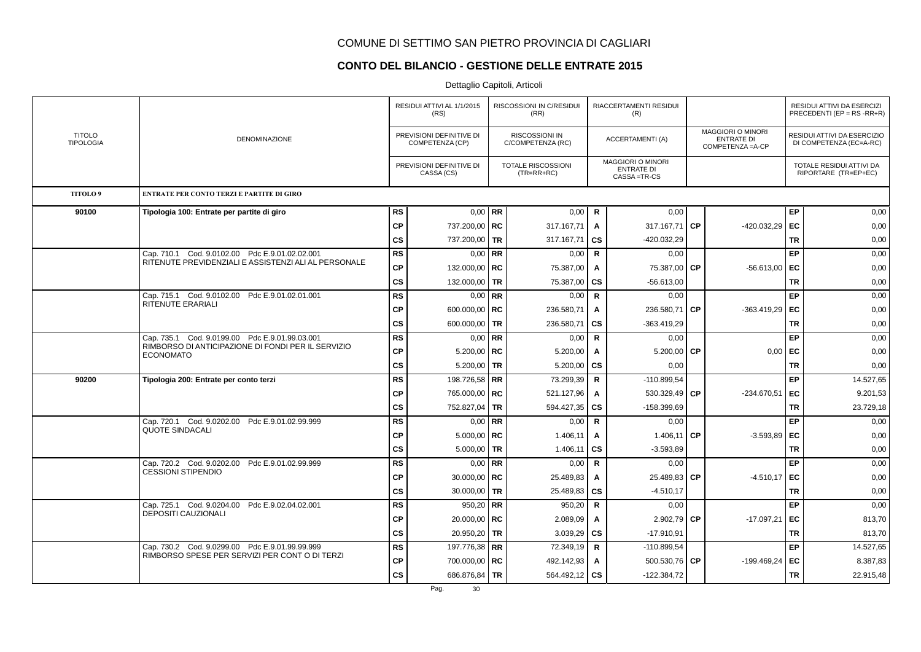### **CONTO DEL BILANCIO - GESTIONE DELLE ENTRATE 2015**

|                                   | <b>DENOMINAZIONE</b>                                                                             | RESIDUI ATTIVI AL 1/1/2015<br>(RS)<br>PREVISIONI DEFINITIVE DI<br>COMPETENZA (CP) |                                        | RISCOSSIONI IN C/RESIDUI<br>(RR) |                                            | RIACCERTAMENTI RESIDUI<br>(R) |                                                                |                                                                    |                  | RESIDUI ATTIVI DA ESERCIZI<br>PRECEDENTI (EP = $RS$ -RR+R) |                                                        |  |  |
|-----------------------------------|--------------------------------------------------------------------------------------------------|-----------------------------------------------------------------------------------|----------------------------------------|----------------------------------|--------------------------------------------|-------------------------------|----------------------------------------------------------------|--------------------------------------------------------------------|------------------|------------------------------------------------------------|--------------------------------------------------------|--|--|
| <b>TITOLO</b><br><b>TIPOLOGIA</b> |                                                                                                  |                                                                                   |                                        |                                  | <b>RISCOSSIONI IN</b><br>C/COMPETENZA (RC) |                               | <b>ACCERTAMENTI (A)</b>                                        | <b>MAGGIORI O MINORI</b><br><b>ENTRATE DI</b><br>COMPETENZA = A-CP |                  |                                                            | RESIDUI ATTIVI DA ESERCIZIO<br>DI COMPETENZA (EC=A-RC) |  |  |
|                                   |                                                                                                  |                                                                                   | PREVISIONI DEFINITIVE DI<br>CASSA (CS) |                                  | TOTALE RISCOSSIONI<br>$(TR=RR+RC)$         |                               | <b>MAGGIORI O MINORI</b><br><b>ENTRATE DI</b><br>CASSA = TR-CS |                                                                    |                  | TOTALE RESIDUI ATTIVI DA<br>RIPORTARE (TR=EP+EC)           |                                                        |  |  |
| TITOLO <sup>9</sup>               | <b>ENTRATE PER CONTO TERZI E PARTITE DI GIRO</b>                                                 |                                                                                   |                                        |                                  |                                            |                               |                                                                |                                                                    |                  |                                                            |                                                        |  |  |
| 90100                             | Tipologia 100: Entrate per partite di giro                                                       | <b>RS</b>                                                                         |                                        | $0.00$ RR                        | 0,00                                       | R                             | 0,00                                                           |                                                                    |                  | EP                                                         | 0,00                                                   |  |  |
|                                   |                                                                                                  | <b>CP</b>                                                                         | 737.200,00 RC                          |                                  | 317.167,71                                 | Α                             | 317.167,71                                                     | <b>CP</b>                                                          | $-420.032,29$    | EC                                                         | 0,00                                                   |  |  |
|                                   |                                                                                                  | CS                                                                                | 737.200,00 TR                          |                                  | 317.167,71                                 | <b>CS</b>                     | -420.032,29                                                    |                                                                    |                  | <b>TR</b>                                                  | 0,00                                                   |  |  |
|                                   | Cap. 710.1 Cod. 9.0102.00 Pdc E.9.01.02.02.001                                                   | RS                                                                                |                                        | $0.00$ RR                        | 0,00                                       | $\mathsf{R}$                  | 0.00                                                           |                                                                    |                  | EP                                                         | 0,00                                                   |  |  |
|                                   | RITENUTE PREVIDENZIALI E ASSISTENZI ALI AL PERSONALE                                             | CP                                                                                | 132.000,00   RC                        |                                  | 75.387,00                                  | A                             | 75.387,00                                                      | <b>CP</b>                                                          | $-56.613,00$     | EC                                                         | 0,00                                                   |  |  |
|                                   |                                                                                                  | $\mathsf{cs}$                                                                     | 132.000,00 TR                          |                                  | 75.387,00                                  | <b>CS</b>                     | $-56.613,00$                                                   |                                                                    |                  | <b>TR</b>                                                  | 0,00                                                   |  |  |
|                                   | Cap. 715.1 Cod. 9.0102.00 Pdc E.9.01.02.01.001                                                   | <b>RS</b>                                                                         |                                        | $0.00$ RR                        | 0,00                                       | $\mathsf{R}$                  | 0,00                                                           |                                                                    |                  | EP                                                         | 0,00                                                   |  |  |
|                                   | <b>RITENUTE ERARIALI</b>                                                                         | <b>CP</b>                                                                         | 600.000,00   RC                        |                                  | 236.580,71                                 | Α                             | 236.580,71                                                     | <b>CP</b>                                                          | $-363.419.29$ EC |                                                            | 0,00                                                   |  |  |
|                                   |                                                                                                  | CS                                                                                | 600.000,00 TR                          |                                  | 236.580,71                                 | <b>CS</b>                     | $-363.419.29$                                                  |                                                                    |                  | <b>TR</b>                                                  | 0,00                                                   |  |  |
|                                   | Cap. 735.1 Cod. 9.0199.00 Pdc E.9.01.99.03.001                                                   | RS                                                                                |                                        | $0,00$ RR                        | 0,00                                       | $\mathsf{R}$                  | 0,00                                                           |                                                                    |                  | EP                                                         | 0,00                                                   |  |  |
|                                   | RIMBORSO DI ANTICIPAZIONE DI FONDI PER IL SERVIZIO<br><b>ECONOMATO</b>                           | <b>CP</b>                                                                         | 5.200,00   RC                          |                                  | 5.200,00                                   | A                             | 5.200,00                                                       | <b>CP</b>                                                          | 0,00             | EC                                                         | 0,00                                                   |  |  |
|                                   |                                                                                                  | CS                                                                                | 5.200,00 TR                            |                                  | 5.200,00                                   | CS                            | 0,00                                                           |                                                                    |                  | TR                                                         | 0,00                                                   |  |  |
| 90200                             | Tipologia 200: Entrate per conto terzi                                                           | <b>RS</b>                                                                         | 198.726,58 RR                          |                                  | 73.299,39                                  | $\mathbf R$                   | $-110.899,54$                                                  |                                                                    |                  | <b>EP</b>                                                  | 14.527,65                                              |  |  |
|                                   |                                                                                                  | <b>CP</b>                                                                         | 765.000,00   RC                        |                                  | 521.127,96                                 | Α                             | 530.329,49                                                     | <b>CP</b>                                                          | $-234.670,51$    | EC                                                         | 9.201,53                                               |  |  |
|                                   |                                                                                                  | CS                                                                                | 752.827,04 TR                          |                                  | 594.427,35                                 | <b>CS</b>                     | -158.399,69                                                    |                                                                    |                  | <b>TR</b>                                                  | 23.729,18                                              |  |  |
|                                   | Cap. 720.1 Cod. 9.0202.00 Pdc E.9.01.02.99.999<br><b>QUOTE SINDACALI</b>                         | <b>RS</b>                                                                         |                                        | $0,00$ RR                        | 0,00                                       | R                             | 0,00                                                           |                                                                    |                  | <b>EP</b>                                                  | 0,00                                                   |  |  |
|                                   |                                                                                                  | <b>CP</b>                                                                         | $5.000,00$ RC                          |                                  | 1.406,11                                   | A                             | 1.406,11                                                       | <b>CP</b>                                                          | $-3.593.89$ EC   |                                                            | 0,00                                                   |  |  |
|                                   |                                                                                                  | $\mathsf{cs}$                                                                     | 5.000,00 TR                            |                                  | 1.406,11                                   | CS                            | $-3.593,89$                                                    |                                                                    |                  | <b>TR</b>                                                  | 0,00                                                   |  |  |
|                                   | Cap. 720.2 Cod. 9.0202.00 Pdc E.9.01.02.99.999<br><b>CESSIONI STIPENDIO</b>                      | <b>RS</b>                                                                         |                                        | $0.00$ RR                        | 0,00                                       | $\mathsf{R}$                  | 0,00                                                           |                                                                    |                  | EP                                                         | 0,00                                                   |  |  |
|                                   |                                                                                                  | CP                                                                                | 30.000,00   RC                         |                                  | 25.489,83                                  | A                             | 25.489,83                                                      | <b>CP</b>                                                          | $-4.510,17$ EC   |                                                            | 0,00                                                   |  |  |
|                                   |                                                                                                  | CS                                                                                | 30.000,00 TR                           |                                  | 25.489,83                                  | <b>CS</b>                     | $-4.510,17$                                                    |                                                                    |                  | <b>TR</b>                                                  | 0,00                                                   |  |  |
|                                   | Cap. 725.1 Cod. 9.0204.00 Pdc E.9.02.04.02.001<br><b>DEPOSITI CAUZIONALI</b>                     | <b>RS</b>                                                                         | 950,20   RR                            |                                  | 950,20                                     | $\mathsf{R}$                  | 0,00                                                           |                                                                    |                  | EP                                                         | 0,00                                                   |  |  |
|                                   |                                                                                                  | <b>CP</b>                                                                         | 20.000,00   RC                         |                                  | 2.089,09                                   | A                             | 2.902,79 CP                                                    |                                                                    | $-17.097,21$     | EC                                                         | 813,70                                                 |  |  |
|                                   |                                                                                                  | $\mathsf{cs}$                                                                     | 20.950,20 TR                           |                                  | 3.039,29                                   | CS                            | $-17.910,91$                                                   |                                                                    |                  | <b>TR</b>                                                  | 813,70                                                 |  |  |
|                                   | Cap. 730.2 Cod. 9.0299.00 Pdc E.9.01.99.99.999<br>RIMBORSO SPESE PER SERVIZI PER CONT O DI TERZI | <b>RS</b>                                                                         | 197.776,38 RR                          |                                  | 72.349,19                                  | R                             | $-110.899,54$                                                  |                                                                    |                  | EP                                                         | 14.527,65                                              |  |  |
|                                   |                                                                                                  | <b>CP</b>                                                                         | 700.000,00   RC                        |                                  | 492.142,93                                 | A                             | 500.530,76   CP                                                |                                                                    | -199.469,24      | EC                                                         | 8.387,83                                               |  |  |
|                                   |                                                                                                  | cs                                                                                | 686.876,84   TR                        |                                  | 564.492,12   CS                            |                               | $-122.384,72$                                                  |                                                                    |                  | <b>TR</b>                                                  | 22.915,48                                              |  |  |